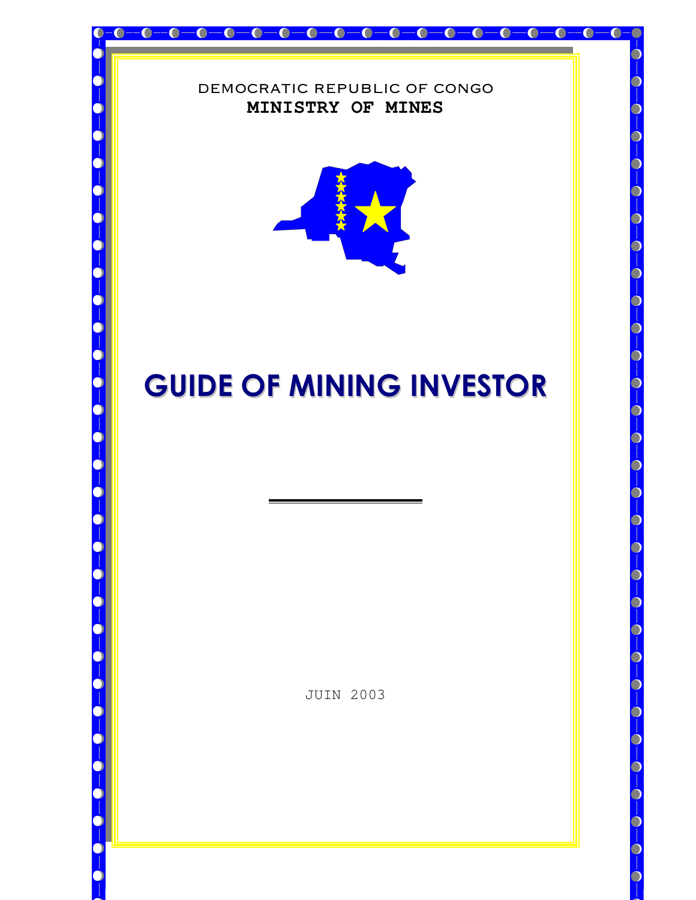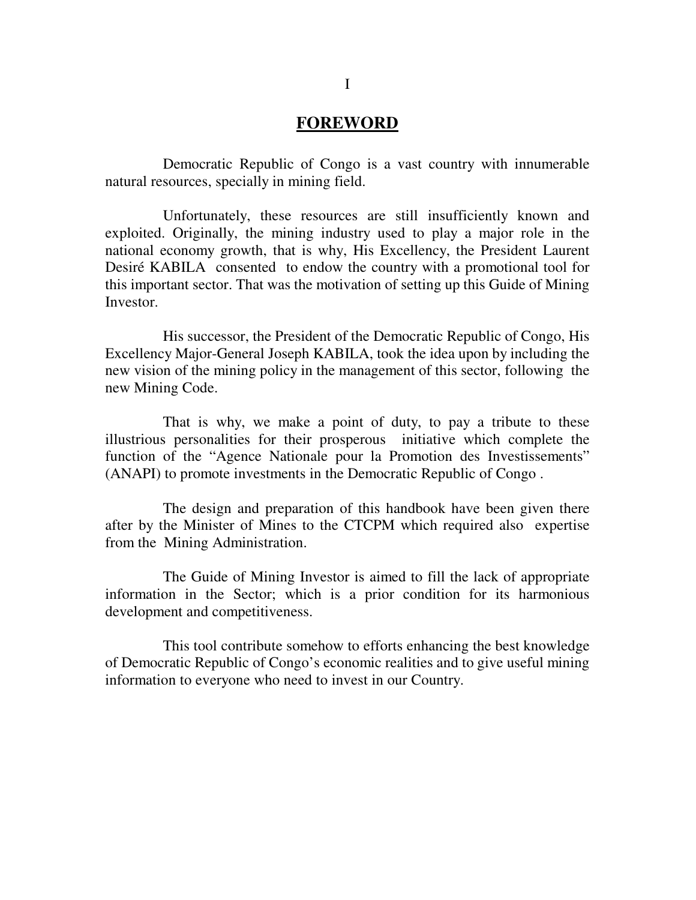## **FOREWORD**

Democratic Republic of Congo is a vast country with innumerable natural resources, specially in mining field.

Unfortunately, these resources are still insufficiently known and exploited. Originally, the mining industry used to play a major role in the national economy growth, that is why, His Excellency, the President Laurent Desiré KABILA consented to endow the country with a promotional tool for this important sector. That was the motivation of setting up this Guide of Mining Investor.

His successor, the President of the Democratic Republic of Congo, His Excellency Major-General Joseph KABILA, took the idea upon by including the new vision of the mining policy in the management of this sector, following the new Mining Code.

That is why, we make a point of duty, to pay a tribute to these illustrious personalities for their prosperous initiative which complete the function of the "Agence Nationale pour la Promotion des Investissements" (ANAPI) to promote investments in the Democratic Republic of Congo .

The design and preparation of this handbook have been given there after by the Minister of Mines to the CTCPM which required also expertise from the Mining Administration.

The Guide of Mining Investor is aimed to fill the lack of appropriate information in the Sector; which is a prior condition for its harmonious development and competitiveness.

This tool contribute somehow to efforts enhancing the best knowledge of Democratic Republic of Congo's economic realities and to give useful mining information to everyone who need to invest in our Country.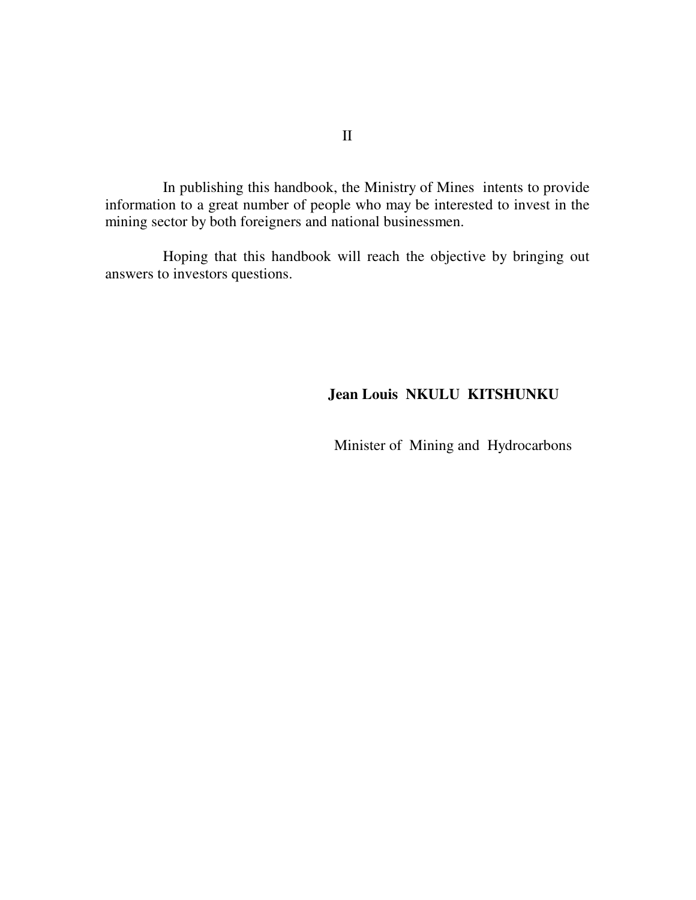In publishing this handbook, the Ministry of Mines intents to provide information to a great number of people who may be interested to invest in the mining sector by both foreigners and national businessmen.

Hoping that this handbook will reach the objective by bringing out answers to investors questions.

### **Jean Louis NKULU KITSHUNKU**

Minister of Mining and Hydrocarbons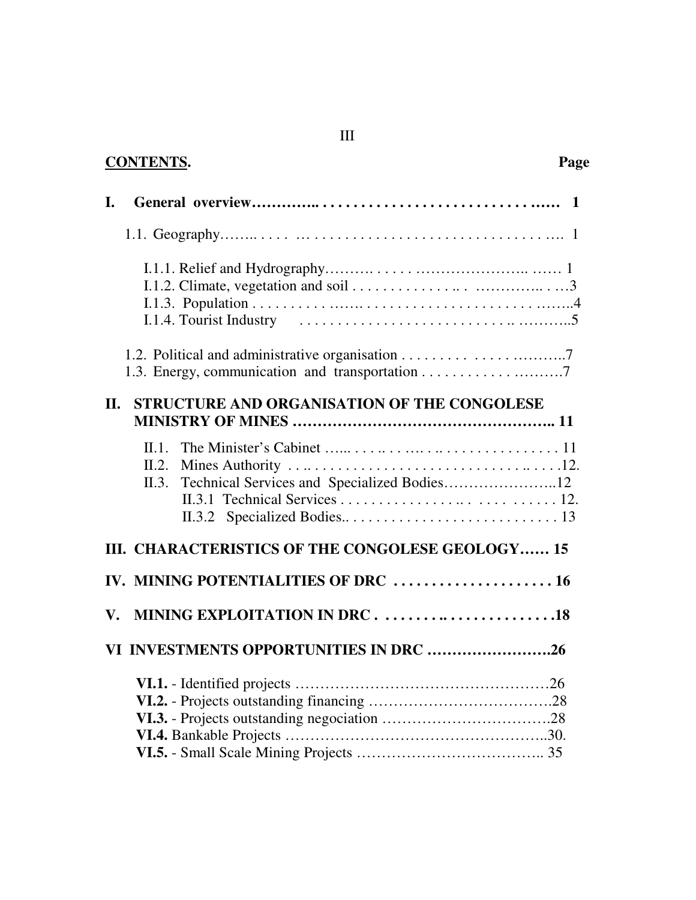| I.                                                                                                                                                                                                                                    |  |
|---------------------------------------------------------------------------------------------------------------------------------------------------------------------------------------------------------------------------------------|--|
|                                                                                                                                                                                                                                       |  |
|                                                                                                                                                                                                                                       |  |
| STRUCTURE AND ORGANISATION OF THE CONGOLESE<br><b>II.</b>                                                                                                                                                                             |  |
|                                                                                                                                                                                                                                       |  |
| $\Pi$ 1<br>II.2.                                                                                                                                                                                                                      |  |
| $H \cup D \cup C$ and $H$ and $A$ and $A$ and $A$ and $A$ and $A$ and $A$ and $A$ and $A$ and $A$ and $A$ and $A$ and $A$ and $A$ and $A$ and $A$ and $A$ and $A$ and $A$ and $A$ and $A$ and $A$ and $A$ and $A$ and $A$ and $A$ and |  |

### **CONTENTS. Page**

| TH. CHARACTERISTICS OF THE CONGOLESE GEOLOGY 15 |
|-------------------------------------------------|
|                                                 |
|                                                 |
| VI INVESTMENTS OPPORTUNITIES IN DRC 26          |
|                                                 |

### III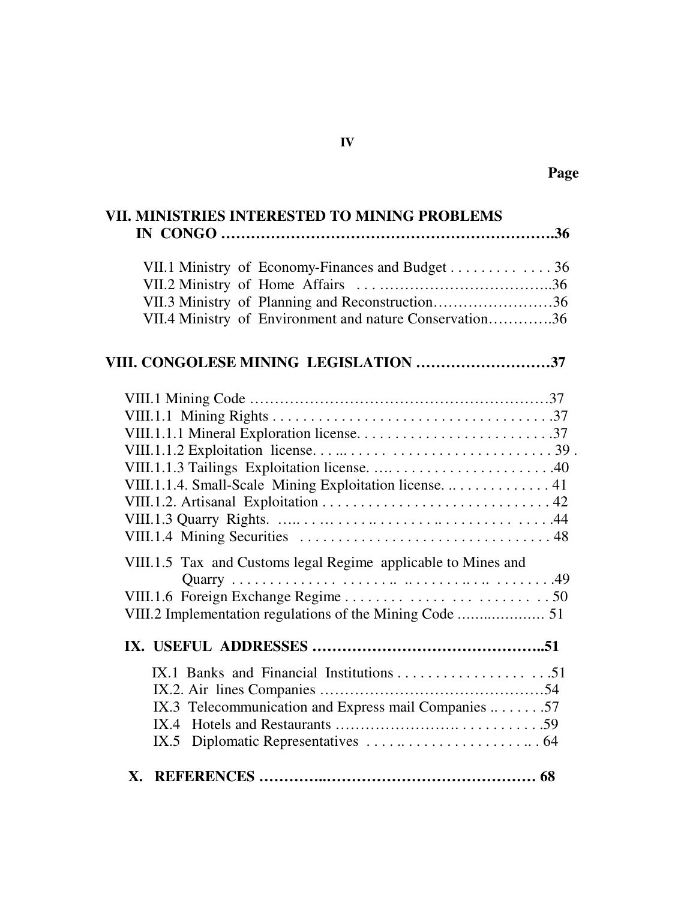| VII. MINISTRIES INTERESTED TO MINING PROBLEMS                                                                                                                  |
|----------------------------------------------------------------------------------------------------------------------------------------------------------------|
|                                                                                                                                                                |
| VII.1 Ministry of Economy-Finances and Budget 36<br>VII.3 Ministry of Planning and Reconstruction36<br>VII.4 Ministry of Environment and nature Conservation36 |
| VIII. CONGOLESE MINING LEGISLATION 37                                                                                                                          |
|                                                                                                                                                                |
|                                                                                                                                                                |
|                                                                                                                                                                |
| VIII.1.1.4. Small-Scale Mining Exploitation license.  41                                                                                                       |
|                                                                                                                                                                |
|                                                                                                                                                                |
| VIII.1.5 Tax and Customs legal Regime applicable to Mines and                                                                                                  |
| VIII.2 Implementation regulations of the Mining Code  51                                                                                                       |
|                                                                                                                                                                |
|                                                                                                                                                                |
| IX.3 Telecommunication and Express mail Companies 57                                                                                                           |
|                                                                                                                                                                |
| IX.5                                                                                                                                                           |
|                                                                                                                                                                |

 **Page**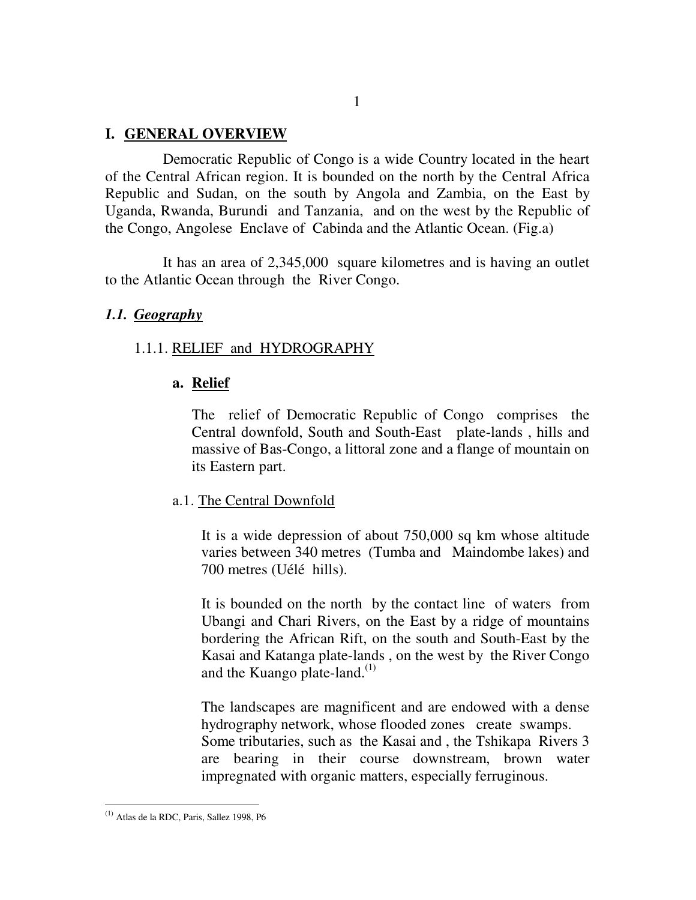#### **I. GENERAL OVERVIEW**

Democratic Republic of Congo is a wide Country located in the heart of the Central African region. It is bounded on the north by the Central Africa Republic and Sudan, on the south by Angola and Zambia, on the East by Uganda, Rwanda, Burundi and Tanzania, and on the west by the Republic of the Congo, Angolese Enclave of Cabinda and the Atlantic Ocean. (Fig.a)

It has an area of 2,345,000 square kilometres and is having an outlet to the Atlantic Ocean through the River Congo.

#### *1.1. Geography*

#### 1.1.1. RELIEF and HYDROGRAPHY

#### **a. Relief**

The relief of Democratic Republic of Congo comprises the Central downfold, South and South-East plate-lands , hills and massive of Bas-Congo, a littoral zone and a flange of mountain on its Eastern part.

#### a.1. The Central Downfold

It is a wide depression of about 750,000 sq km whose altitude varies between 340 metres (Tumba and Maindombe lakes) and 700 metres (Uélé hills).

It is bounded on the north by the contact line of waters from Ubangi and Chari Rivers, on the East by a ridge of mountains bordering the African Rift, on the south and South-East by the Kasai and Katanga plate-lands , on the west by the River Congo and the Kuango plate-land.<sup>(1)</sup>

The landscapes are magnificent and are endowed with a dense hydrography network, whose flooded zones create swamps. Some tributaries, such as the Kasai and , the Tshikapa Rivers 3 are bearing in their course downstream, brown water impregnated with organic matters, especially ferruginous.

 $\overline{a}$ 

 $<sup>(1)</sup>$  Atlas de la RDC, Paris, Sallez 1998, P6</sup>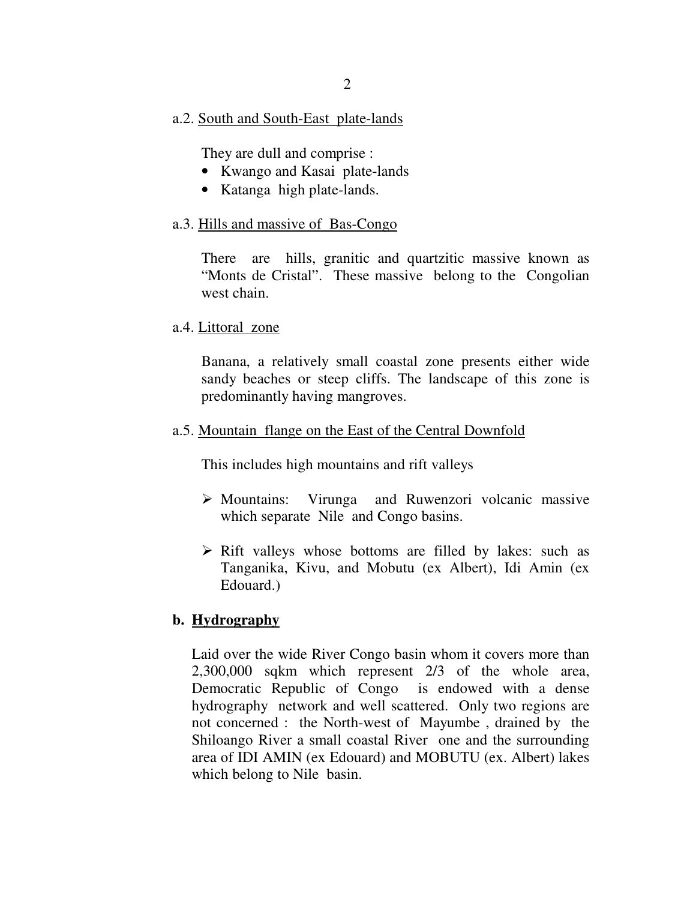#### a.2. South and South-East plate-lands

They are dull and comprise :

- Kwango and Kasai plate-lands
- Katanga high plate-lands.

#### a.3. Hills and massive of Bas-Congo

There are hills, granitic and quartzitic massive known as "Monts de Cristal". These massive belong to the Congolian west chain.

#### a.4. Littoral zone

Banana, a relatively small coastal zone presents either wide sandy beaches or steep cliffs. The landscape of this zone is predominantly having mangroves.

#### a.5. Mountain flange on the East of the Central Downfold

This includes high mountains and rift valleys

- $\triangleright$  Mountains: Virunga and Ruwenzori volcanic massive which separate Nile and Congo basins.
- $\triangleright$  Rift valleys whose bottoms are filled by lakes: such as Tanganika, Kivu, and Mobutu (ex Albert), Idi Amin (ex Edouard.)

### **b. Hydrography**

Laid over the wide River Congo basin whom it covers more than 2,300,000 sqkm which represent 2/3 of the whole area, Democratic Republic of Congo is endowed with a dense hydrography network and well scattered. Only two regions are not concerned : the North-west of Mayumbe , drained by the Shiloango River a small coastal River one and the surrounding area of IDI AMIN (ex Edouard) and MOBUTU (ex. Albert) lakes which belong to Nile basin.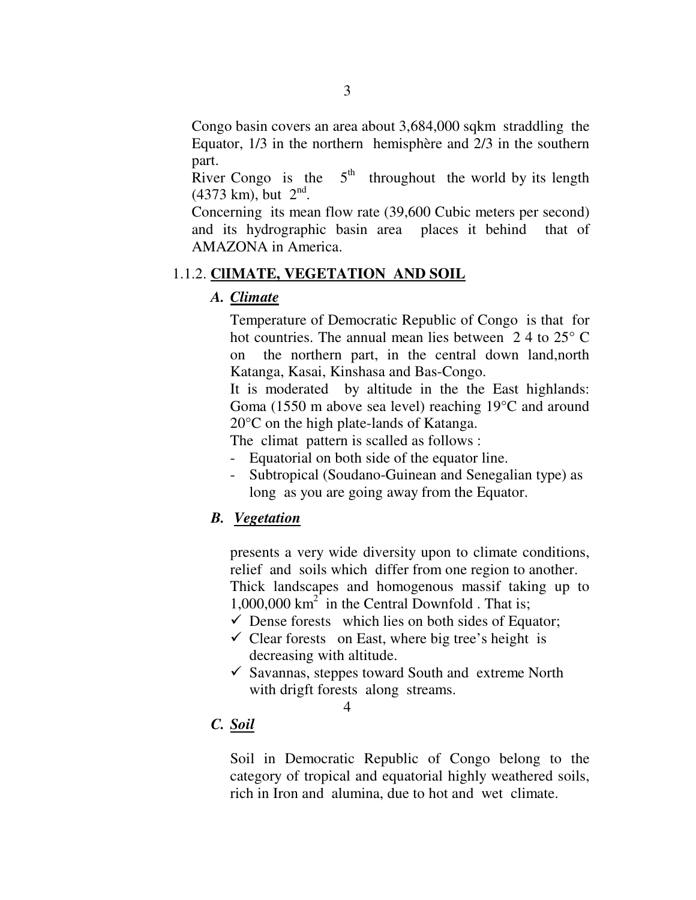Congo basin covers an area about 3,684,000 sqkm straddling the Equator, 1/3 in the northern hemisphère and 2/3 in the southern part.

River Congo is the  $5<sup>th</sup>$  throughout the world by its length  $(4373 \text{ km})$ , but  $2^{\text{nd}}$ .

Concerning its mean flow rate (39,600 Cubic meters per second) and its hydrographic basin area places it behind that of AMAZONA in America.

### 1.1.2. **ClIMATE, VEGETATION AND SOIL**

### *A. Climate*

Temperature of Democratic Republic of Congo is that for hot countries. The annual mean lies between 24 to 25<sup>°</sup> C on the northern part, in the central down land,north Katanga, Kasai, Kinshasa and Bas-Congo.

It is moderated by altitude in the the East highlands: Goma (1550 m above sea level) reaching 19°C and around 20°C on the high plate-lands of Katanga.

The climat pattern is scalled as follows :

- Equatorial on both side of the equator line.
- Subtropical (Soudano-Guinean and Senegalian type) as long as you are going away from the Equator.

### *B. Vegetation*

presents a very wide diversity upon to climate conditions, relief and soils which differ from one region to another. Thick landscapes and homogenous massif taking up to  $1,000,000 \text{ km}^2$  in the Central Downfold . That is;

- $\checkmark$  Dense forests which lies on both sides of Equator;
- $\checkmark$  Clear forests on East, where big tree's height is decreasing with altitude.
- $\checkmark$  Savannas, steppes toward South and extreme North with drigft forests along streams.

4

### *C. Soil*

Soil in Democratic Republic of Congo belong to the category of tropical and equatorial highly weathered soils, rich in Iron and alumina, due to hot and wet climate.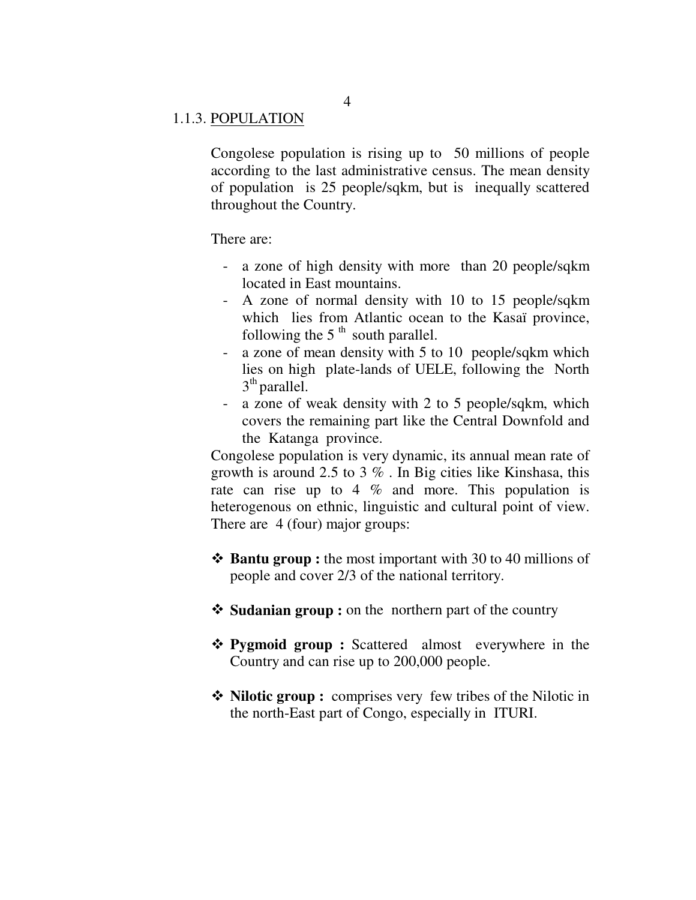#### 1.1.3. POPULATION

Congolese population is rising up to 50 millions of people according to the last administrative census. The mean density of population is 25 people/sqkm, but is inequally scattered throughout the Country.

There are:

- a zone of high density with more than 20 people/sqkm located in East mountains.
- A zone of normal density with 10 to 15 people/sqkm which lies from Atlantic ocean to the Kasaï province, following the  $5<sup>th</sup>$  south parallel.
- a zone of mean density with 5 to 10 people/sqkm which lies on high plate-lands of UELE, following the North  $3<sup>th</sup>$  parallel.
- a zone of weak density with 2 to 5 people/sqkm, which covers the remaining part like the Central Downfold and the Katanga province.

Congolese population is very dynamic, its annual mean rate of growth is around 2.5 to 3 % . In Big cities like Kinshasa, this rate can rise up to 4  $\%$  and more. This population is heterogenous on ethnic, linguistic and cultural point of view. There are 4 (four) major groups:

- $\triangle$  **Bantu group :** the most important with 30 to 40 millions of people and cover 2/3 of the national territory.
- $\triangle$  **Sudanian group :** on the northern part of the country
- **Pygmoid group :** Scattered almost everywhere in the Country and can rise up to 200,000 people.
- Nilotic group : comprises very few tribes of the Nilotic in the north-East part of Congo, especially in ITURI.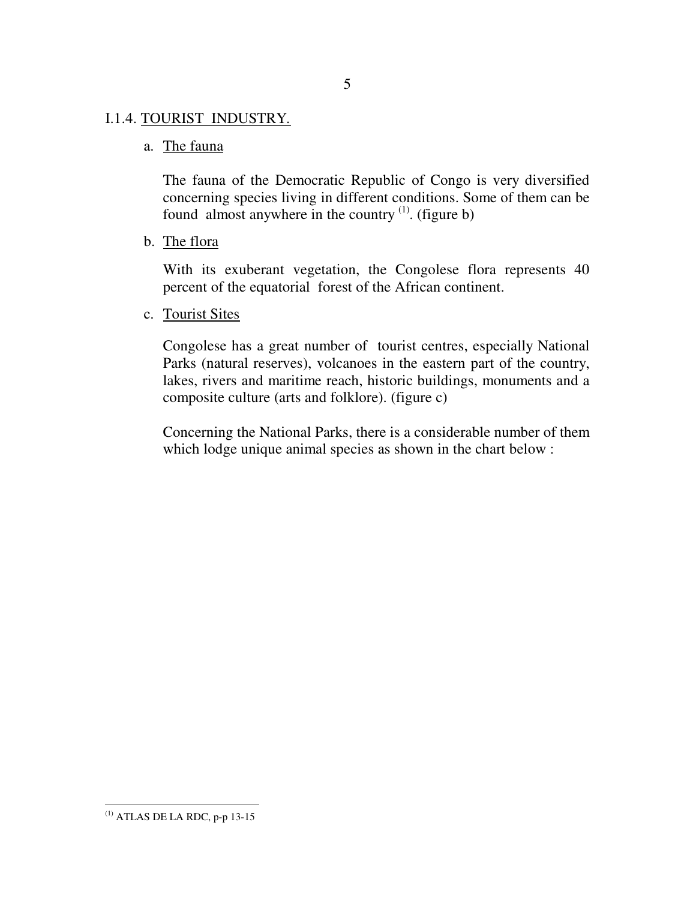### I.1.4. TOURIST INDUSTRY*.*

a. The fauna

The fauna of the Democratic Republic of Congo is very diversified concerning species living in different conditions. Some of them can be found almost anywhere in the country  $(1)$ . (figure b)

b. The flora

With its exuberant vegetation, the Congolese flora represents 40 percent of the equatorial forest of the African continent.

c. Tourist Sites

Congolese has a great number of tourist centres, especially National Parks (natural reserves), volcanoes in the eastern part of the country, lakes, rivers and maritime reach, historic buildings, monuments and a composite culture (arts and folklore). (figure c)

Concerning the National Parks, there is a considerable number of them which lodge unique animal species as shown in the chart below :

 $\overline{a}$  $^{(1)}$  ATLAS DE LA RDC, p-p 13-15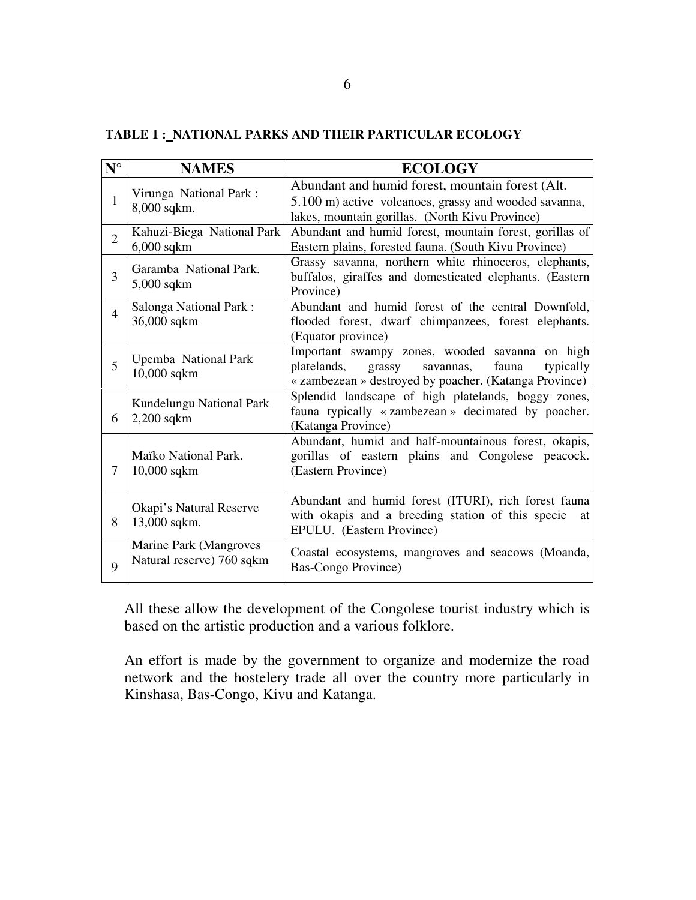# **TABLE 1 : NATIONAL PARKS AND THEIR PARTICULAR ECOLOGY**

| $N^{\circ}$    | <b>NAMES</b>                                        | <b>ECOLOGY</b>                                                                                                                                                       |
|----------------|-----------------------------------------------------|----------------------------------------------------------------------------------------------------------------------------------------------------------------------|
| $\mathbf{1}$   | Virunga National Park:<br>8,000 sqkm.               | Abundant and humid forest, mountain forest (Alt.<br>5.100 m) active volcanoes, grassy and wooded savanna,<br>lakes, mountain gorillas. (North Kivu Province)         |
| $\overline{2}$ | Kahuzi-Biega National Park<br>$6,000$ sqkm          | Abundant and humid forest, mountain forest, gorillas of<br>Eastern plains, forested fauna. (South Kivu Province)                                                     |
| 3              | Garamba National Park.<br>$5,000$ sqkm              | Grassy savanna, northern white rhinoceros, elephants,<br>buffalos, giraffes and domesticated elephants. (Eastern<br>Province)                                        |
| $\overline{4}$ | Salonga National Park:<br>36,000 sqkm               | Abundant and humid forest of the central Downfold,<br>flooded forest, dwarf chimpanzees, forest elephants.<br>(Equator province)                                     |
| 5              | Upemba National Park<br>$10,000$ sqkm               | Important swampy zones, wooded savanna on high<br>platelands,<br>savannas,<br>fauna<br>typically<br>grassy<br>« zambezean » destroyed by poacher. (Katanga Province) |
| 6              | Kundelungu National Park<br>$2,200$ sqkm            | Splendid landscape of high platelands, boggy zones,<br>fauna typically «zambezean» decimated by poacher.<br>(Katanga Province)                                       |
| 7              | Maïko National Park.<br>$10,000$ sqkm               | Abundant, humid and half-mountainous forest, okapis,<br>gorillas of eastern plains and Congolese peacock.<br>(Eastern Province)                                      |
| 8              | Okapi's Natural Reserve<br>13,000 sqkm.             | Abundant and humid forest (ITURI), rich forest fauna<br>with okapis and a breeding station of this specie<br>at<br>EPULU. (Eastern Province)                         |
| 9              | Marine Park (Mangroves<br>Natural reserve) 760 sqkm | Coastal ecosystems, mangroves and seacows (Moanda,<br><b>Bas-Congo Province</b> )                                                                                    |

All these allow the development of the Congolese tourist industry which is based on the artistic production and a various folklore.

An effort is made by the government to organize and modernize the road network and the hostelery trade all over the country more particularly in Kinshasa, Bas-Congo, Kivu and Katanga.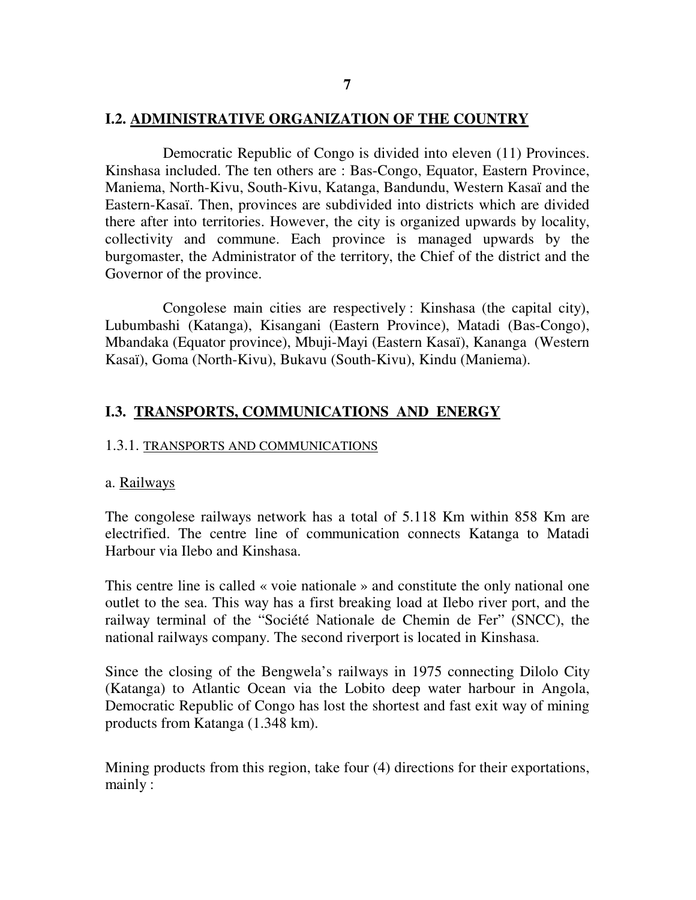#### **7**

### **I.2. ADMINISTRATIVE ORGANIZATION OF THE COUNTRY**

Democratic Republic of Congo is divided into eleven (11) Provinces. Kinshasa included. The ten others are : Bas-Congo, Equator, Eastern Province, Maniema, North-Kivu, South-Kivu, Katanga, Bandundu, Western Kasaï and the Eastern-Kasaï. Then, provinces are subdivided into districts which are divided there after into territories. However, the city is organized upwards by locality, collectivity and commune. Each province is managed upwards by the burgomaster, the Administrator of the territory, the Chief of the district and the Governor of the province.

Congolese main cities are respectively : Kinshasa (the capital city), Lubumbashi (Katanga), Kisangani (Eastern Province), Matadi (Bas-Congo), Mbandaka (Equator province), Mbuji-Mayi (Eastern Kasaï), Kananga (Western Kasaï), Goma (North-Kivu), Bukavu (South-Kivu), Kindu (Maniema).

#### **I.3. TRANSPORTS, COMMUNICATIONS AND ENERGY**

#### 1.3.1. TRANSPORTS AND COMMUNICATIONS

#### a. Railways

The congolese railways network has a total of 5.118 Km within 858 Km are electrified. The centre line of communication connects Katanga to Matadi Harbour via Ilebo and Kinshasa.

This centre line is called « voie nationale » and constitute the only national one outlet to the sea. This way has a first breaking load at Ilebo river port, and the railway terminal of the "Société Nationale de Chemin de Fer" (SNCC), the national railways company. The second riverport is located in Kinshasa.

Since the closing of the Bengwela's railways in 1975 connecting Dilolo City (Katanga) to Atlantic Ocean via the Lobito deep water harbour in Angola, Democratic Republic of Congo has lost the shortest and fast exit way of mining products from Katanga (1.348 km).

Mining products from this region, take four (4) directions for their exportations, mainly :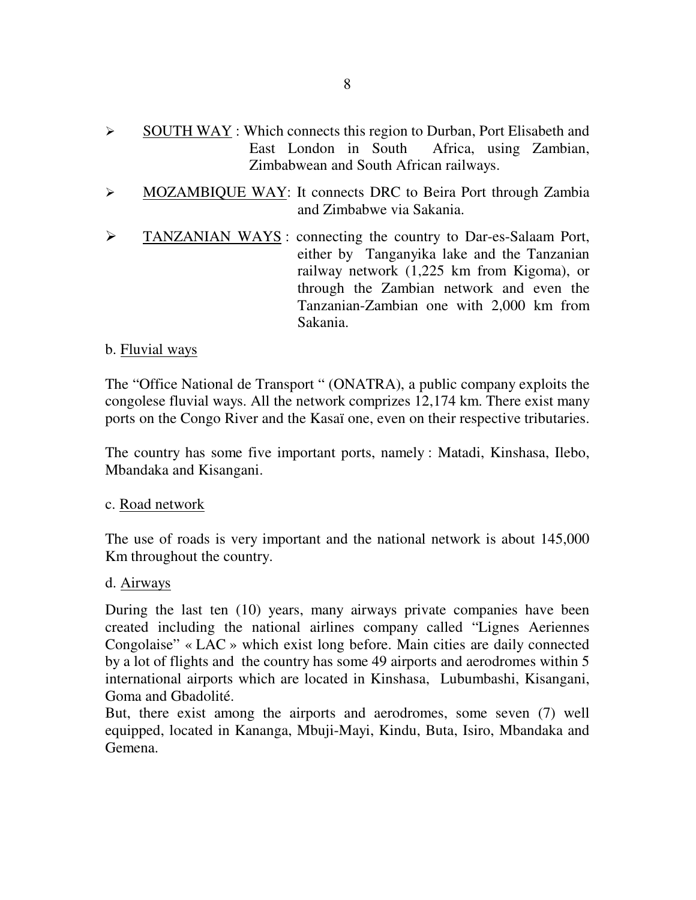- $\triangleright$  SOUTH WAY : Which connects this region to Durban, Port Elisabeth and East London in South Africa, using Zambian, Zimbabwean and South African railways.
- $\triangleright$  MOZAMBIQUE WAY: It connects DRC to Beira Port through Zambia and Zimbabwe via Sakania.
- > TANZANIAN WAYS: connecting the country to Dar-es-Salaam Port, either by Tanganyika lake and the Tanzanian railway network (1,225 km from Kigoma), or through the Zambian network and even the Tanzanian-Zambian one with 2,000 km from Sakania.

### b. Fluvial ways

The "Office National de Transport " (ONATRA), a public company exploits the congolese fluvial ways. All the network comprizes 12,174 km. There exist many ports on the Congo River and the Kasaï one, even on their respective tributaries.

The country has some five important ports, namely : Matadi, Kinshasa, Ilebo, Mbandaka and Kisangani.

#### c. Road network

The use of roads is very important and the national network is about 145,000 Km throughout the country.

#### d. Airways

During the last ten (10) years, many airways private companies have been created including the national airlines company called "Lignes Aeriennes Congolaise" « LAC » which exist long before. Main cities are daily connected by a lot of flights and the country has some 49 airports and aerodromes within 5 international airports which are located in Kinshasa, Lubumbashi, Kisangani, Goma and Gbadolité.

But, there exist among the airports and aerodromes, some seven (7) well equipped, located in Kananga, Mbuji-Mayi, Kindu, Buta, Isiro, Mbandaka and Gemena.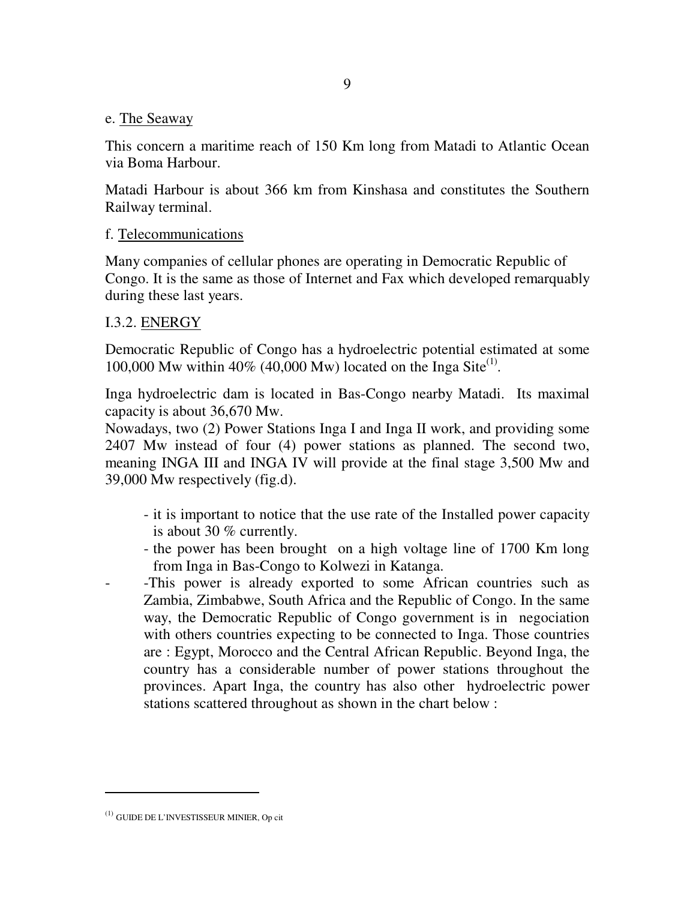#### e. The Seaway

This concern a maritime reach of 150 Km long from Matadi to Atlantic Ocean via Boma Harbour.

Matadi Harbour is about 366 km from Kinshasa and constitutes the Southern Railway terminal.

### f. Telecommunications

Many companies of cellular phones are operating in Democratic Republic of Congo. It is the same as those of Internet and Fax which developed remarquably during these last years.

### I.3.2. ENERGY

Democratic Republic of Congo has a hydroelectric potential estimated at some 100,000 Mw within 40% (40,000 Mw) located on the Inga Site<sup>(1)</sup>.

Inga hydroelectric dam is located in Bas-Congo nearby Matadi. Its maximal capacity is about 36,670 Mw.

Nowadays, two (2) Power Stations Inga I and Inga II work, and providing some 2407 Mw instead of four (4) power stations as planned. The second two, meaning INGA III and INGA IV will provide at the final stage 3,500 Mw and 39,000 Mw respectively (fig.d).

- it is important to notice that the use rate of the Installed power capacity is about 30 % currently.
- the power has been brought on a high voltage line of 1700 Km long from Inga in Bas-Congo to Kolwezi in Katanga.
- -This power is already exported to some African countries such as Zambia, Zimbabwe, South Africa and the Republic of Congo. In the same way, the Democratic Republic of Congo government is in negociation with others countries expecting to be connected to Inga. Those countries are : Egypt, Morocco and the Central African Republic. Beyond Inga, the country has a considerable number of power stations throughout the provinces. Apart Inga, the country has also other hydroelectric power stations scattered throughout as shown in the chart below :

 $\ddot{\phantom{a}}$ 

<sup>(1)</sup> GUIDE DE L'INVESTISSEUR MINIER, Op cit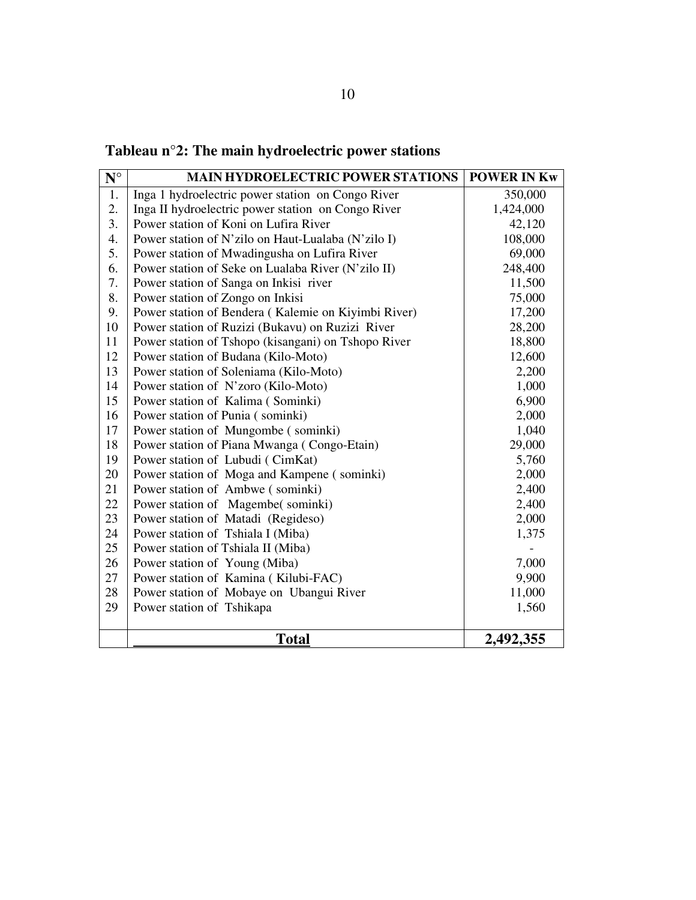| Tableau $n^{\circ}2$ : The main hydroelectric power stations |  |  |
|--------------------------------------------------------------|--|--|
|--------------------------------------------------------------|--|--|

| $N^{\circ}$ | <b>MAIN HYDROELECTRIC POWER STATIONS</b>            | <b>POWER IN Kw</b> |
|-------------|-----------------------------------------------------|--------------------|
| 1.          | Inga 1 hydroelectric power station on Congo River   | 350,000            |
| 2.          | Inga II hydroelectric power station on Congo River  | 1,424,000          |
| 3.          | Power station of Koni on Lufira River               | 42,120             |
| 4.          | Power station of N'zilo on Haut-Lualaba (N'zilo I)  | 108,000            |
| 5.          | Power station of Mwadingusha on Lufira River        | 69,000             |
| 6.          | Power station of Seke on Lualaba River (N'zilo II)  | 248,400            |
| 7.          | Power station of Sanga on Inkisi river              | 11,500             |
| 8.          | Power station of Zongo on Inkisi                    | 75,000             |
| 9.          | Power station of Bendera (Kalemie on Kiyimbi River) | 17,200             |
| 10          | Power station of Ruzizi (Bukavu) on Ruzizi River    | 28,200             |
| 11          | Power station of Tshopo (kisangani) on Tshopo River | 18,800             |
| 12          | Power station of Budana (Kilo-Moto)                 | 12,600             |
| 13          | Power station of Soleniama (Kilo-Moto)              | 2,200              |
| 14          | Power station of N'zoro (Kilo-Moto)                 | 1,000              |
| 15          | Power station of Kalima (Sominki)                   | 6,900              |
| 16          | Power station of Punia (sominki)                    | 2,000              |
| 17          | Power station of Mungombe (sominki)                 | 1,040              |
| 18          | Power station of Piana Mwanga (Congo-Etain)         | 29,000             |
| 19          | Power station of Lubudi (CimKat)                    | 5,760              |
| 20          | Power station of Moga and Kampene (sominki)         | 2,000              |
| 21          | Power station of Ambwe (sominki)                    | 2,400              |
| 22          | Power station of Magembe(sominki)                   | 2,400              |
| 23          | Power station of Matadi (Regideso)                  | 2,000              |
| 24          | Power station of Tshiala I (Miba)                   | 1,375              |
| 25          | Power station of Tshiala II (Miba)                  |                    |
| 26          | Power station of Young (Miba)                       | 7,000              |
| 27          | Power station of Kamina (Kilubi-FAC)                | 9,900              |
| 28          | Power station of Mobaye on Ubangui River            | 11,000             |
| 29          | Power station of Tshikapa                           | 1,560              |
|             |                                                     |                    |
|             | <b>Total</b>                                        | 2,492,355          |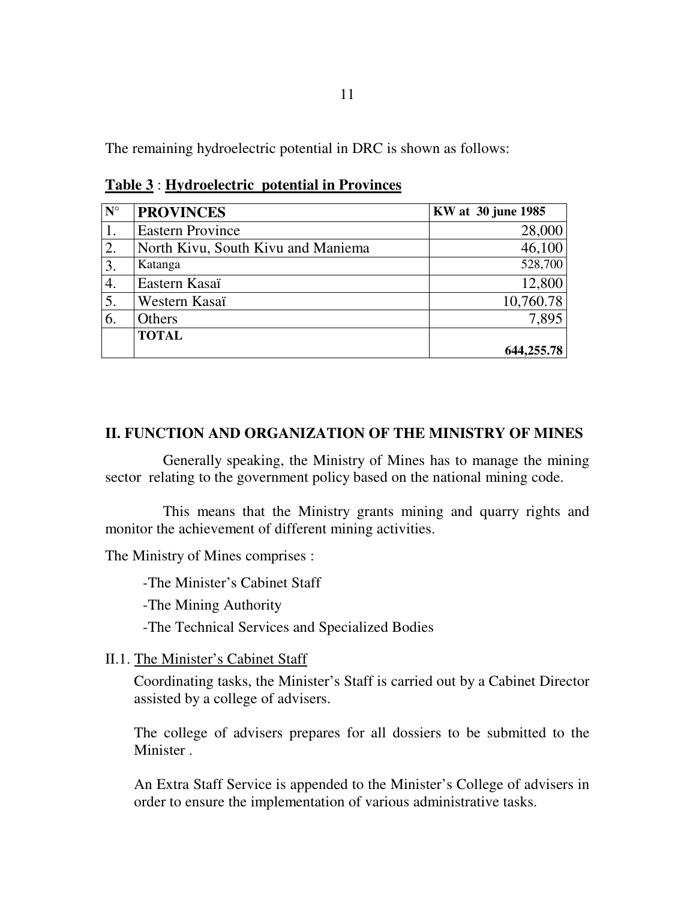The remaining hydroelectric potential in DRC is shown as follows:

| $N^{\circ}$      | <b>PROVINCES</b>                   | KW at 30 june 1985 |
|------------------|------------------------------------|--------------------|
| $\vert$ 1.       | <b>Eastern Province</b>            | 28,000             |
| 2.               | North Kivu, South Kivu and Maniema | 46,100             |
| $\overline{3}$ . | Katanga                            | 528,700            |
| 4.               | Eastern Kasaï                      | 12,800             |
| $\overline{5}$ . | Western Kasaï                      | 10,760.78          |
| 6.               | Others                             | 7,895              |
|                  | <b>TOTAL</b>                       |                    |
|                  |                                    | 644,255.78         |

**Table 3** : **Hydroelectric potential in Provinces**

### **II. FUNCTION AND ORGANIZATION OF THE MINISTRY OF MINES**

Generally speaking, the Ministry of Mines has to manage the mining sector relating to the government policy based on the national mining code.

This means that the Ministry grants mining and quarry rights and monitor the achievement of different mining activities.

The Ministry of Mines comprises :

-The Minister's Cabinet Staff

-The Mining Authority

-The Technical Services and Specialized Bodies

II.1. The Minister's Cabinet Staff

Coordinating tasks, the Minister's Staff is carried out by a Cabinet Director assisted by a college of advisers.

The college of advisers prepares for all dossiers to be submitted to the Minister .

An Extra Staff Service is appended to the Minister's College of advisers in order to ensure the implementation of various administrative tasks.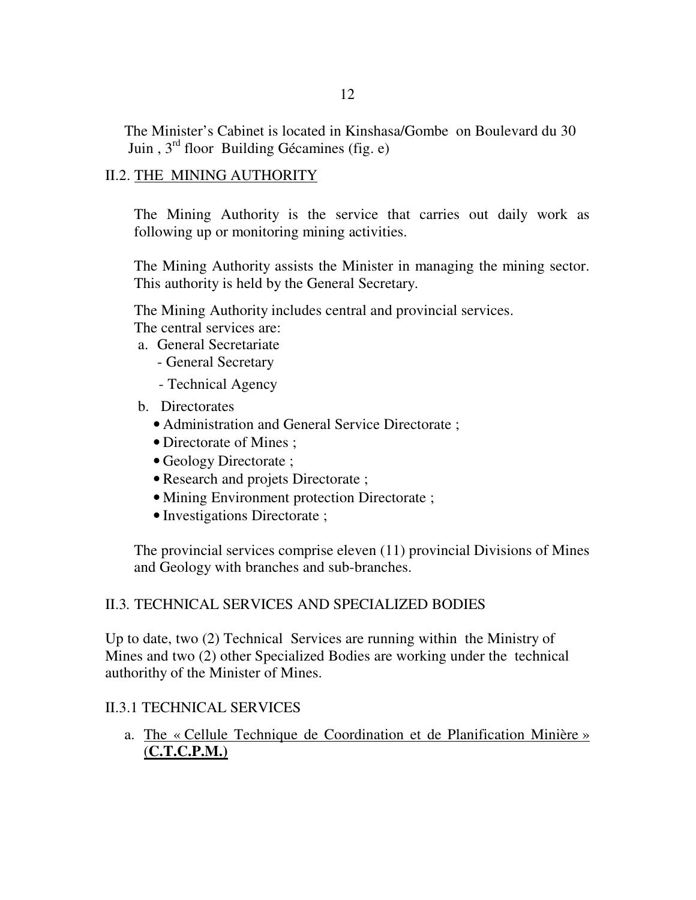The Minister's Cabinet is located in Kinshasa/Gombe on Boulevard du 30 Juin , 3rd floor Building Gécamines (fig. e)

### II.2. THE MINING AUTHORITY

The Mining Authority is the service that carries out daily work as following up or monitoring mining activities.

The Mining Authority assists the Minister in managing the mining sector. This authority is held by the General Secretary.

The Mining Authority includes central and provincial services.

The central services are:

- a. General Secretariate
	- General Secretary
	- Technical Agency
- b. Directorates
	- Administration and General Service Directorate ;
	- Directorate of Mines ;
	- Geology Directorate ;
	- Research and projets Directorate ;
	- Mining Environment protection Directorate ;
	- Investigations Directorate ;

The provincial services comprise eleven (11) provincial Divisions of Mines and Geology with branches and sub-branches.

### II.3*.* TECHNICAL SERVICES AND SPECIALIZED BODIES

Up to date, two (2) Technical Services are running within the Ministry of Mines and two (2) other Specialized Bodies are working under the technical authorithy of the Minister of Mines.

## II.3.1 TECHNICAL SERVICES

a. The « Cellule Technique de Coordination et de Planification Minière » (**C.T.C.P.M.)**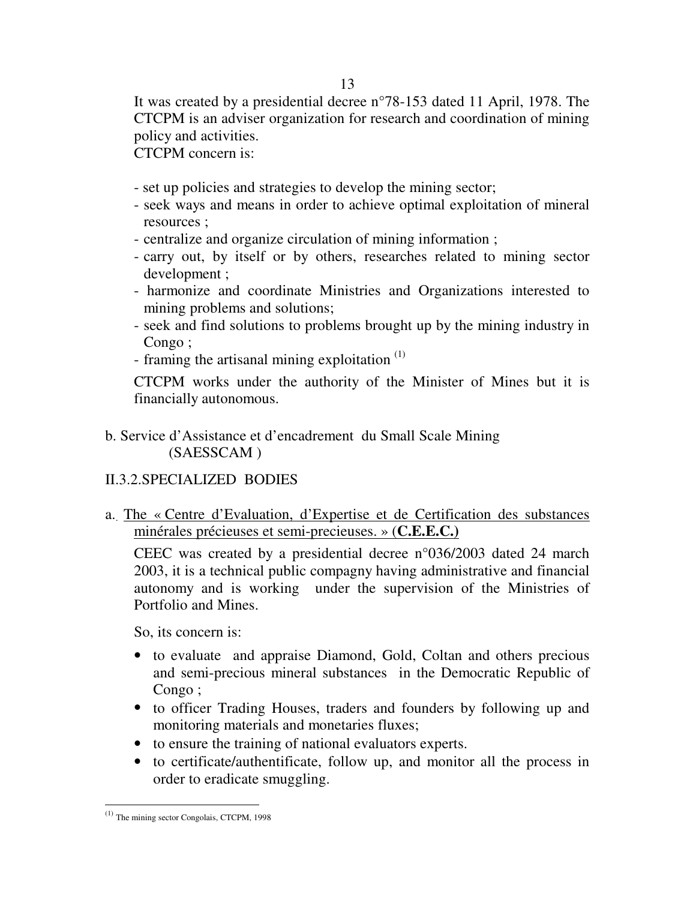It was created by a presidential decree n°78-153 dated 11 April, 1978. The CTCPM is an adviser organization for research and coordination of mining policy and activities.

CTCPM concern is:

- set up policies and strategies to develop the mining sector;
- seek ways and means in order to achieve optimal exploitation of mineral resources ;
- centralize and organize circulation of mining information ;
- carry out, by itself or by others, researches related to mining sector development ;
- harmonize and coordinate Ministries and Organizations interested to mining problems and solutions;
- seek and find solutions to problems brought up by the mining industry in Congo ;
- framing the artisanal mining exploitation<sup>(1)</sup>

CTCPM works under the authority of the Minister of Mines but it is financially autonomous.

b. Service d'Assistance et d'encadrement du Small Scale Mining (SAESSCAM )

## II.3.2.SPECIALIZED BODIES

a.. The « Centre d'Evaluation, d'Expertise et de Certification des substances minérales précieuses et semi-precieuses. » (**C.E.E.C.)**

CEEC was created by a presidential decree n°036/2003 dated 24 march 2003, it is a technical public compagny having administrative and financial autonomy and is working under the supervision of the Ministries of Portfolio and Mines.

So, its concern is:

- to evaluate and appraise Diamond, Gold, Coltan and others precious and semi-precious mineral substances in the Democratic Republic of Congo ;
- to officer Trading Houses, traders and founders by following up and monitoring materials and monetaries fluxes;
- to ensure the training of national evaluators experts.
- to certificate/authentificate, follow up, and monitor all the process in order to eradicate smuggling.

 $\overline{a}$  $<sup>(1)</sup>$  The mining sector Congolais, CTCPM, 1998</sup>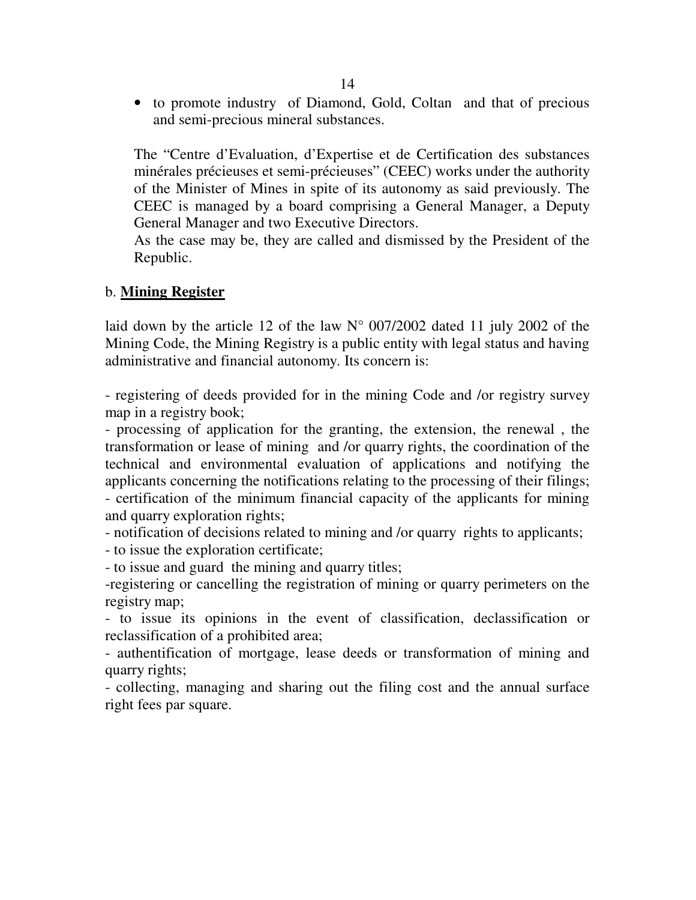• to promote industry of Diamond, Gold, Coltan and that of precious and semi-precious mineral substances.

The "Centre d'Evaluation, d'Expertise et de Certification des substances minérales précieuses et semi-précieuses" (CEEC) works under the authority of the Minister of Mines in spite of its autonomy as said previously. The CEEC is managed by a board comprising a General Manager, a Deputy General Manager and two Executive Directors.

As the case may be, they are called and dismissed by the President of the Republic.

## b. **Mining Register**

laid down by the article 12 of the law  $N^{\circ}$  007/2002 dated 11 july 2002 of the Mining Code, the Mining Registry is a public entity with legal status and having administrative and financial autonomy. Its concern is:

- registering of deeds provided for in the mining Code and /or registry survey map in a registry book;

- processing of application for the granting, the extension, the renewal , the transformation or lease of mining and /or quarry rights, the coordination of the technical and environmental evaluation of applications and notifying the applicants concerning the notifications relating to the processing of their filings; - certification of the minimum financial capacity of the applicants for mining and quarry exploration rights;

- notification of decisions related to mining and /or quarry rights to applicants;

- to issue the exploration certificate;

- to issue and guard the mining and quarry titles;

-registering or cancelling the registration of mining or quarry perimeters on the registry map;

- to issue its opinions in the event of classification, declassification or reclassification of a prohibited area;

- authentification of mortgage, lease deeds or transformation of mining and quarry rights;

- collecting, managing and sharing out the filing cost and the annual surface right fees par square.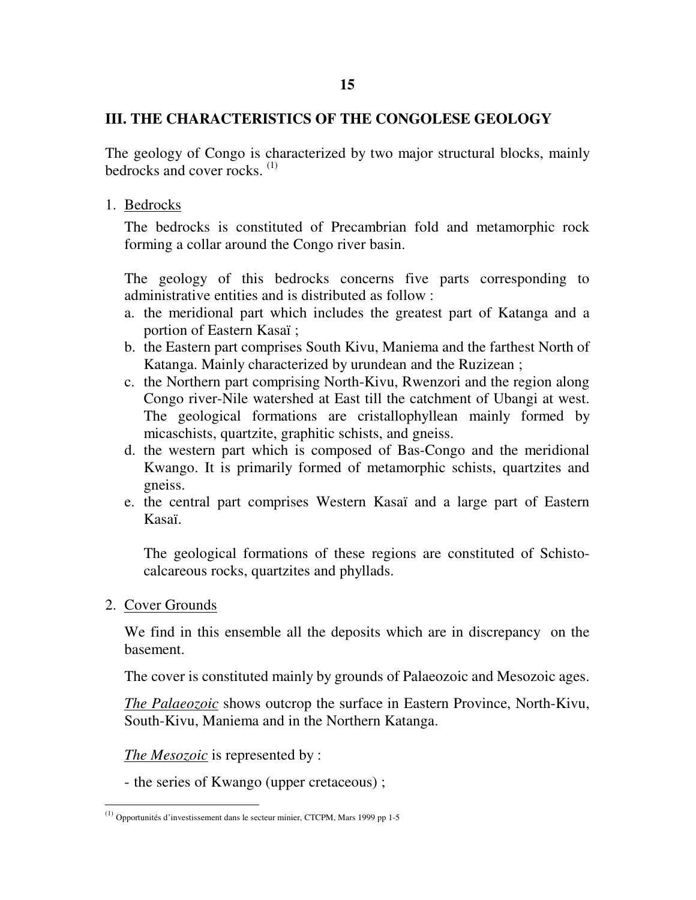### **III. THE CHARACTERISTICS OF THE CONGOLESE GEOLOGY**

The geology of Congo is characterized by two major structural blocks, mainly bedrocks and cover rocks. (1)

1. Bedrocks

The bedrocks is constituted of Precambrian fold and metamorphic rock forming a collar around the Congo river basin.

The geology of this bedrocks concerns five parts corresponding to administrative entities and is distributed as follow :

- a. the meridional part which includes the greatest part of Katanga and a portion of Eastern Kasaï ;
- b. the Eastern part comprises South Kivu, Maniema and the farthest North of Katanga. Mainly characterized by urundean and the Ruzizean ;
- c. the Northern part comprising North-Kivu, Rwenzori and the region along Congo river-Nile watershed at East till the catchment of Ubangi at west. The geological formations are cristallophyllean mainly formed by micaschists, quartzite, graphitic schists, and gneiss.
- d. the western part which is composed of Bas-Congo and the meridional Kwango. It is primarily formed of metamorphic schists, quartzites and gneiss.
- e. the central part comprises Western Kasaï and a large part of Eastern Kasaï.

The geological formations of these regions are constituted of Schistocalcareous rocks, quartzites and phyllads.

2. Cover Grounds

 $\overline{a}$ 

We find in this ensemble all the deposits which are in discrepancy on the basement.

The cover is constituted mainly by grounds of Palaeozoic and Mesozoic ages.

*The Palaeozoic* shows outcrop the surface in Eastern Province, North-Kivu, South-Kivu, Maniema and in the Northern Katanga.

*The Mesozoic* is represented by :

- the series of Kwango (upper cretaceous) ;

 $(1)$  Opportunités d'investissement dans le secteur minier, CTCPM, Mars 1999 pp 1-5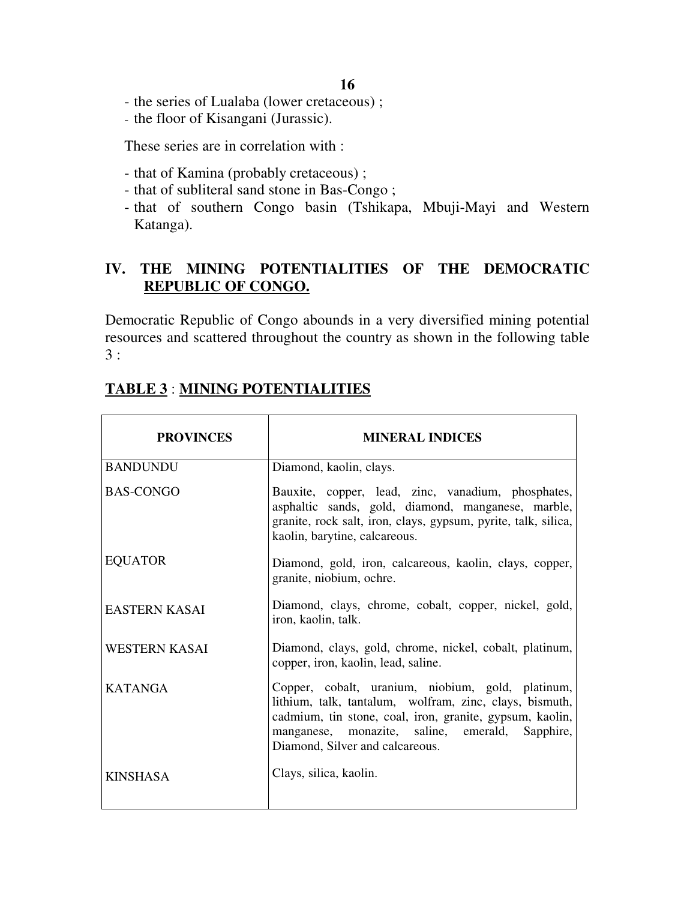- the series of Lualaba (lower cretaceous) ;
- the floor of Kisangani (Jurassic).

These series are in correlation with :

- that of Kamina (probably cretaceous) ;
- that of subliteral sand stone in Bas-Congo ;
- that of southern Congo basin (Tshikapa, Mbuji-Mayi and Western Katanga).

## **IV. THE MINING POTENTIALITIES OF THE DEMOCRATIC REPUBLIC OF CONGO.**

Democratic Republic of Congo abounds in a very diversified mining potential resources and scattered throughout the country as shown in the following table 3 :

| <b>PROVINCES</b>     | <b>MINERAL INDICES</b>                                                                                                                                                                                                                                         |
|----------------------|----------------------------------------------------------------------------------------------------------------------------------------------------------------------------------------------------------------------------------------------------------------|
| <b>BANDUNDU</b>      | Diamond, kaolin, clays.                                                                                                                                                                                                                                        |
| <b>BAS-CONGO</b>     | Bauxite, copper, lead, zinc, vanadium, phosphates,<br>asphaltic sands, gold, diamond, manganese, marble,<br>granite, rock salt, iron, clays, gypsum, pyrite, talk, silica,<br>kaolin, barytine, calcareous.                                                    |
| <b>EQUATOR</b>       | Diamond, gold, iron, calcareous, kaolin, clays, copper,<br>granite, niobium, ochre.                                                                                                                                                                            |
| <b>EASTERN KASAI</b> | Diamond, clays, chrome, cobalt, copper, nickel, gold,<br>iron, kaolin, talk.                                                                                                                                                                                   |
| <b>WESTERN KASAI</b> | Diamond, clays, gold, chrome, nickel, cobalt, platinum,<br>copper, iron, kaolin, lead, saline.                                                                                                                                                                 |
| <b>KATANGA</b>       | Copper, cobalt, uranium, niobium, gold, platinum,<br>lithium, talk, tantalum, wolfram, zinc, clays, bismuth,<br>cadmium, tin stone, coal, iron, granite, gypsum, kaolin,<br>manganese, monazite, saline, emerald, Sapphire,<br>Diamond, Silver and calcareous. |
| <b>KINSHASA</b>      | Clays, silica, kaolin.                                                                                                                                                                                                                                         |

## **TABLE 3** : **MINING POTENTIALITIES**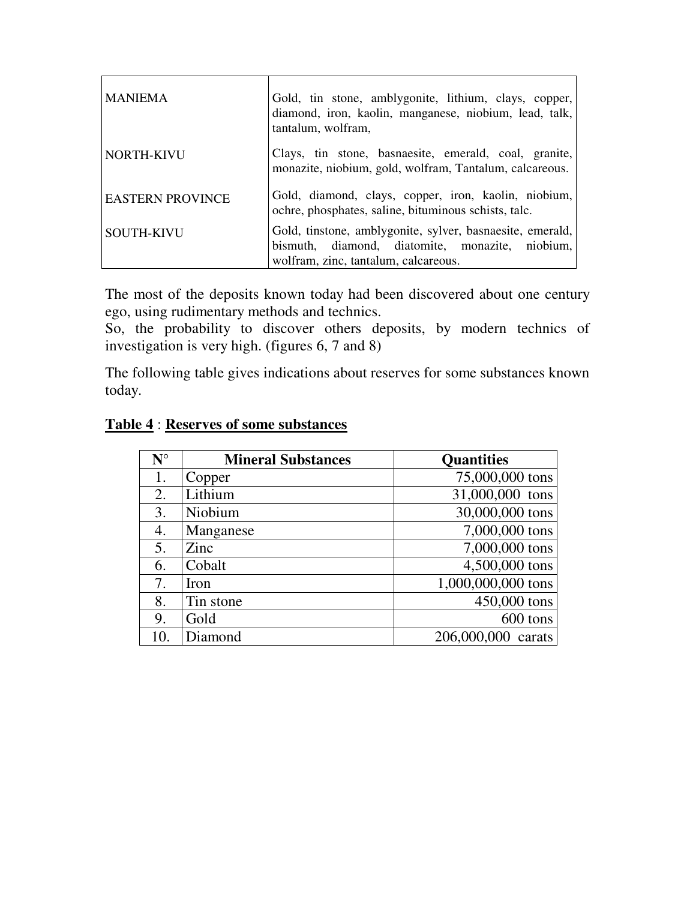| I MANIEMA               | Gold, tin stone, amblygonite, lithium, clays, copper,<br>diamond, iron, kaolin, manganese, niobium, lead, talk,<br>tantalum, wolfram,                |
|-------------------------|------------------------------------------------------------------------------------------------------------------------------------------------------|
| NORTH-KIVU              | Clays, tin stone, basnaesite, emerald, coal, granite,<br>monazite, niobium, gold, wolfram, Tantalum, calcareous.                                     |
| <b>EASTERN PROVINCE</b> | Gold, diamond, clays, copper, iron, kaolin, niobium,<br>ochre, phosphates, saline, bituminous schists, talc.                                         |
| <b>SOUTH-KIVU</b>       | Gold, tinstone, amblygonite, sylver, basnaesite, emerald,<br>bismuth, diamond, diatomite, monazite, niobium,<br>wolfram, zinc, tantalum, calcareous. |

The most of the deposits known today had been discovered about one century ego, using rudimentary methods and technics.

So, the probability to discover others deposits, by modern technics of investigation is very high. (figures 6, 7 and 8)

The following table gives indications about reserves for some substances known today.

| $N^{\circ}$ | <b>Mineral Substances</b> | <b>Quantities</b>  |
|-------------|---------------------------|--------------------|
| 1.          | Copper                    | 75,000,000 tons    |
| 2.          | Lithium                   | 31,000,000 tons    |
| 3.          | Niobium                   | 30,000,000 tons    |
| 4.          | Manganese                 | 7,000,000 tons     |
| 5.          | Zinc                      | 7,000,000 tons     |
| 6.          | Cobalt                    | 4,500,000 tons     |
| 7.          | Iron                      | 1,000,000,000 tons |
| 8.          | Tin stone                 | 450,000 tons       |
| 9.          | Gold                      | 600 tons           |
| 10.         | Diamond                   | 206,000,000 carats |

#### **Table 4** : **Reserves of some substances**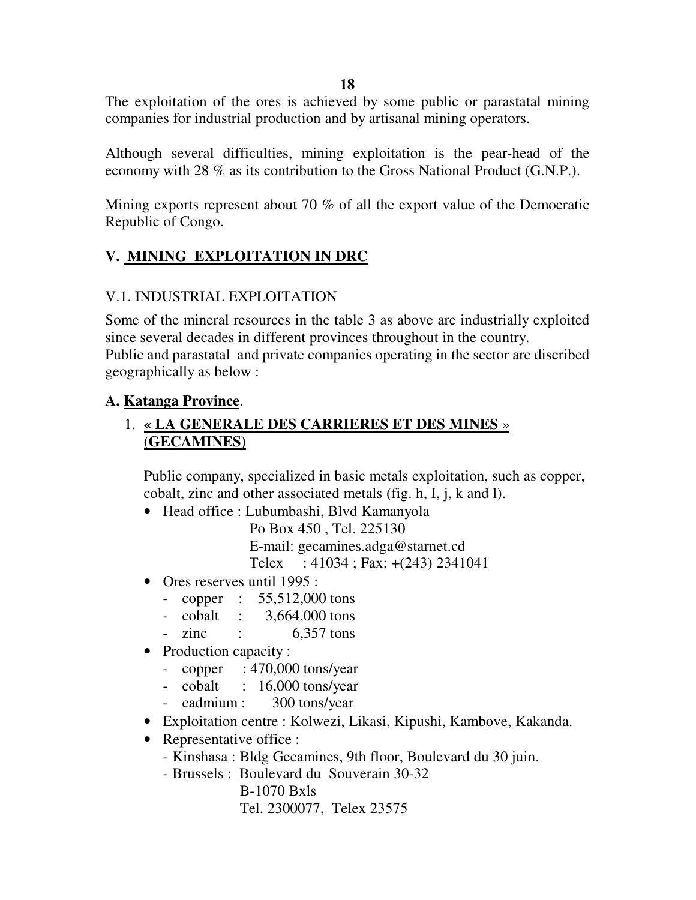**18** 

The exploitation of the ores is achieved by some public or parastatal mining companies for industrial production and by artisanal mining operators.

Although several difficulties, mining exploitation is the pear-head of the economy with 28 % as its contribution to the Gross National Product (G.N.P.).

Mining exports represent about 70 % of all the export value of the Democratic Republic of Congo.

## **V. MINING EXPLOITATION IN DRC**

### V.1. INDUSTRIAL EXPLOITATION

Some of the mineral resources in the table 3 as above are industrially exploited since several decades in different provinces throughout in the country. Public and parastatal and private companies operating in the sector are discribed geographically as below :

## **A. Katanga Province**.

## 1. **« LA GENERALE DES CARRIERES ET DES MINES** » (**GECAMINES)**

Public company, specialized in basic metals exploitation, such as copper, cobalt, zinc and other associated metals (fig. h, I, j, k and l).

- Head office : Lubumbashi, Blvd Kamanyola
	- Po Box 450 , Tel. 225130

E-mail: gecamines.adga@starnet.cd

Telex : 41034 ; Fax: +(243) 2341041

- Ores reserves until 1995 :
	- copper : 55,512,000 tons
	- cobalt : 3,664,000 tons
	- $-$  zinc :  $6,357$  tons
- Production capacity :
	- copper : 470,000 tons/year
	- cobalt : 16,000 tons/year
	- cadmium : 300 tons/year
- Exploitation centre : Kolwezi, Likasi, Kipushi, Kambove, Kakanda.
- Representative office :
	- Kinshasa : Bldg Gecamines, 9th floor, Boulevard du 30 juin.
	- Brussels : Boulevard du Souverain 30-32

B-1070 Bxls Tel. 2300077, Telex 23575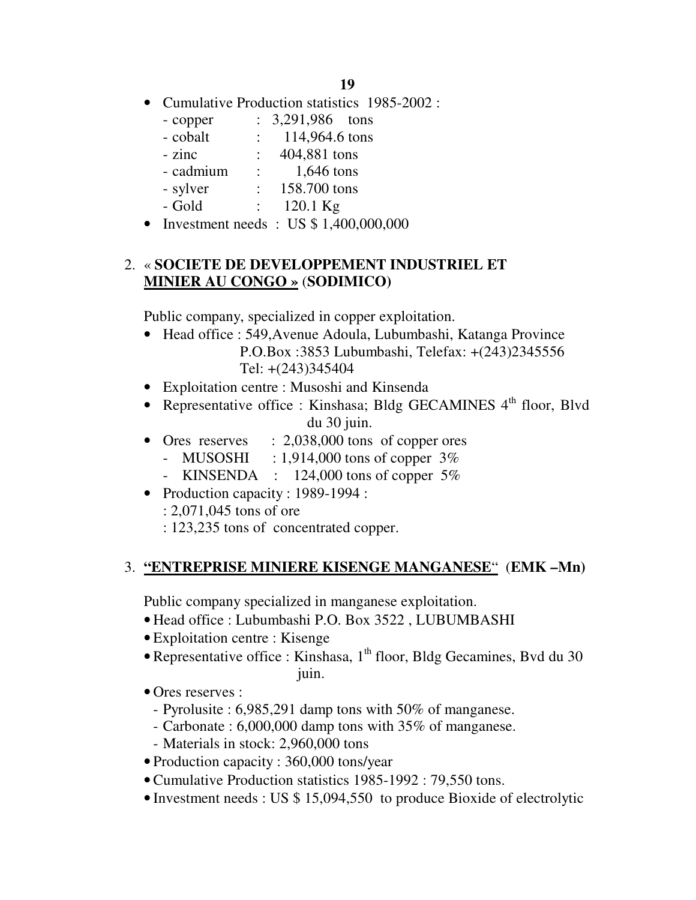- Cumulative Production statistics 1985-2002 :
	- copper : 3,291,986 tons
	- cobalt : 114,964.6 tons
	- zinc : 404,881 tons
	- cadmium : 1,646 tons
	- sylver : 158.700 tons
	- Gold : 120.1 Kg
- Investment needs : US \$ 1,400,000,000

### 2. « **SOCIETE DE DEVELOPPEMENT INDUSTRIEL ET MINIER AU CONGO »** (**SODIMICO)**

Public company, specialized in copper exploitation.

- Head office : 549, Avenue Adoula, Lubumbashi, Katanga Province P.O.Box :3853 Lubumbashi, Telefax: +(243)2345556 Tel: +(243)345404
- Exploitation centre : Musoshi and Kinsenda
- Representative office : Kinshasa; Bldg GECAMINES 4<sup>th</sup> floor, Blvd du 30 juin.
- Ores reserves : 2,038,000 tons of copper ores
	- MUSOSHI :  $1,914,000$  tons of copper  $3\%$
	- KINSENDA :  $124,000$  tons of copper  $5\%$
- Production capacity : 1989-1994 :
	- : 2,071,045 tons of ore
	- : 123,235 tons of concentrated copper.

### 3. **"ENTREPRISE MINIERE KISENGE MANGANESE**" (**EMK –Mn)**

Public company specialized in manganese exploitation.

- Head office : Lubumbashi P.O. Box 3522 , LUBUMBASHI
- Exploitation centre : Kisenge
- Representative office : Kinshasa, 1<sup>th</sup> floor, Bldg Gecamines, Bvd du 30 juin.
- Ores reserves :
	- Pyrolusite : 6,985,291 damp tons with 50% of manganese.
	- Carbonate : 6,000,000 damp tons with 35% of manganese.
	- Materials in stock: 2,960,000 tons
- Production capacity : 360,000 tons/year
- Cumulative Production statistics 1985-1992 : 79,550 tons.
- Investment needs : US \$ 15,094,550 to produce Bioxide of electrolytic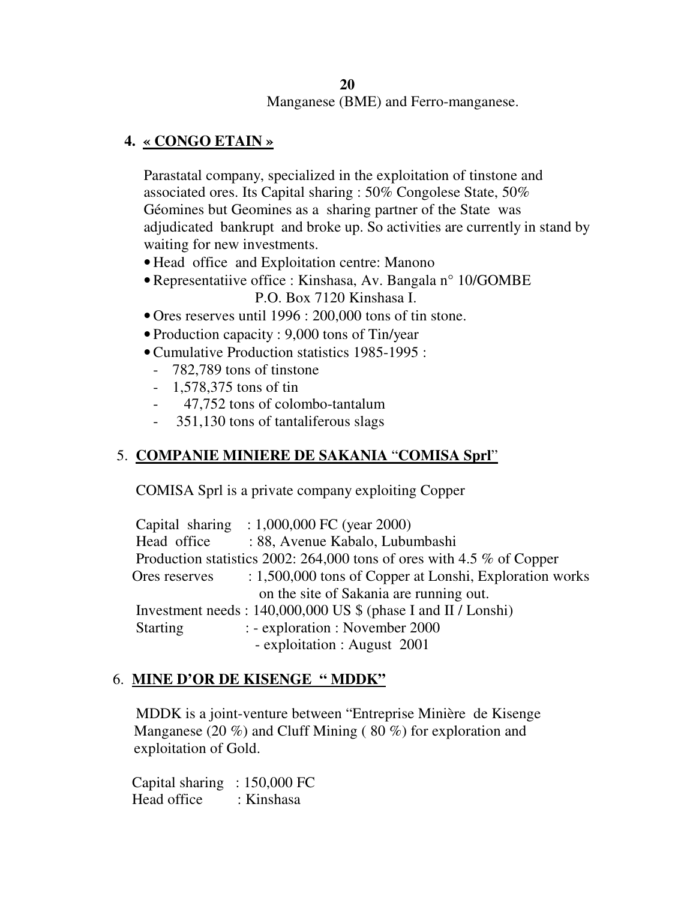### **20**  Manganese (BME) and Ferro-manganese.

## **4. « CONGO ETAIN »**

Parastatal company, specialized in the exploitation of tinstone and associated ores. Its Capital sharing : 50% Congolese State, 50% Géomines but Geomines as a sharing partner of the State was adjudicated bankrupt and broke up. So activities are currently in stand by waiting for new investments.

- Head office and Exploitation centre: Manono
- Representatiive office : Kinshasa, Av. Bangala n° 10/GOMBE P.O. Box 7120 Kinshasa I.
- Ores reserves until 1996 : 200,000 tons of tin stone.
- Production capacity : 9,000 tons of Tin/year
- Cumulative Production statistics 1985-1995 :
	- 782,789 tons of tinstone
	- 1,578,375 tons of tin
	- 47,752 tons of colombo-tantalum
	- 351,130 tons of tantaliferous slags

## 5. **COMPANIE MINIERE DE SAKANIA** "**COMISA Sprl**"

COMISA Sprl is a private company exploiting Copper

|                 | Capital sharing : $1,000,000$ FC (year 2000)                             |
|-----------------|--------------------------------------------------------------------------|
| Head office     | : 88, Avenue Kabalo, Lubumbashi                                          |
|                 | Production statistics 2002: 264,000 tons of ores with 4.5 $\%$ of Copper |
| Ores reserves   | : 1,500,000 tons of Copper at Lonshi, Exploration works                  |
|                 | on the site of Sakania are running out.                                  |
|                 | Investment needs: 140,000,000 US \$ (phase I and II / Lonshi)            |
| <b>Starting</b> | : - exploration : November 2000                                          |
|                 | - exploitation : August 2001                                             |

### 6. **MINE D'OR DE KISENGE " MDDK"**

 MDDK is a joint-venture between "Entreprise Minière de Kisenge Manganese (20 %) and Cluff Mining ( 80 %) for exploration and exploitation of Gold.

 Capital sharing : 150,000 FC Head office : Kinshasa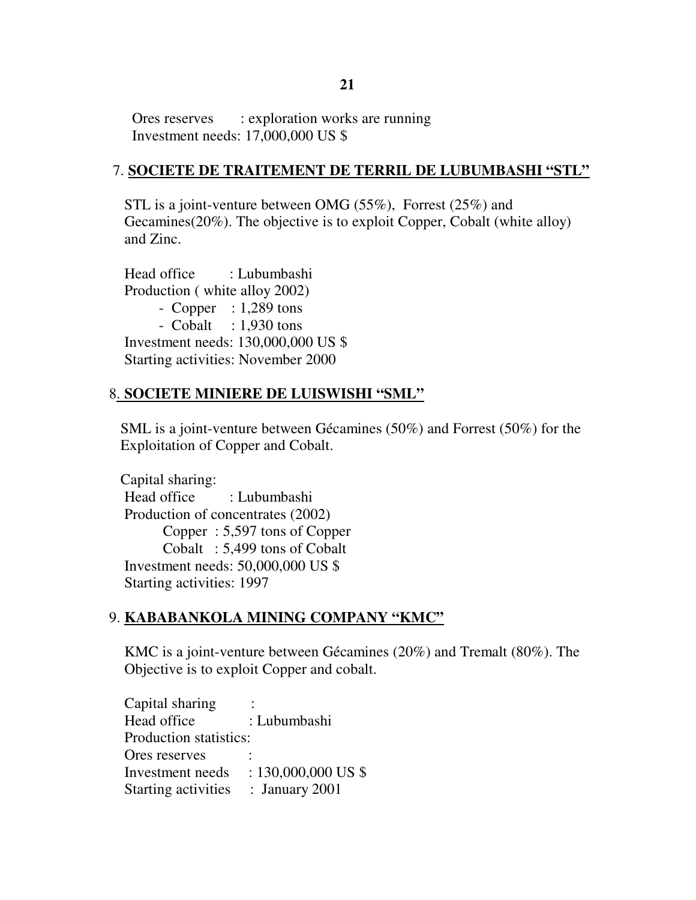Ores reserves : exploration works are running Investment needs: 17,000,000 US \$

### 7. **SOCIETE DE TRAITEMENT DE TERRIL DE LUBUMBASHI "STL"**

 STL is a joint-venture between OMG (55%), Forrest (25%) and Gecamines(20%). The objective is to exploit Copper, Cobalt (white alloy) and Zinc.

 Head office : Lubumbashi Production ( white alloy 2002) - Copper : 1,289 tons - Cobalt  $: 1,930$  tons Investment needs: 130,000,000 US \$ Starting activities: November 2000

## 8. **SOCIETE MINIERE DE LUISWISHI "SML"**

 SML is a joint-venture between Gécamines (50%) and Forrest (50%) for the Exploitation of Copper and Cobalt.

 Capital sharing: Head office : Lubumbashi Production of concentrates (2002) Copper : 5,597 tons of Copper Cobalt : 5,499 tons of Cobalt Investment needs: 50,000,000 US \$ Starting activities: 1997

## 9. **KABABANKOLA MINING COMPANY "KMC"**

 KMC is a joint-venture between Gécamines (20%) and Tremalt (80%). The Objective is to exploit Copper and cobalt.

| Capital sharing            |                       |
|----------------------------|-----------------------|
| Head office                | : Lubumbashi          |
| Production statistics:     |                       |
| Ores reserves              |                       |
| Investment needs           | $: 130,000,000$ US \$ |
| <b>Starting activities</b> | : January $2001$      |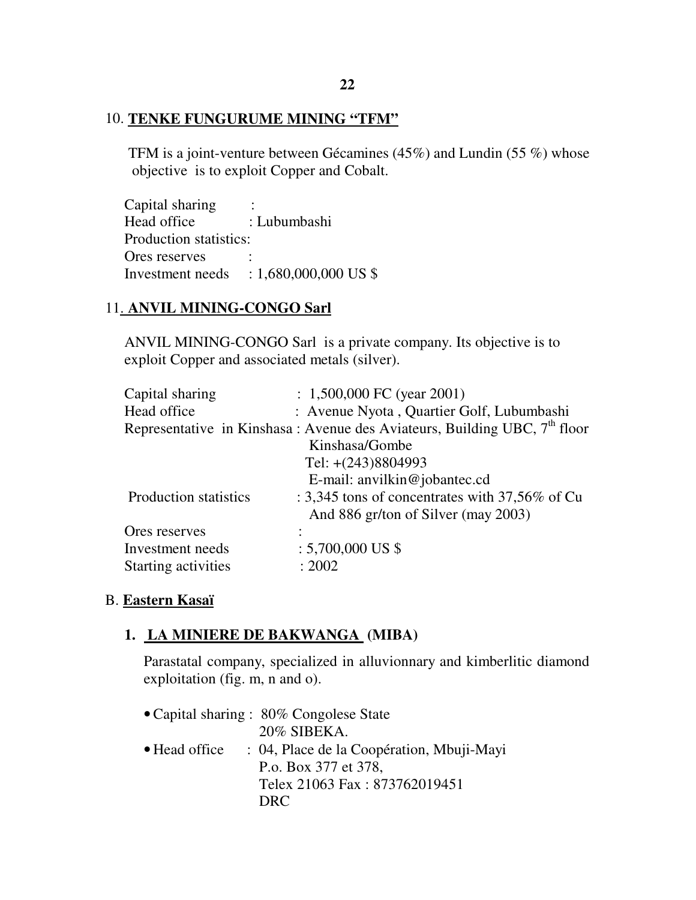#### 10. **TENKE FUNGURUME MINING "TFM"**

 TFM is a joint-venture between Gécamines (45%) and Lundin (55 %) whose objective is to exploit Copper and Cobalt.

Capital sharing : Head office : Lubumbashi Production statistics: Ores reserves Investment needs : 1,680,000,000 US \$

### 11. **ANVIL MINING-CONGO Sarl**

 ANVIL MINING-CONGO Sarl is a private company. Its objective is to exploit Copper and associated metals (silver).

| Capital sharing       | $: 1,500,000$ FC (year 2001)                                                |
|-----------------------|-----------------------------------------------------------------------------|
| Head office           | : Avenue Nyota, Quartier Golf, Lubumbashi                                   |
|                       | Representative in Kinshasa: Avenue des Aviateurs, Building UBC, $7th$ floor |
|                       | Kinshasa/Gombe                                                              |
|                       | Tel: $+(243)8804993$                                                        |
|                       | E-mail: anvilkin@jobantec.cd                                                |
| Production statistics | : 3,345 tons of concentrates with 37,56% of Cu                              |
|                       | And 886 gr/ton of Silver (may 2003)                                         |
| Ores reserves         |                                                                             |
| Investment needs      | $: 5,700,000$ US \$                                                         |
| Starting activities   | : 2002                                                                      |

#### B. **Eastern Kasaï**

#### **1. LA MINIERE DE BAKWANGA (MIBA)**

Parastatal company, specialized in alluvionnary and kimberlitic diamond exploitation (fig. m, n and o).

• Capital sharing : 80% Congolese State 20% SIBEKA. • Head office : 04, Place de la Coopération, Mbuji-Mayi P.o. Box 377 et 378, Telex 21063 Fax : 873762019451 DRC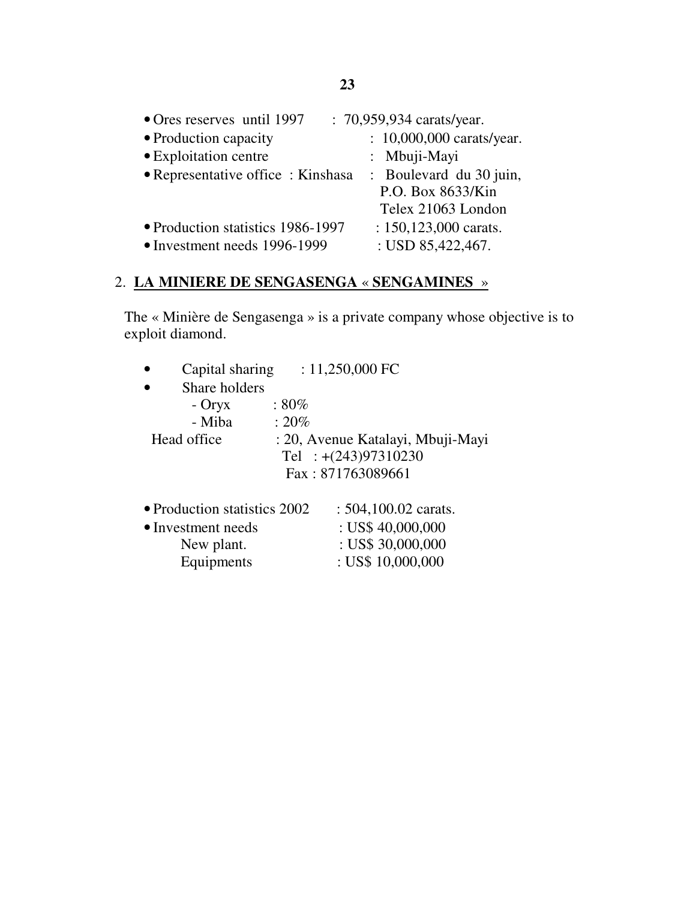| • Ores reserves until 1997        | : 70,959,934 carats/year. |
|-----------------------------------|---------------------------|
| • Production capacity             | : 10,000,000 carats/year. |
| • Exploitation centre             | : Mbuji-Mayi              |
| • Representative office: Kinshasa | : Boulevard du 30 juin,   |
|                                   | P.O. Box 8633/Kin         |
|                                   | Telex 21063 London        |
| • Production statistics 1986-1997 | : $150, 123, 000$ carats. |
| • Investment needs 1996-1999      | : USD 85,422,467.         |

# 2. **LA MINIERE DE SENGASENGA** « **SENGAMINES** »

The « Minière de Sengasenga » is a private company whose objective is to exploit diamond.

| Capital sharing              | : $11,250,000$ FC                 |
|------------------------------|-----------------------------------|
| Share holders                |                                   |
| $-$ Oryx                     | $:80\%$                           |
| - Miba                       | $: 20\%$                          |
| Head office                  | : 20, Avenue Katalayi, Mbuji-Mayi |
|                              | Tel : $+(243)97310230$            |
|                              | Fax: 871763089661                 |
|                              |                                   |
| • Production statistics 2002 | $: 504,100.02$ carats.            |
| • Investment needs           | : US\$ $40,000,000$               |
| New plant.                   | : US\$ $30,000,000$               |
| Equipments                   | : US\$ $10,000,000$               |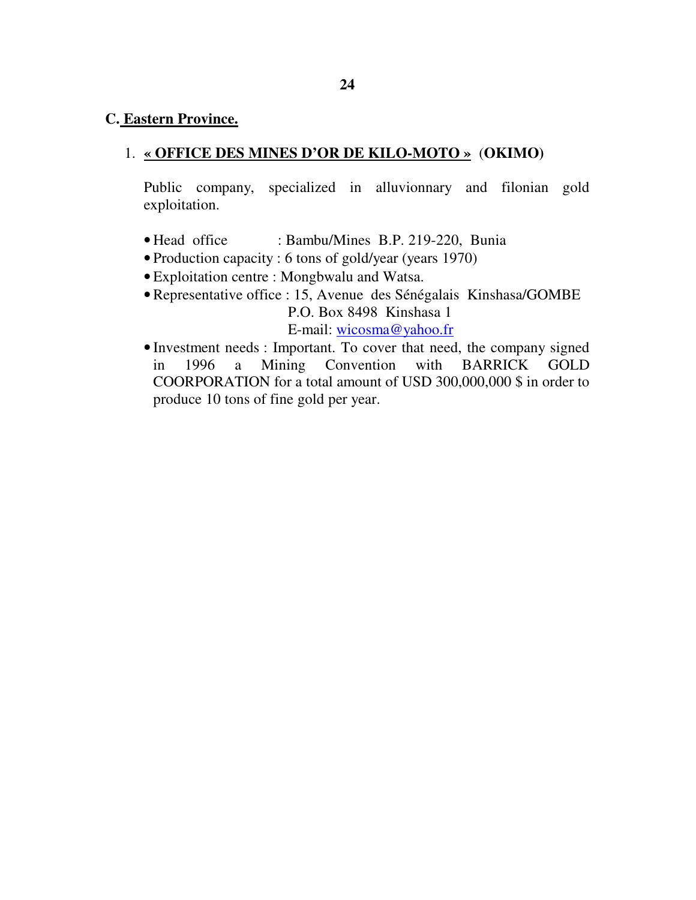#### **C. Eastern Province.**

### 1. **« OFFICE DES MINES D'OR DE KILO-MOTO »** (**OKIMO)**

Public company, specialized in alluvionnary and filonian gold exploitation.

- Head office : Bambu/Mines B.P. 219-220, Bunia
- Production capacity : 6 tons of gold/year (years 1970)
- Exploitation centre : Mongbwalu and Watsa.
- Representative office : 15, Avenue des Sénégalais Kinshasa/GOMBE P.O. Box 8498 Kinshasa 1 E-mail: wicosma@yahoo.fr
- Investment needs : Important. To cover that need, the company signed in 1996 a Mining Convention with BARRICK GOLD COORPORATION for a total amount of USD 300,000,000 \$ in order to produce 10 tons of fine gold per year.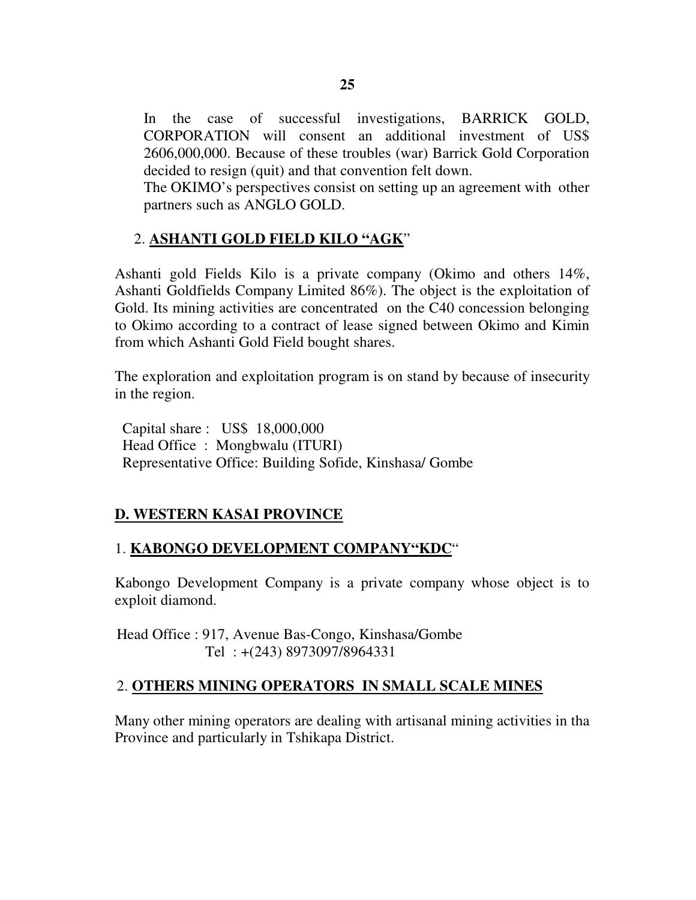In the case of successful investigations, BARRICK GOLD, CORPORATION will consent an additional investment of US\$ 2606,000,000. Because of these troubles (war) Barrick Gold Corporation decided to resign (quit) and that convention felt down.

The OKIMO's perspectives consist on setting up an agreement with other partners such as ANGLO GOLD.

# 2. **ASHANTI GOLD FIELD KILO "AGK**"

Ashanti gold Fields Kilo is a private company (Okimo and others 14%, Ashanti Goldfields Company Limited 86%). The object is the exploitation of Gold. Its mining activities are concentrated on the C40 concession belonging to Okimo according to a contract of lease signed between Okimo and Kimin from which Ashanti Gold Field bought shares.

The exploration and exploitation program is on stand by because of insecurity in the region.

 Capital share : US\$ 18,000,000 Head Office : Mongbwalu (ITURI) Representative Office: Building Sofide, Kinshasa/ Gombe

# **D. WESTERN KASAI PROVINCE**

## 1. **KABONGO DEVELOPMENT COMPANY"KDC**"

Kabongo Development Company is a private company whose object is to exploit diamond.

 Head Office : 917, Avenue Bas-Congo, Kinshasa/Gombe Tel : +(243) 8973097/8964331

## 2. **OTHERS MINING OPERATORS IN SMALL SCALE MINES**

Many other mining operators are dealing with artisanal mining activities in tha Province and particularly in Tshikapa District.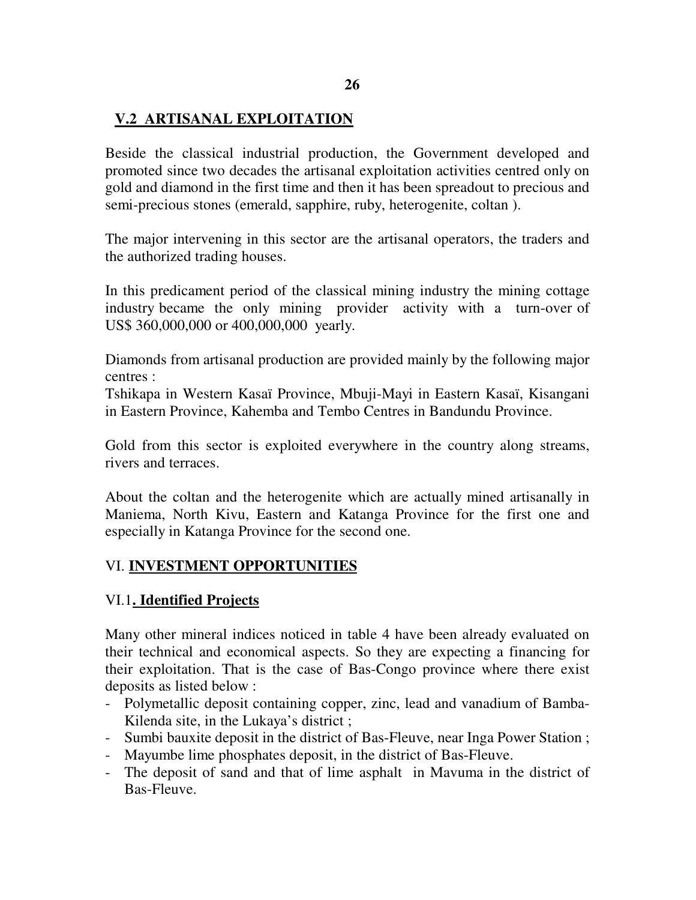## **V.2 ARTISANAL EXPLOITATION**

Beside the classical industrial production, the Government developed and promoted since two decades the artisanal exploitation activities centred only on gold and diamond in the first time and then it has been spreadout to precious and semi-precious stones (emerald, sapphire, ruby, heterogenite, coltan ).

The major intervening in this sector are the artisanal operators, the traders and the authorized trading houses.

In this predicament period of the classical mining industry the mining cottage industry became the only mining provider activity with a turn-over of US\$ 360,000,000 or 400,000,000 yearly.

Diamonds from artisanal production are provided mainly by the following major centres :

Tshikapa in Western Kasaï Province, Mbuji-Mayi in Eastern Kasaï, Kisangani in Eastern Province, Kahemba and Tembo Centres in Bandundu Province.

Gold from this sector is exploited everywhere in the country along streams, rivers and terraces.

About the coltan and the heterogenite which are actually mined artisanally in Maniema, North Kivu, Eastern and Katanga Province for the first one and especially in Katanga Province for the second one.

### VI. **INVESTMENT OPPORTUNITIES**

### VI.1**. Identified Projects**

Many other mineral indices noticed in table 4 have been already evaluated on their technical and economical aspects. So they are expecting a financing for their exploitation. That is the case of Bas-Congo province where there exist deposits as listed below :

- Polymetallic deposit containing copper, zinc, lead and vanadium of Bamba-Kilenda site, in the Lukaya's district ;
- Sumbi bauxite deposit in the district of Bas-Fleuve, near Inga Power Station ;
- Mayumbe lime phosphates deposit, in the district of Bas-Fleuve.
- The deposit of sand and that of lime asphalt in Mavuma in the district of Bas-Fleuve.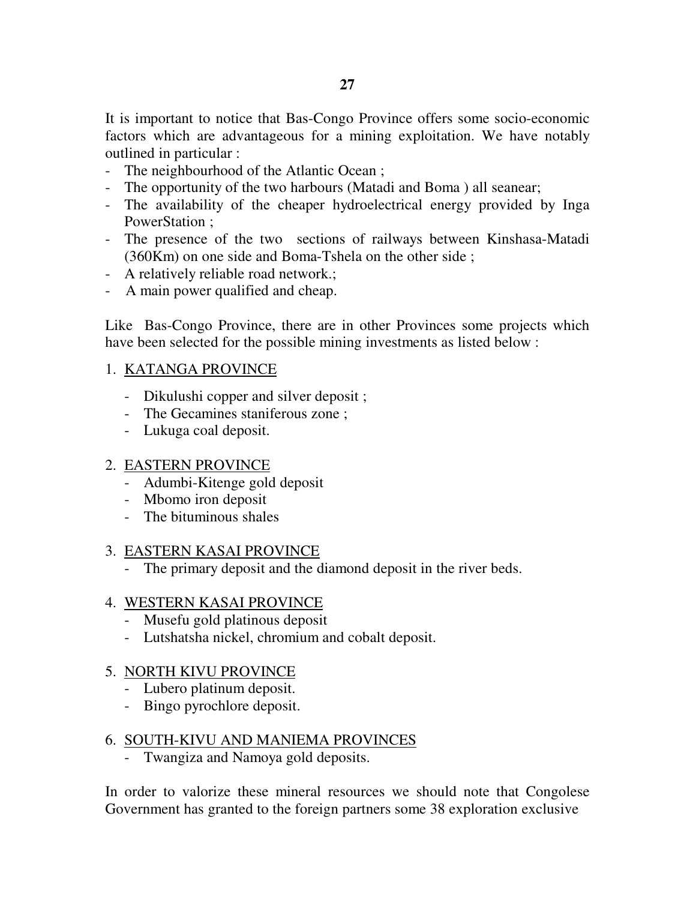It is important to notice that Bas-Congo Province offers some socio-economic factors which are advantageous for a mining exploitation. We have notably outlined in particular :

- The neighbourhood of the Atlantic Ocean ;
- The opportunity of the two harbours (Matadi and Boma ) all seanear;
- The availability of the cheaper hydroelectrical energy provided by Inga PowerStation ;
- The presence of the two sections of railways between Kinshasa-Matadi (360Km) on one side and Boma-Tshela on the other side ;
- A relatively reliable road network.;
- A main power qualified and cheap.

Like Bas-Congo Province, there are in other Provinces some projects which have been selected for the possible mining investments as listed below :

### 1. KATANGA PROVINCE

- Dikulushi copper and silver deposit ;
- The Gecamines staniferous zone ;
- Lukuga coal deposit.

### 2. EASTERN PROVINCE

- Adumbi-Kitenge gold deposit
- Mbomo iron deposit
- The bituminous shales

### 3. EASTERN KASAI PROVINCE

- The primary deposit and the diamond deposit in the river beds.

### 4. WESTERN KASAI PROVINCE

- Musefu gold platinous deposit
- Lutshatsha nickel, chromium and cobalt deposit.

### 5. NORTH KIVU PROVINCE

- Lubero platinum deposit.
- Bingo pyrochlore deposit.

### 6. SOUTH-KIVU AND MANIEMA PROVINCES

- Twangiza and Namoya gold deposits.

In order to valorize these mineral resources we should note that Congolese Government has granted to the foreign partners some 38 exploration exclusive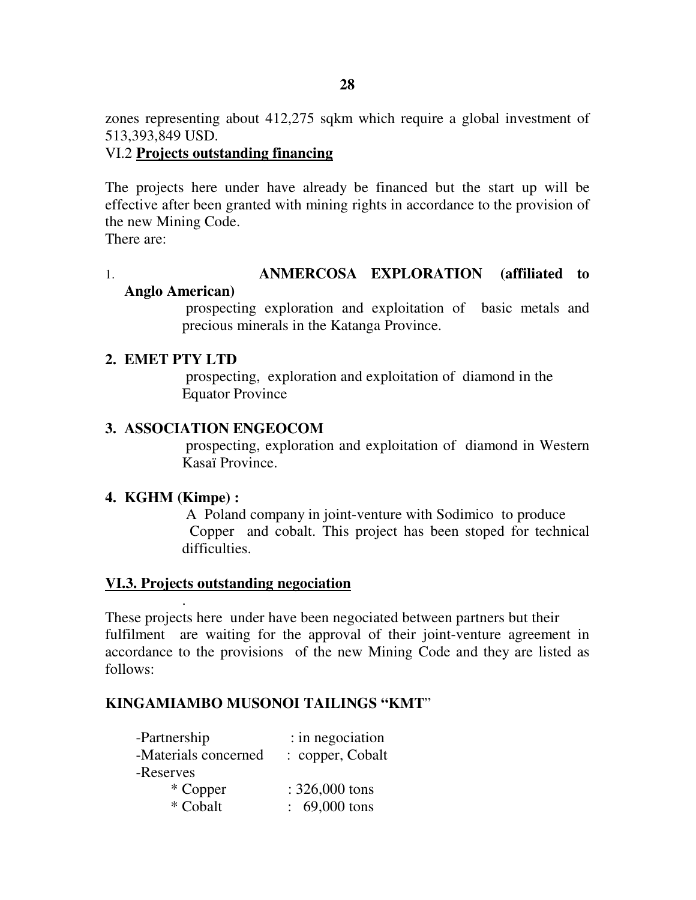zones representing about 412,275 sqkm which require a global investment of 513,393,849 USD.

### VI.2 **Projects outstanding financing**

The projects here under have already be financed but the start up will be effective after been granted with mining rights in accordance to the provision of the new Mining Code.

There are:

#### 1. **ANMERCOSA EXPLORATION (affiliated to Anglo American)**

 prospecting exploration and exploitation of basic metals and precious minerals in the Katanga Province.

#### **2. EMET PTY LTD**

 prospecting, exploration and exploitation of diamond in the Equator Province

### **3. ASSOCIATION ENGEOCOM**

 prospecting, exploration and exploitation of diamond in Western Kasaï Province.

### **4. KGHM (Kimpe) :**

.

 A Poland company in joint-venture with Sodimico to produce Copper and cobalt. This project has been stoped for technical difficulties.

### **VI.3. Projects outstanding negociation**

These projects here under have been negociated between partners but their fulfilment are waiting for the approval of their joint-venture agreement in accordance to the provisions of the new Mining Code and they are listed as follows:

### **KINGAMIAMBO MUSONOI TAILINGS "KMT**"

| -Partnership         | : in negociation         |  |  |
|----------------------|--------------------------|--|--|
| -Materials concerned | : copper, Cobalt         |  |  |
| -Reserves            |                          |  |  |
| * Copper             | $: 326,000$ tons         |  |  |
| * Cobalt             | $\therefore$ 69,000 tons |  |  |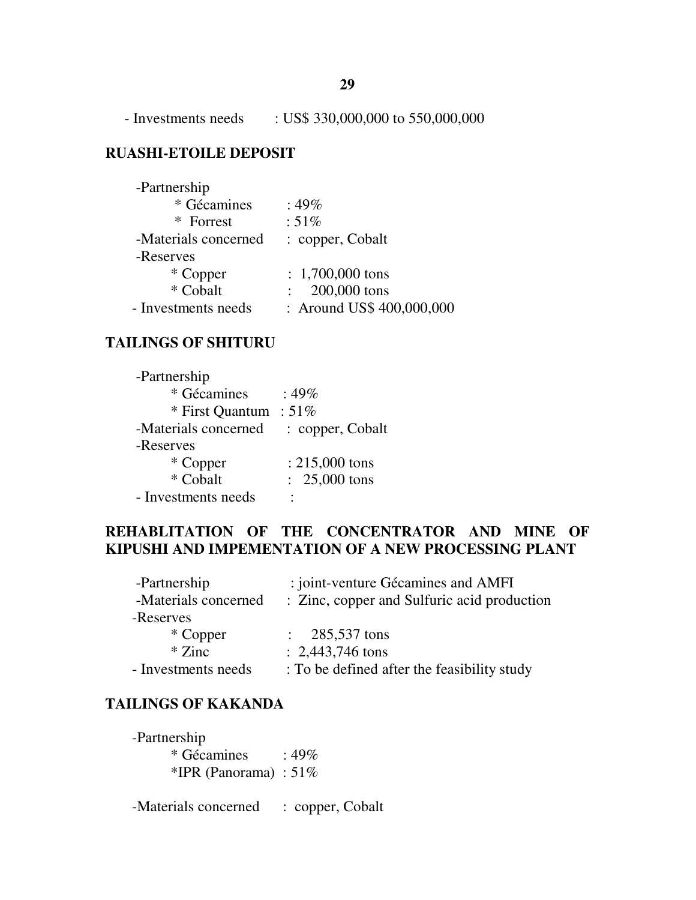- Investments needs : US\$ 330,000,000 to 550,000,000

## **RUASHI-ETOILE DEPOSIT**

| -Partnership         |                           |
|----------------------|---------------------------|
| * Gécamines          | $:49\%$                   |
| * Forrest            | $:51\%$                   |
| -Materials concerned | : copper, Cobalt          |
| -Reserves            |                           |
| * Copper             | $: 1,700,000$ tons        |
| * Cobalt             | 200,000 tons              |
| - Investments needs  | : Around US\$ 400,000,000 |

## **TAILINGS OF SHITURU**

| -Partnership         |                  |
|----------------------|------------------|
| * Gécamines          | : 49%            |
| * First Quantum      | $:51\%$          |
| -Materials concerned | : copper, Cobalt |
| -Reserves            |                  |
| * Copper             | $: 215,000$ tons |
| * Cobalt             | $: 25,000$ tons  |
| - Investments needs  |                  |

## **REHABLITATION OF THE CONCENTRATOR AND MINE OF KIPUSHI AND IMPEMENTATION OF A NEW PROCESSING PLANT**

| -Partnership         | : joint-venture Gécamines and AMFI          |  |  |
|----------------------|---------------------------------------------|--|--|
| -Materials concerned | : Zinc, copper and Sulfuric acid production |  |  |
| -Reserves            |                                             |  |  |
| * Copper             | $\therefore$ 285,537 tons                   |  |  |
| $*$ Zinc             | $: 2,443,746$ tons                          |  |  |
| - Investments needs  | : To be defined after the feasibility study |  |  |

## **TAILINGS OF KAKANDA**

| -Partnership             |         |
|--------------------------|---------|
| * Gécamines              | $:49\%$ |
| *IPR (Panorama) : $51\%$ |         |

-Materials concerned : copper, Cobalt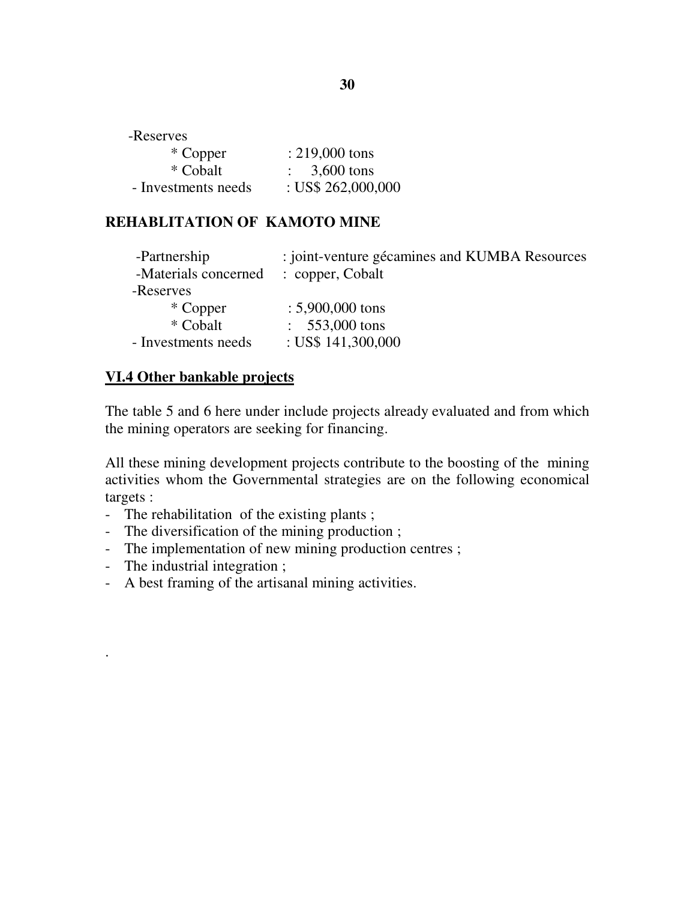| -Reserves           |                         |
|---------------------|-------------------------|
| * Copper            | $: 219,000$ tons        |
| * Cobalt            | $\therefore$ 3,600 tons |
| - Investments needs | : US\$ 262,000,000      |

### **REHABLITATION OF KAMOTO MINE**

| : joint-venture gécamines and KUMBA Resources |  |  |
|-----------------------------------------------|--|--|
| : copper, Cobalt                              |  |  |
|                                               |  |  |
| $: 5,900,000$ tons                            |  |  |
| $\therefore$ 553,000 tons                     |  |  |
| : US\$ $141,300,000$                          |  |  |
|                                               |  |  |

### **VI.4 Other bankable projects**

The table 5 and 6 here under include projects already evaluated and from which the mining operators are seeking for financing.

All these mining development projects contribute to the boosting of the mining activities whom the Governmental strategies are on the following economical targets :

- The rehabilitation of the existing plants ;
- The diversification of the mining production ;
- The implementation of new mining production centres;
- The industrial integration ;

.

- A best framing of the artisanal mining activities.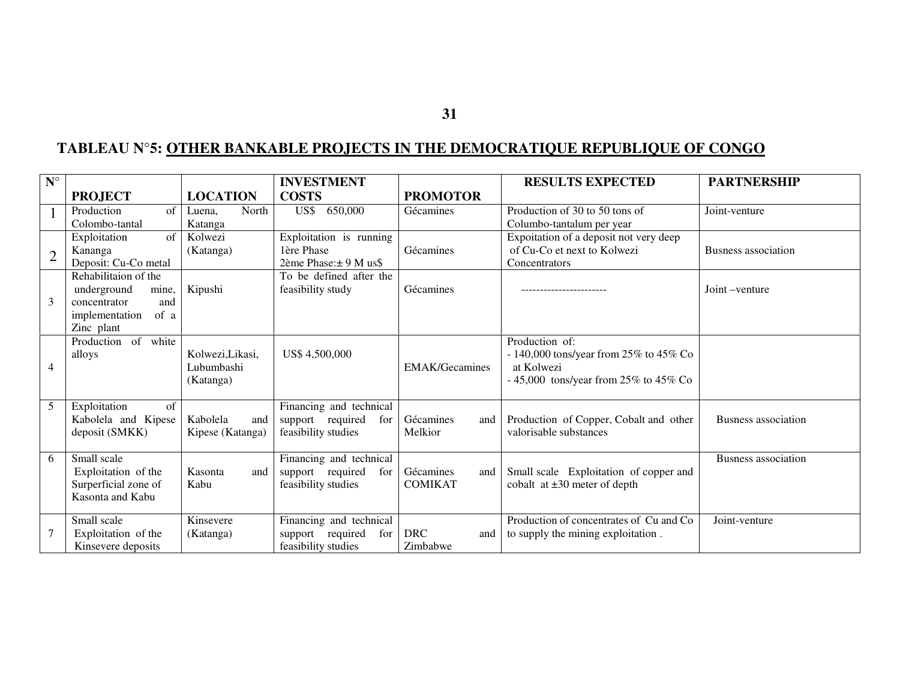# **TABLEAU N°5: OTHER BANKABLE PROJECTS IN THE DEMOCRATIQUE REPUBLIQUE OF CONGO**

| $N^{\circ}$    |                            |                  | <b>INVESTMENT</b>       |                       | <b>RESULTS EXPECTED</b>                  | <b>PARTNERSHIP</b>         |
|----------------|----------------------------|------------------|-------------------------|-----------------------|------------------------------------------|----------------------------|
|                | <b>PROJECT</b>             | <b>LOCATION</b>  | <b>COSTS</b>            | <b>PROMOTOR</b>       |                                          |                            |
|                | Production<br>of           | North<br>Luena.  | 650,000<br>US\$         | Gécamines             | Production of 30 to 50 tons of           | Joint-venture              |
|                | Colombo-tantal             | Katanga          |                         |                       | Columbo-tantalum per year                |                            |
|                | of<br>Exploitation         | Kolwezi          | Exploitation is running |                       | Expoitation of a deposit not very deep   |                            |
| $\overline{2}$ | Kananga                    | (Katanga)        | 1ère Phase              | Gécamines             | of Cu-Co et next to Kolwezi              | <b>Busness</b> association |
|                | Deposit: Cu-Co metal       |                  | 2ème Phase: ± 9 M us\$  |                       | Concentrators                            |                            |
|                | Rehabilitaion of the       |                  | To be defined after the |                       |                                          |                            |
|                | underground<br>mine,       | Kipushi          | feasibility study       | Gécamines             |                                          | Joint-venture              |
| 3              | concentrator<br>and        |                  |                         |                       |                                          |                            |
|                | of a<br>implementation     |                  |                         |                       |                                          |                            |
|                | Zinc plant                 |                  |                         |                       |                                          |                            |
|                | Production of white        |                  |                         |                       | Production of:                           |                            |
|                | alloys                     | Kolwezi, Likasi, | US\$4,500,000           |                       | - 140,000 tons/year from 25% to 45% Co   |                            |
| $\overline{4}$ |                            | Lubumbashi       |                         | <b>EMAK/Gecamines</b> | at Kolwezi                               |                            |
|                |                            | (Katanga)        |                         |                       | - 45,000 tons/year from $25\%$ to 45% Co |                            |
|                |                            |                  |                         |                       |                                          |                            |
| 5              | Exploitation<br>$\sigma$ f |                  | Financing and technical |                       |                                          |                            |
|                | Kabolela and Kipese        | Kabolela<br>and  | support required<br>for | Gécamines<br>and      | Production of Copper, Cobalt and other   | <b>Busness</b> association |
|                | deposit (SMKK)             | Kipese (Katanga) | feasibility studies     | Melkior               | valorisable substances                   |                            |
|                |                            |                  |                         |                       |                                          |                            |
| 6              | Small scale                |                  | Financing and technical |                       |                                          | <b>Busness</b> association |
|                | Exploitation of the        | Kasonta<br>and   | support required<br>for | Gécamines<br>and      | Small scale Exploitation of copper and   |                            |
|                | Surperficial zone of       | Kabu             | feasibility studies     | <b>COMIKAT</b>        | cobalt at $\pm 30$ meter of depth        |                            |
|                | Kasonta and Kabu           |                  |                         |                       |                                          |                            |
|                | Small scale                | Kinsevere        | Financing and technical |                       | Production of concentrates of Cu and Co  | Joint-venture              |
|                | Exploitation of the        | (Katanga)        | support required<br>for | <b>DRC</b><br>and     | to supply the mining exploitation.       |                            |
|                | Kinsevere deposits         |                  | feasibility studies     | Zimbabwe              |                                          |                            |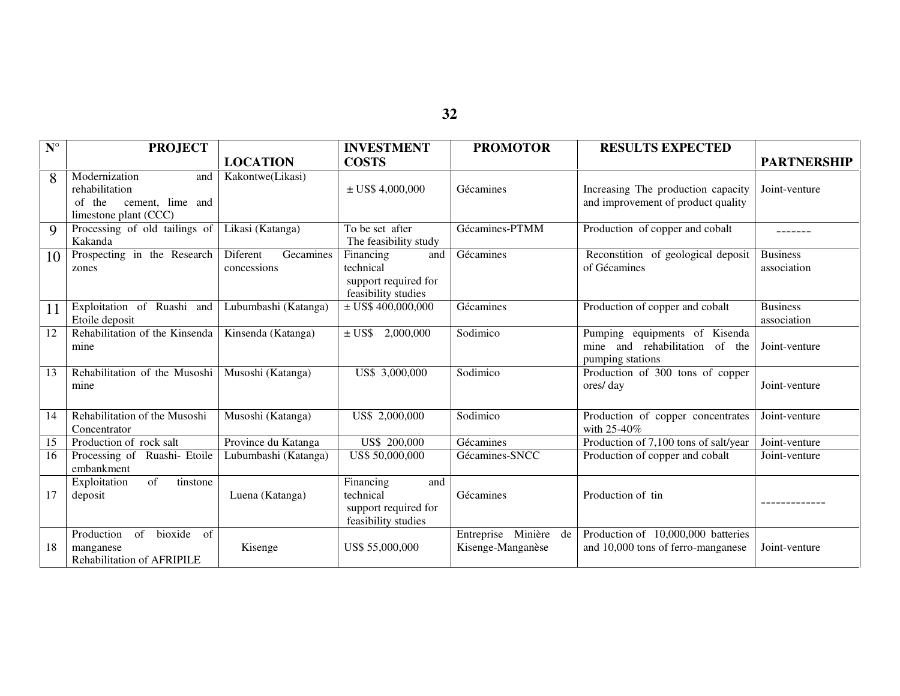| $\mathbf{N}^\circ$ | <b>PROJECT</b>                                                                                |                                      | <b>INVESTMENT</b>                                                            | <b>PROMOTOR</b>                               | <b>RESULTS EXPECTED</b>                                                             |                                |
|--------------------|-----------------------------------------------------------------------------------------------|--------------------------------------|------------------------------------------------------------------------------|-----------------------------------------------|-------------------------------------------------------------------------------------|--------------------------------|
|                    |                                                                                               | <b>LOCATION</b>                      | <b>COSTS</b>                                                                 |                                               |                                                                                     | <b>PARTNERSHIP</b>             |
| 8                  | Modernization<br>and<br>rehabilitation<br>of the<br>cement, lime and<br>limestone plant (CCC) | Kakontwe(Likasi)                     | $\pm$ US\$ 4,000,000                                                         | Gécamines                                     | Increasing The production capacity<br>and improvement of product quality            | Joint-venture                  |
| 9                  | Processing of old tailings of<br>Kakanda                                                      | Likasi (Katanga)                     | To be set after<br>The feasibility study                                     | Gécamines-PTMM                                | Production of copper and cobalt                                                     | -------                        |
| 10                 | Prospecting in the Research<br>zones                                                          | Diferent<br>Gecamines<br>concessions | Financing<br>and<br>technical<br>support required for<br>feasibility studies | Gécamines                                     | Reconstition of geological deposit<br>of Gécamines                                  | <b>Business</b><br>association |
| 11                 | Exploitation of Ruashi and<br>Etoile deposit                                                  | Lubumbashi (Katanga)                 | $\pm$ US\$ 400,000,000                                                       | Gécamines                                     | Production of copper and cobalt                                                     | <b>Business</b><br>association |
| 12                 | Rehabilitation of the Kinsenda<br>mine                                                        | Kinsenda (Katanga)                   | 2,000,000<br>$\pm$ US\$                                                      | Sodimico                                      | Pumping equipments of Kisenda<br>mine and rehabilitation of the<br>pumping stations | Joint-venture                  |
| 13                 | Rehabilitation of the Musoshi<br>mine                                                         | Musoshi (Katanga)                    | US\$ 3,000,000                                                               | Sodimico                                      | Production of 300 tons of copper<br>ores/day                                        | Joint-venture                  |
| 14                 | Rehabilitation of the Musoshi<br>Concentrator                                                 | Musoshi (Katanga)                    | US\$ 2,000,000                                                               | Sodimico                                      | Production of copper concentrates<br>with 25-40%                                    | Joint-venture                  |
| 15                 | Production of rock salt                                                                       | Province du Katanga                  | US\$ 200,000                                                                 | Gécamines                                     | Production of 7,100 tons of salt/year                                               | Joint-venture                  |
| 16                 | Processing of Ruashi- Etoile<br>embankment                                                    | Lubumbashi (Katanga)                 | US\$ 50,000,000                                                              | Gécamines-SNCC                                | Production of copper and cobalt                                                     | Joint-venture                  |
| 17                 | of<br>tinstone<br>Exploitation<br>deposit                                                     | Luena (Katanga)                      | Financing<br>and<br>technical<br>support required for<br>feasibility studies | Gécamines                                     | Production of tin                                                                   |                                |
| 18                 | bioxide<br>Production<br>of<br>of<br>manganese<br><b>Rehabilitation of AFRIPILE</b>           | Kisenge                              | US\$ 55,000,000                                                              | Entreprise Minière<br>de<br>Kisenge-Manganèse | Production of 10,000,000 batteries<br>and 10,000 tons of ferro-manganese            | Joint-venture                  |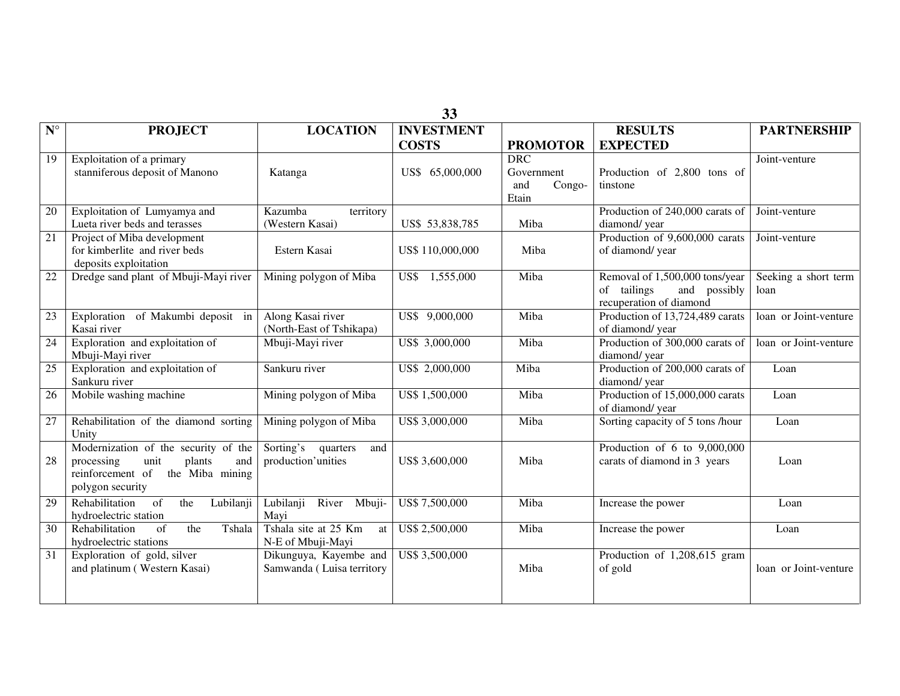|                      | 33                                                                                                                                     |                                                     |                   |                                                    |                                                                                          |                              |
|----------------------|----------------------------------------------------------------------------------------------------------------------------------------|-----------------------------------------------------|-------------------|----------------------------------------------------|------------------------------------------------------------------------------------------|------------------------------|
| $\mathbf{N}^{\circ}$ | <b>PROJECT</b>                                                                                                                         | <b>LOCATION</b>                                     | <b>INVESTMENT</b> |                                                    | <b>RESULTS</b>                                                                           | <b>PARTNERSHIP</b>           |
|                      |                                                                                                                                        |                                                     | <b>COSTS</b>      | <b>PROMOTOR</b>                                    | <b>EXPECTED</b>                                                                          |                              |
| 19                   | Exploitation of a primary<br>stanniferous deposit of Manono                                                                            | Katanga                                             | US\$ 65,000,000   | <b>DRC</b><br>Government<br>and<br>Congo-<br>Etain | Production of 2,800 tons of<br>tinstone                                                  | Joint-venture                |
| 20                   | Exploitation of Lumyamya and<br>Lueta river beds and terasses                                                                          | Kazumba<br>territory<br>(Western Kasai)             | US\$ 53,838,785   | Miba                                               | Production of 240,000 carats of<br>diamond/year                                          | Joint-venture                |
| 21                   | Project of Miba development<br>for kimberlite and river beds<br>deposits exploitation                                                  | Estern Kasai                                        | US\$ 110,000,000  | Miba                                               | Production of 9,600,000 carats<br>of diamond/year                                        | Joint-venture                |
| 22                   | Dredge sand plant of Mbuji-Mayi river                                                                                                  | Mining polygon of Miba                              | 1,555,000<br>US\$ | Miba                                               | Removal of 1,500,000 tons/year<br>of tailings<br>and possibly<br>recuperation of diamond | Seeking a short term<br>loan |
| 23                   | Exploration of Makumbi deposit in<br>Kasai river                                                                                       | Along Kasai river<br>(North-East of Tshikapa)       | US\$ 9,000,000    | Miba                                               | Production of 13,724,489 carats<br>of diamond/year                                       | loan or Joint-venture        |
| 24                   | Exploration and exploitation of<br>Mbuji-Mayi river                                                                                    | Mbuji-Mayi river                                    | US\$ 3,000,000    | Miba                                               | Production of 300,000 carats of<br>diamond/ year                                         | loan or Joint-venture        |
| 25                   | Exploration and exploitation of<br>Sankuru river                                                                                       | Sankuru river                                       | US\$ 2,000,000    | Miba                                               | Production of 200,000 carats of<br>diamond/year                                          | Loan                         |
| 26                   | Mobile washing machine                                                                                                                 | Mining polygon of Miba                              | US\$ 1,500,000    | Miba                                               | Production of 15,000,000 carats<br>of diamond/year                                       | Loan                         |
| $27\,$               | Rehabilitation of the diamond sorting<br>Unity                                                                                         | Mining polygon of Miba                              | US\$ 3,000,000    | Miba                                               | Sorting capacity of 5 tons /hour                                                         | Loan                         |
| 28                   | Modernization of the security of the<br>unit<br>processing<br>plants<br>and<br>reinforcement of<br>the Miba mining<br>polygon security | Sorting's quarters<br>and<br>production'unities     | US\$ 3,600,000    | Miba                                               | Production of $6$ to $9,000,000$<br>carats of diamond in 3 years                         | Loan                         |
| 29                   | Rehabilitation<br>of<br>$\overline{h}$<br>Lubilanji<br>hydroelectric station                                                           | Lubilanji<br>River Mbuji-<br>Mayi                   | US\$ 7,500,000    | Miba                                               | Increase the power                                                                       | Loan                         |
| $\overline{30}$      | the<br>Tshala<br>Rehabilitation<br>of<br>hydroelectric stations                                                                        | Tshala site at 25 Km<br>at<br>N-E of Mbuji-Mayi     | US\$ 2,500,000    | Miba                                               | Increase the power                                                                       | Loan                         |
| $\overline{31}$      | Exploration of gold, silver<br>and platinum (Western Kasai)                                                                            | Dikunguya, Kayembe and<br>Samwanda (Luisa territory | US\$ 3,500,000    | Miba                                               | Production of 1,208,615 gram<br>of gold                                                  | loan or Joint-venture        |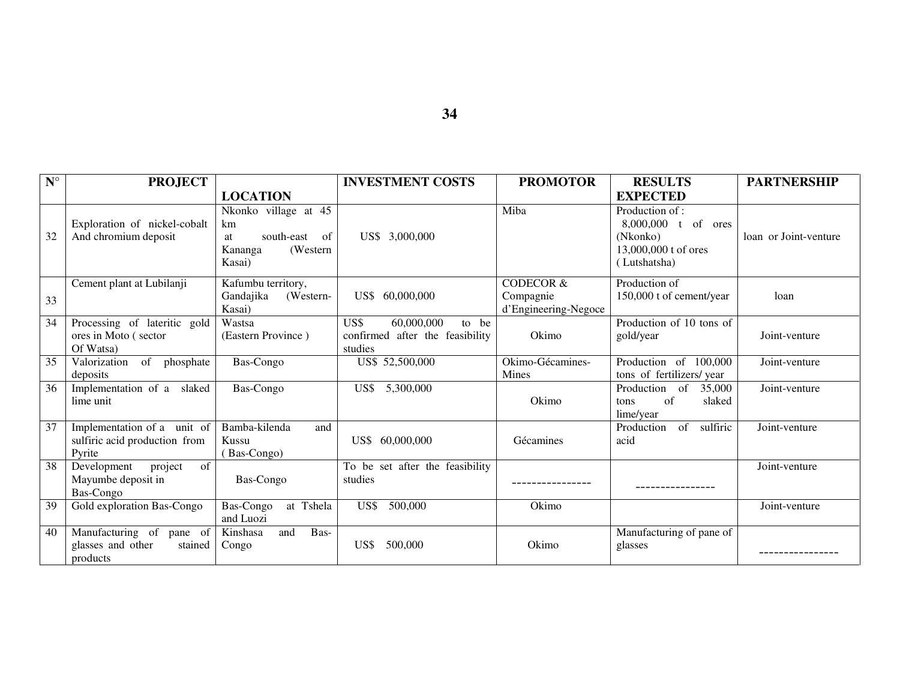| $N^{\circ}$ | <b>PROJECT</b>                                                         |                                                                                       | <b>INVESTMENT COSTS</b>                                                   | <b>PROMOTOR</b>                                           | <b>RESULTS</b>                                                                            | <b>PARTNERSHIP</b>    |
|-------------|------------------------------------------------------------------------|---------------------------------------------------------------------------------------|---------------------------------------------------------------------------|-----------------------------------------------------------|-------------------------------------------------------------------------------------------|-----------------------|
|             |                                                                        | <b>LOCATION</b>                                                                       |                                                                           |                                                           | <b>EXPECTED</b>                                                                           |                       |
| 32          | Exploration of nickel-cobalt<br>And chromium deposit                   | Nkonko village at 45<br>km<br>south-east<br>of<br>at<br>(Western<br>Kananga<br>Kasai) | US\$ 3,000,000                                                            | Miba                                                      | Production of:<br>8,000,000 t of ores<br>(Nkonko)<br>13,000,000 t of ores<br>(Lutshatsha) | loan or Joint-venture |
| 33          | Cement plant at Lubilanji                                              | Kafumbu territory,<br>Gandajika<br>(Western-<br>Kasai)                                | US\$ 60,000,000                                                           | <b>CODECOR &amp;</b><br>Compagnie<br>d'Engineering-Negoce | Production of<br>150,000 t of cement/year                                                 | loan                  |
| 34          | Processing of lateritic gold<br>ores in Moto (sector<br>Of Watsa)      | Wastsa<br>(Eastern Province)                                                          | US\$<br>60,000,000<br>to be<br>confirmed after the feasibility<br>studies | Okimo                                                     | Production of 10 tons of<br>gold/year                                                     | Joint-venture         |
| 35          | of phosphate<br>Valorization<br>deposits                               | Bas-Congo                                                                             | US\$ 52,500,000                                                           | Okimo-Gécamines-<br><b>Mines</b>                          | Production of 100,000<br>tons of fertilizers/year                                         | Joint-venture         |
| 36          | Implementation of a<br>slaked<br>lime unit                             | Bas-Congo                                                                             | 5,300,000<br>US\$                                                         | Okimo                                                     | Production of<br>35,000<br>$\alpha$ f<br>slaked<br>tons<br>lime/year                      | Joint-venture         |
| 37          | Implementation of a unit of<br>sulfiric acid production from<br>Pyrite | Bamba-kilenda<br>and<br>Kussu<br>(Bas-Congo)                                          | US\$ 60,000,000                                                           | Gécamines                                                 | of<br>sulfiric<br>Production<br>acid                                                      | Joint-venture         |
| 38          | project<br>of<br>Development<br>Mayumbe deposit in<br>Bas-Congo        | Bas-Congo                                                                             | To be set after the feasibility<br>studies                                |                                                           |                                                                                           | Joint-venture         |
| 39          | Gold exploration Bas-Congo                                             | Bas-Congo<br>at Tshela<br>and Luozi                                                   | US\$<br>500,000                                                           | Okimo                                                     |                                                                                           | Joint-venture         |
| 40          | Manufacturing of pane of<br>glasses and other<br>stained<br>products   | Kinshasa<br>and<br>Bas-<br>Congo                                                      | 500,000<br>US\$                                                           | Okimo                                                     | Manufacturing of pane of<br>glasses                                                       |                       |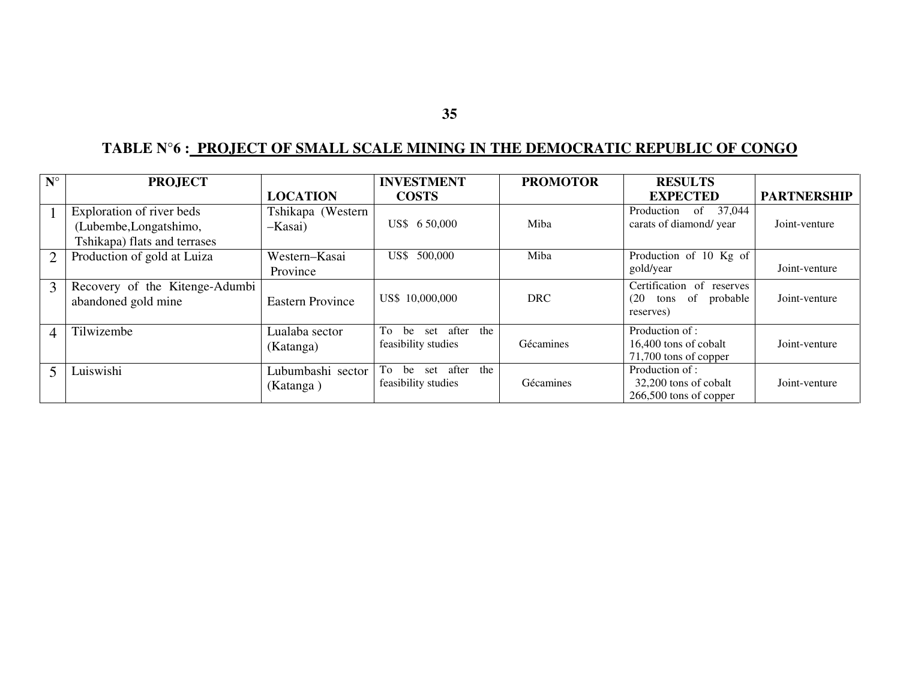# **TABLE N°6 : PROJECT OF SMALL SCALE MINING IN THE DEMOCRATIC REPUBLIC OF CONGO**

| $N^{\circ}$    | <b>PROJECT</b>                                                                      |                                | <b>INVESTMENT</b>                                   | <b>PROMOTOR</b> | <b>RESULTS</b>                                                     |                    |
|----------------|-------------------------------------------------------------------------------------|--------------------------------|-----------------------------------------------------|-----------------|--------------------------------------------------------------------|--------------------|
|                |                                                                                     | <b>LOCATION</b>                | <b>COSTS</b>                                        |                 | <b>EXPECTED</b>                                                    | <b>PARTNERSHIP</b> |
|                | Exploration of river beds<br>(Lubembe, Longatshimo,<br>Tshikapa) flats and terrases | Tshikapa (Western<br>$-Kasai)$ | US\$ 6 50,000                                       | Miba            | of<br>37,044<br>Production<br>carats of diamond/ year              | Joint-venture      |
| 2              | Production of gold at Luiza                                                         | Western-Kasai<br>Province      | US\$ 500,000                                        | Miba            | Production of 10 Kg of<br>gold/year                                | Joint-venture      |
| 3              | Recovery of the Kitenge-Adumbi<br>abandoned gold mine                               | <b>Eastern Province</b>        | US\$ 10,000,000                                     | <b>DRC</b>      | Certification of reserves<br>tons of probable<br>(20)<br>reserves) | Joint-venture      |
| $\overline{4}$ | Tilwizembe                                                                          | Lualaba sector<br>(Katanga)    | the<br>To<br>after<br>be set<br>feasibility studies | Gécamines       | Production of:<br>16,400 tons of cobalt<br>71,700 tons of copper   | Joint-venture      |
|                | Luiswishi                                                                           | Lubumbashi sector<br>(Katanga) | To be<br>after<br>the<br>set<br>feasibility studies | Gécamines       | Production of :<br>32,200 tons of cobalt<br>266,500 tons of copper | Joint-venture      |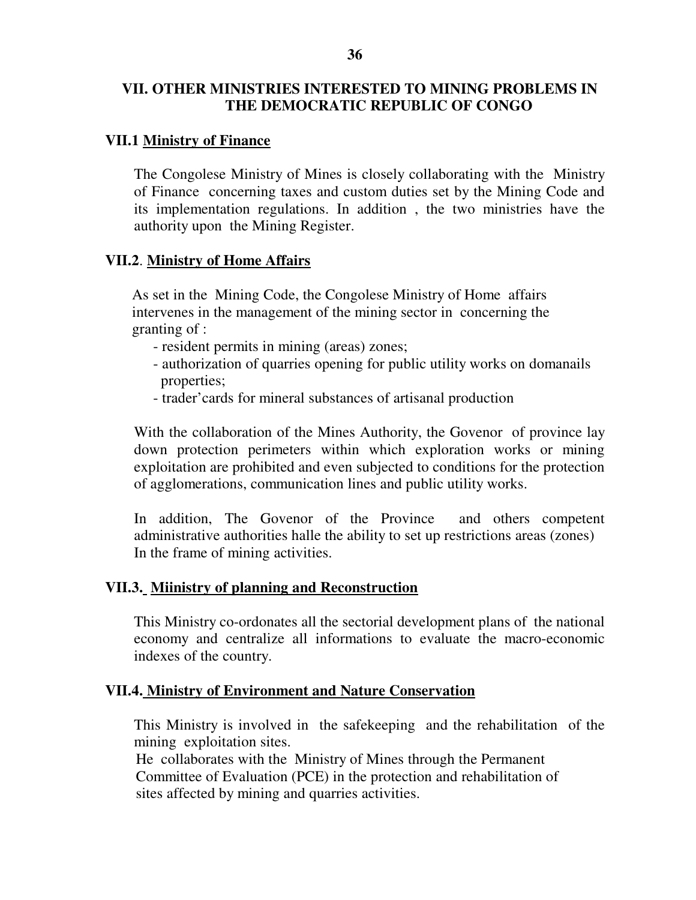# **VII.1 Ministry of Finance**

The Congolese Ministry of Mines is closely collaborating with the Ministry of Finance concerning taxes and custom duties set by the Mining Code and its implementation regulations. In addition , the two ministries have the authority upon the Mining Register.

## **VII.2**. **Ministry of Home Affairs**

 As set in the Mining Code, the Congolese Ministry of Home affairs intervenes in the management of the mining sector in concerning the granting of :

- resident permits in mining (areas) zones;
- authorization of quarries opening for public utility works on domanails properties;
- trader'cards for mineral substances of artisanal production

With the collaboration of the Mines Authority, the Govenor of province lay down protection perimeters within which exploration works or mining exploitation are prohibited and even subjected to conditions for the protection of agglomerations, communication lines and public utility works.

In addition, The Govenor of the Province and others competent administrative authorities halle the ability to set up restrictions areas (zones) In the frame of mining activities.

# **VII.3. Miinistry of planning and Reconstruction**

This Ministry co-ordonates all the sectorial development plans of the national economy and centralize all informations to evaluate the macro-economic indexes of the country.

#### **VII.4. Ministry of Environment and Nature Conservation**

This Ministry is involved in the safekeeping and the rehabilitation of the mining exploitation sites.

 He collaborates with the Ministry of Mines through the Permanent Committee of Evaluation (PCE) in the protection and rehabilitation of sites affected by mining and quarries activities.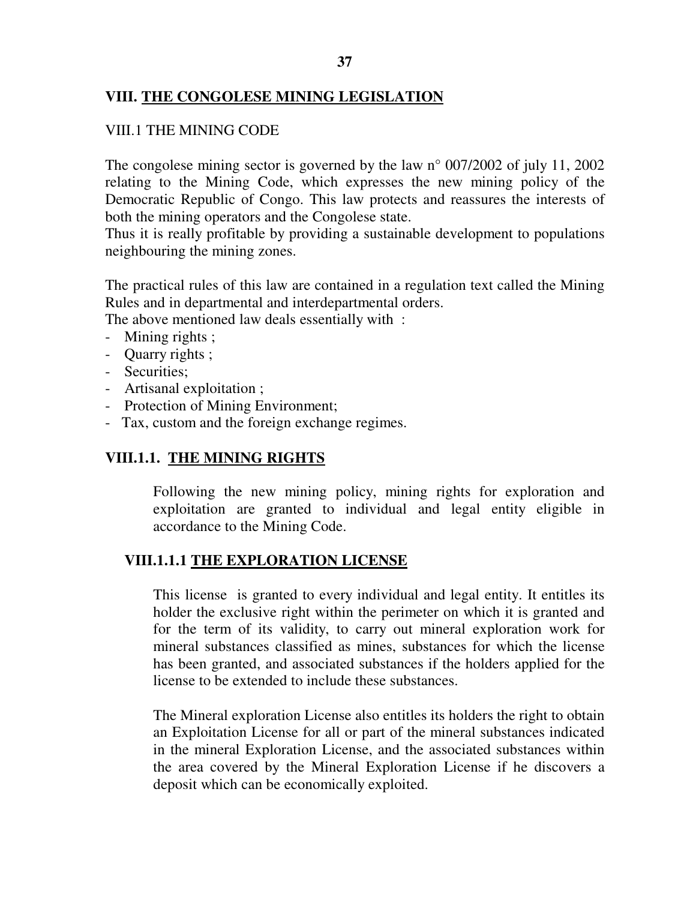## **37**

# **VIII. THE CONGOLESE MINING LEGISLATION**

## VIII.1 THE MINING CODE

The congolese mining sector is governed by the law n° 007/2002 of july 11, 2002 relating to the Mining Code, which expresses the new mining policy of the Democratic Republic of Congo. This law protects and reassures the interests of both the mining operators and the Congolese state.

Thus it is really profitable by providing a sustainable development to populations neighbouring the mining zones.

The practical rules of this law are contained in a regulation text called the Mining Rules and in departmental and interdepartmental orders.

The above mentioned law deals essentially with :

- Mining rights;
- Quarry rights ;
- Securities;
- Artisanal exploitation ;
- Protection of Mining Environment;
- Tax, custom and the foreign exchange regimes.

# **VIII.1.1. THE MINING RIGHTS**

Following the new mining policy, mining rights for exploration and exploitation are granted to individual and legal entity eligible in accordance to the Mining Code.

# **VIII.1.1.1 THE EXPLORATION LICENSE**

This license is granted to every individual and legal entity. It entitles its holder the exclusive right within the perimeter on which it is granted and for the term of its validity, to carry out mineral exploration work for mineral substances classified as mines, substances for which the license has been granted, and associated substances if the holders applied for the license to be extended to include these substances.

The Mineral exploration License also entitles its holders the right to obtain an Exploitation License for all or part of the mineral substances indicated in the mineral Exploration License, and the associated substances within the area covered by the Mineral Exploration License if he discovers a deposit which can be economically exploited.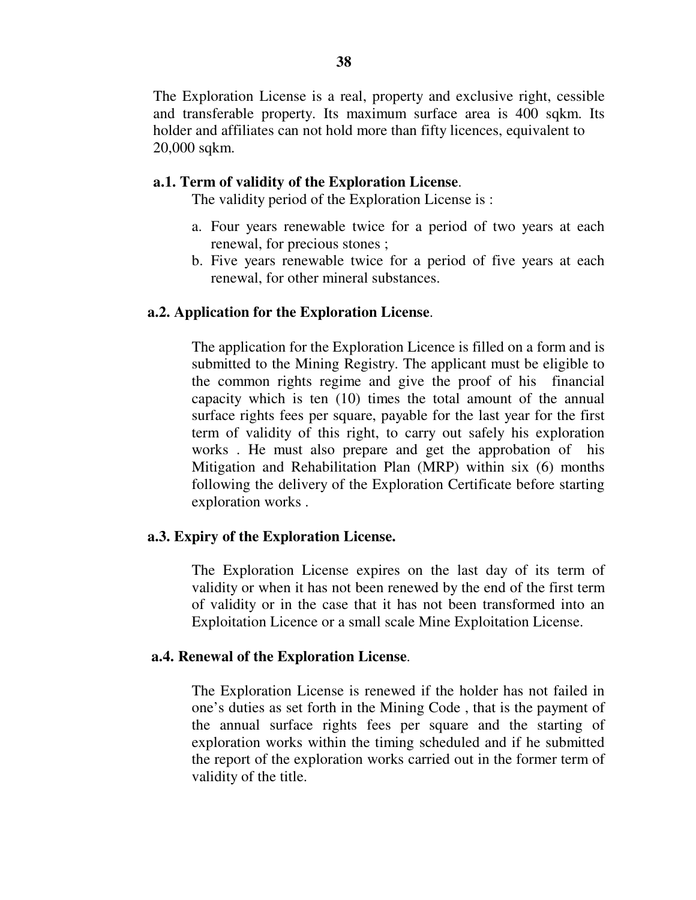The Exploration License is a real, property and exclusive right, cessible and transferable property. Its maximum surface area is 400 sqkm. Its holder and affiliates can not hold more than fifty licences, equivalent to 20,000 sqkm.

#### **a.1. Term of validity of the Exploration License**.

The validity period of the Exploration License is :

- a. Four years renewable twice for a period of two years at each renewal, for precious stones ;
- b. Five years renewable twice for a period of five years at each renewal, for other mineral substances.

#### **a.2. Application for the Exploration License**.

The application for the Exploration Licence is filled on a form and is submitted to the Mining Registry. The applicant must be eligible to the common rights regime and give the proof of his financial capacity which is ten (10) times the total amount of the annual surface rights fees per square, payable for the last year for the first term of validity of this right, to carry out safely his exploration works . He must also prepare and get the approbation of his Mitigation and Rehabilitation Plan (MRP) within six (6) months following the delivery of the Exploration Certificate before starting exploration works .

#### **a.3. Expiry of the Exploration License.**

The Exploration License expires on the last day of its term of validity or when it has not been renewed by the end of the first term of validity or in the case that it has not been transformed into an Exploitation Licence or a small scale Mine Exploitation License.

#### **a.4. Renewal of the Exploration License**.

The Exploration License is renewed if the holder has not failed in one's duties as set forth in the Mining Code , that is the payment of the annual surface rights fees per square and the starting of exploration works within the timing scheduled and if he submitted the report of the exploration works carried out in the former term of validity of the title.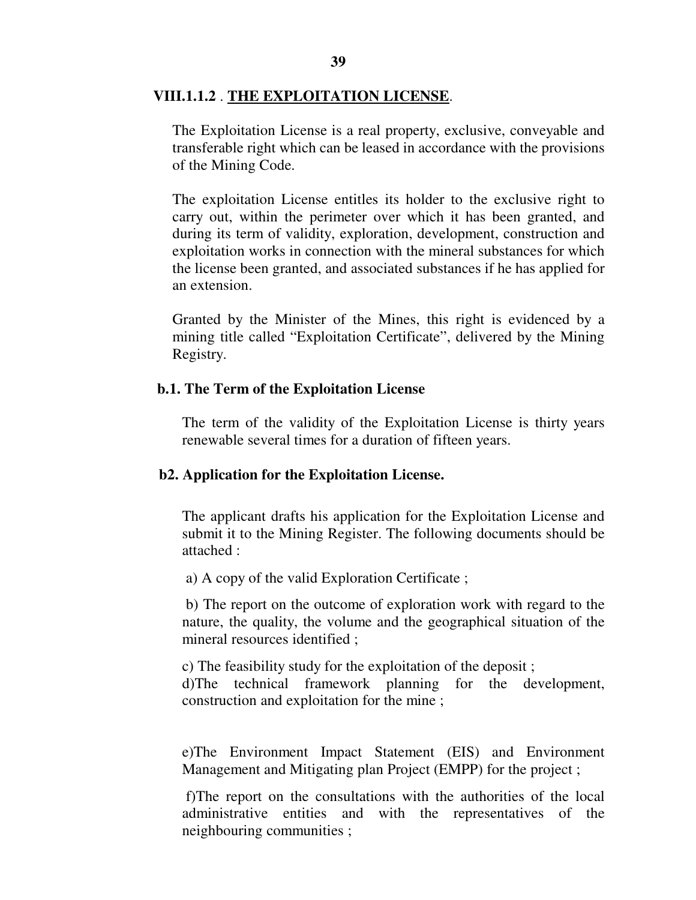#### **VIII.1.1.2** . **THE EXPLOITATION LICENSE**.

The Exploitation License is a real property, exclusive, conveyable and transferable right which can be leased in accordance with the provisions of the Mining Code.

The exploitation License entitles its holder to the exclusive right to carry out, within the perimeter over which it has been granted, and during its term of validity, exploration, development, construction and exploitation works in connection with the mineral substances for which the license been granted, and associated substances if he has applied for an extension.

Granted by the Minister of the Mines, this right is evidenced by a mining title called "Exploitation Certificate", delivered by the Mining Registry.

#### **b.1. The Term of the Exploitation License**

The term of the validity of the Exploitation License is thirty years renewable several times for a duration of fifteen years.

#### **b2. Application for the Exploitation License.**

The applicant drafts his application for the Exploitation License and submit it to the Mining Register. The following documents should be attached :

a) A copy of the valid Exploration Certificate ;

 b) The report on the outcome of exploration work with regard to the nature, the quality, the volume and the geographical situation of the mineral resources identified ;

c) The feasibility study for the exploitation of the deposit ; d)The technical framework planning for the development, construction and exploitation for the mine ;

e)The Environment Impact Statement (EIS) and Environment Management and Mitigating plan Project (EMPP) for the project ;

 f)The report on the consultations with the authorities of the local administrative entities and with the representatives of the neighbouring communities ;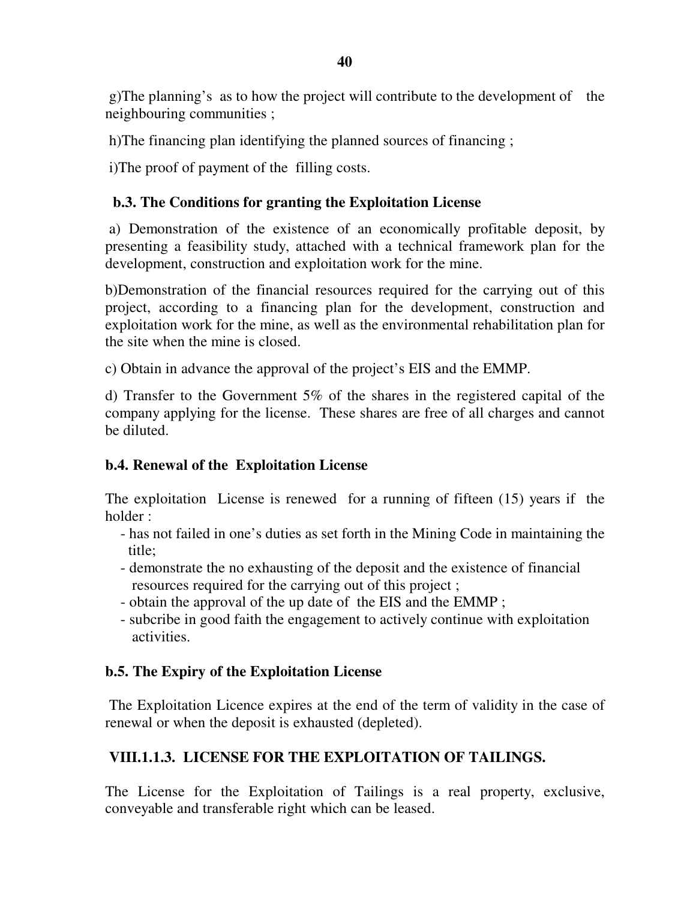g)The planning's as to how the project will contribute to the development of the neighbouring communities ;

h)The financing plan identifying the planned sources of financing ;

i)The proof of payment of the filling costs.

# **b.3. The Conditions for granting the Exploitation License**

 a) Demonstration of the existence of an economically profitable deposit, by presenting a feasibility study, attached with a technical framework plan for the development, construction and exploitation work for the mine.

b)Demonstration of the financial resources required for the carrying out of this project, according to a financing plan for the development, construction and exploitation work for the mine, as well as the environmental rehabilitation plan for the site when the mine is closed.

c) Obtain in advance the approval of the project's EIS and the EMMP.

d) Transfer to the Government 5% of the shares in the registered capital of the company applying for the license. These shares are free of all charges and cannot be diluted.

# **b.4. Renewal of the Exploitation License**

The exploitation License is renewed for a running of fifteen (15) years if the holder :

- has not failed in one's duties as set forth in the Mining Code in maintaining the title;
- demonstrate the no exhausting of the deposit and the existence of financial resources required for the carrying out of this project ;
- obtain the approval of the up date of the EIS and the EMMP ;
- subcribe in good faith the engagement to actively continue with exploitation activities.

# **b.5. The Expiry of the Exploitation License**

 The Exploitation Licence expires at the end of the term of validity in the case of renewal or when the deposit is exhausted (depleted).

# **VIII.1.1.3. LICENSE FOR THE EXPLOITATION OF TAILINGS.**

The License for the Exploitation of Tailings is a real property, exclusive, conveyable and transferable right which can be leased.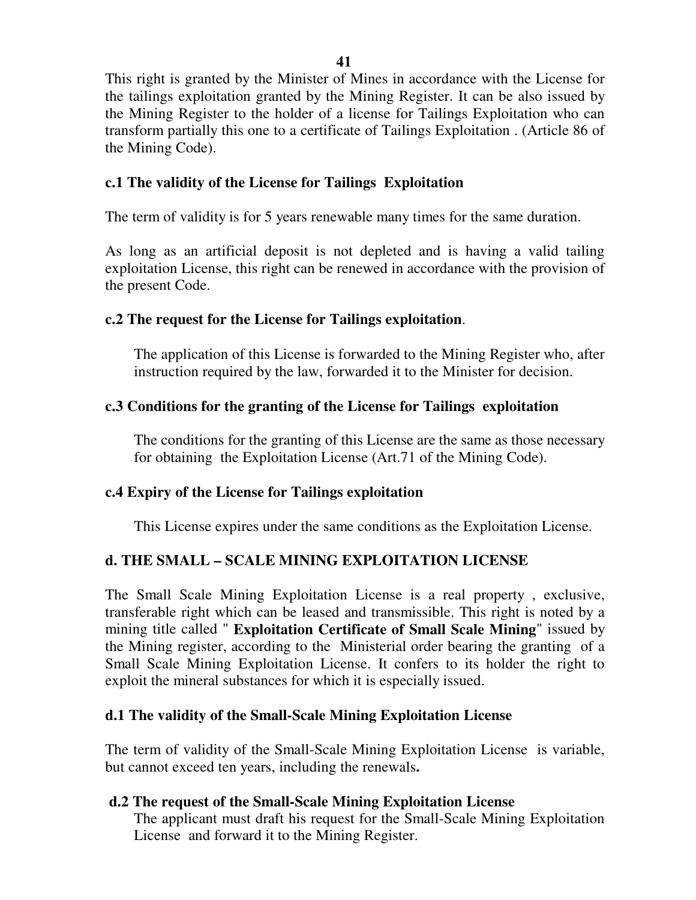This right is granted by the Minister of Mines in accordance with the License for the tailings exploitation granted by the Mining Register. It can be also issued by the Mining Register to the holder of a license for Tailings Exploitation who can transform partially this one to a certificate of Tailings Exploitation . (Article 86 of the Mining Code).

# **c.1 The validity of the License for Tailings Exploitation**

The term of validity is for 5 years renewable many times for the same duration.

As long as an artificial deposit is not depleted and is having a valid tailing exploitation License, this right can be renewed in accordance with the provision of the present Code.

# **c.2 The request for the License for Tailings exploitation**.

The application of this License is forwarded to the Mining Register who, after instruction required by the law, forwarded it to the Minister for decision.

# **c.3 Conditions for the granting of the License for Tailings exploitation**

The conditions for the granting of this License are the same as those necessary for obtaining the Exploitation License (Art.71 of the Mining Code).

# **c.4 Expiry of the License for Tailings exploitation**

This License expires under the same conditions as the Exploitation License.

# **d. THE SMALL – SCALE MINING EXPLOITATION LICENSE**

The Small Scale Mining Exploitation License is a real property , exclusive, transferable right which can be leased and transmissible. This right is noted by a mining title called " **Exploitation Certificate of Small Scale Mining**" issued by the Mining register, according to the Ministerial order bearing the granting of a Small Scale Mining Exploitation License. It confers to its holder the right to exploit the mineral substances for which it is especially issued.

# **d.1 The validity of the Small-Scale Mining Exploitation License**

The term of validity of the Small-Scale Mining Exploitation License is variable, but cannot exceed ten years, including the renewals**.** 

# **d.2 The request of the Small-Scale Mining Exploitation License**

The applicant must draft his request for the Small-Scale Mining Exploitation License and forward it to the Mining Register.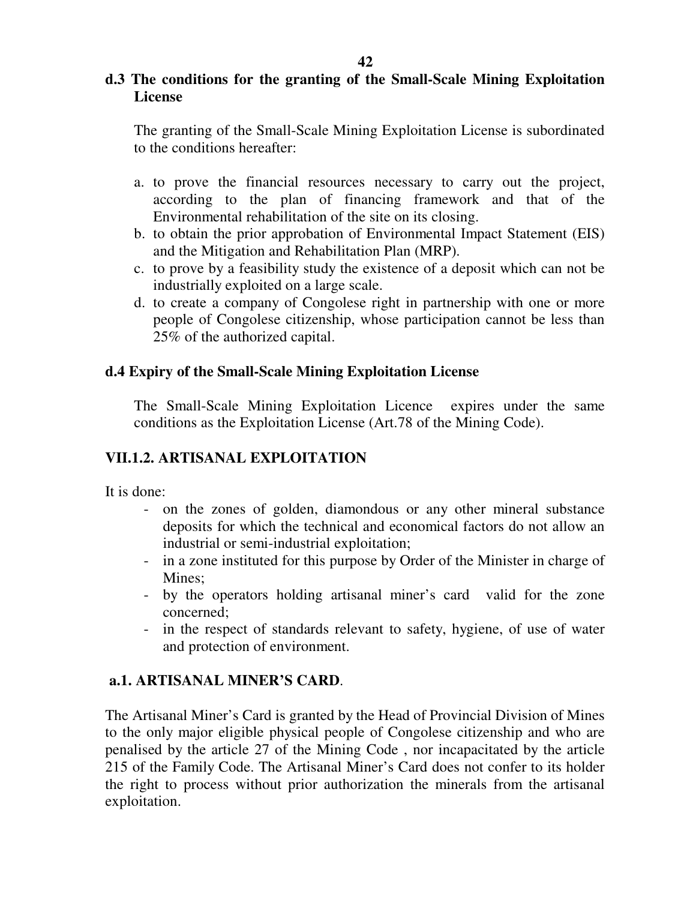# **42**

# **d.3 The conditions for the granting of the Small-Scale Mining Exploitation License**

The granting of the Small-Scale Mining Exploitation License is subordinated to the conditions hereafter:

- a. to prove the financial resources necessary to carry out the project, according to the plan of financing framework and that of the Environmental rehabilitation of the site on its closing.
- b. to obtain the prior approbation of Environmental Impact Statement (EIS) and the Mitigation and Rehabilitation Plan (MRP).
- c. to prove by a feasibility study the existence of a deposit which can not be industrially exploited on a large scale.
- d. to create a company of Congolese right in partnership with one or more people of Congolese citizenship, whose participation cannot be less than 25% of the authorized capital.

# **d.4 Expiry of the Small-Scale Mining Exploitation License**

The Small-Scale Mining Exploitation Licence expires under the same conditions as the Exploitation License (Art.78 of the Mining Code).

# **VII.1.2. ARTISANAL EXPLOITATION**

It is done:

- on the zones of golden, diamondous or any other mineral substance deposits for which the technical and economical factors do not allow an industrial or semi-industrial exploitation;
- in a zone instituted for this purpose by Order of the Minister in charge of Mines:
- by the operators holding artisanal miner's card valid for the zone concerned;
- in the respect of standards relevant to safety, hygiene, of use of water and protection of environment.

# **a.1. ARTISANAL MINER'S CARD**.

The Artisanal Miner's Card is granted by the Head of Provincial Division of Mines to the only major eligible physical people of Congolese citizenship and who are penalised by the article 27 of the Mining Code , nor incapacitated by the article 215 of the Family Code. The Artisanal Miner's Card does not confer to its holder the right to process without prior authorization the minerals from the artisanal exploitation.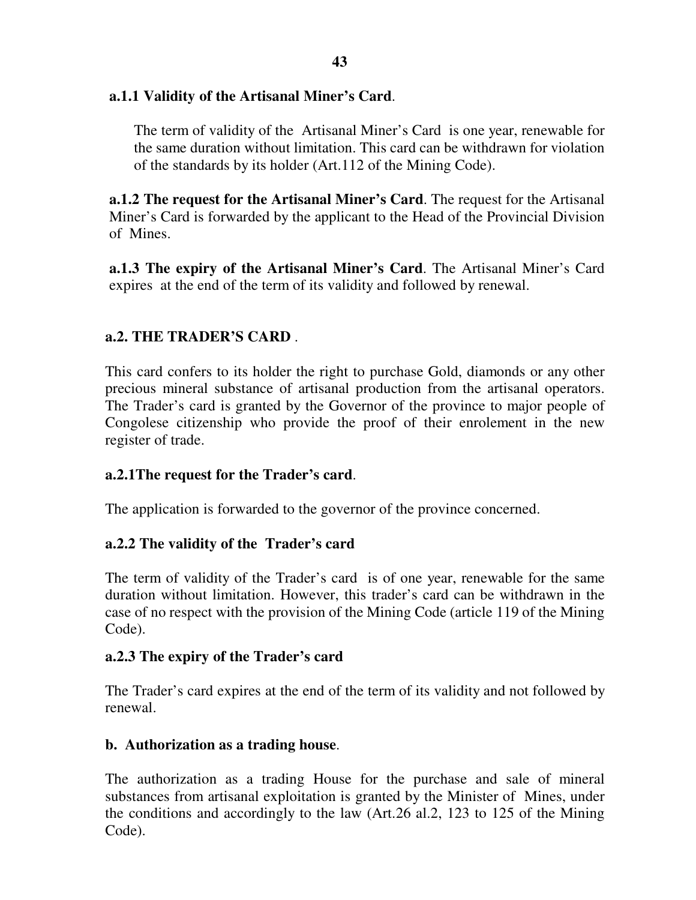# **a.1.1 Validity of the Artisanal Miner's Card**.

The term of validity of the Artisanal Miner's Card is one year, renewable for the same duration without limitation. This card can be withdrawn for violation of the standards by its holder (Art.112 of the Mining Code).

**a.1.2 The request for the Artisanal Miner's Card**. The request for the Artisanal Miner's Card is forwarded by the applicant to the Head of the Provincial Division of Mines.

**a.1.3 The expiry of the Artisanal Miner's Card**. The Artisanal Miner's Card expires at the end of the term of its validity and followed by renewal.

# **a.2. THE TRADER'S CARD** .

This card confers to its holder the right to purchase Gold, diamonds or any other precious mineral substance of artisanal production from the artisanal operators. The Trader's card is granted by the Governor of the province to major people of Congolese citizenship who provide the proof of their enrolement in the new register of trade.

# **a.2.1The request for the Trader's card**.

The application is forwarded to the governor of the province concerned.

# **a.2.2 The validity of the Trader's card**

The term of validity of the Trader's card is of one year, renewable for the same duration without limitation. However, this trader's card can be withdrawn in the case of no respect with the provision of the Mining Code (article 119 of the Mining Code).

# **a.2.3 The expiry of the Trader's card**

The Trader's card expires at the end of the term of its validity and not followed by renewal.

# **b. Authorization as a trading house**.

The authorization as a trading House for the purchase and sale of mineral substances from artisanal exploitation is granted by the Minister of Mines, under the conditions and accordingly to the law (Art.26 al.2, 123 to 125 of the Mining Code).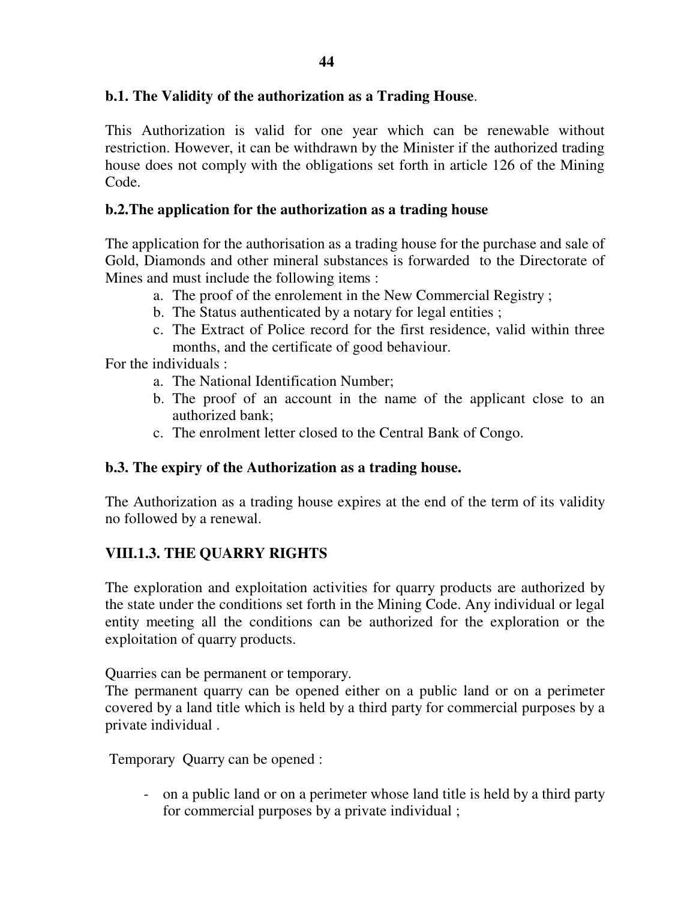# **b.1. The Validity of the authorization as a Trading House**.

This Authorization is valid for one year which can be renewable without restriction. However, it can be withdrawn by the Minister if the authorized trading house does not comply with the obligations set forth in article 126 of the Mining Code.

## **b.2.The application for the authorization as a trading house**

The application for the authorisation as a trading house for the purchase and sale of Gold, Diamonds and other mineral substances is forwarded to the Directorate of Mines and must include the following items :

- a. The proof of the enrolement in the New Commercial Registry ;
- b. The Status authenticated by a notary for legal entities ;
- c. The Extract of Police record for the first residence, valid within three months, and the certificate of good behaviour.

For the individuals :

- a. The National Identification Number;
- b. The proof of an account in the name of the applicant close to an authorized bank;
- c. The enrolment letter closed to the Central Bank of Congo.

#### **b.3. The expiry of the Authorization as a trading house.**

The Authorization as a trading house expires at the end of the term of its validity no followed by a renewal.

# **VIII.1.3. THE QUARRY RIGHTS**

The exploration and exploitation activities for quarry products are authorized by the state under the conditions set forth in the Mining Code. Any individual or legal entity meeting all the conditions can be authorized for the exploration or the exploitation of quarry products.

Quarries can be permanent or temporary.

The permanent quarry can be opened either on a public land or on a perimeter covered by a land title which is held by a third party for commercial purposes by a private individual .

Temporary Quarry can be opened :

- on a public land or on a perimeter whose land title is held by a third party for commercial purposes by a private individual ;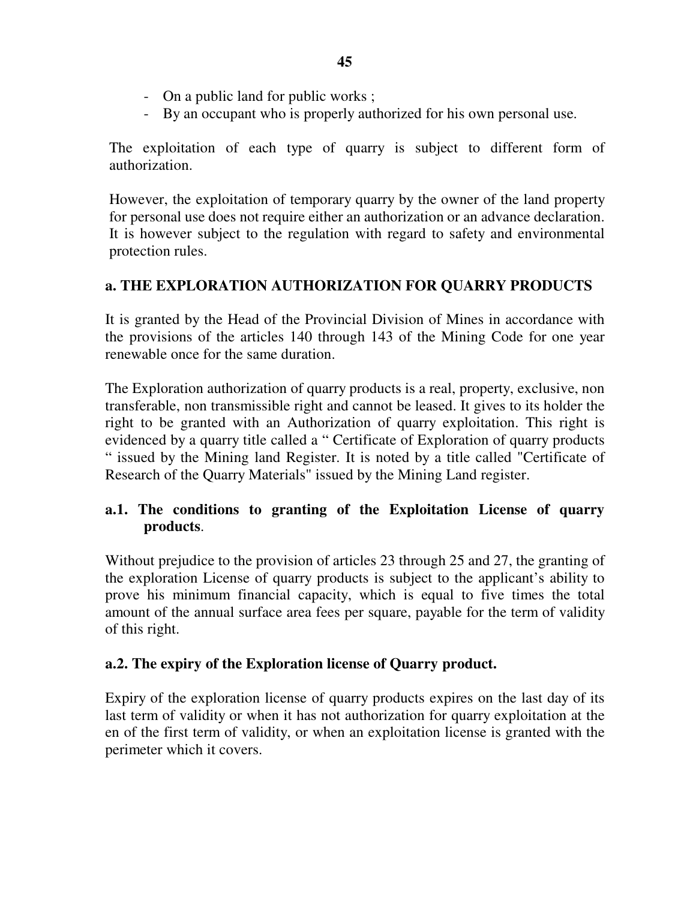- On a public land for public works ;
- By an occupant who is properly authorized for his own personal use.

The exploitation of each type of quarry is subject to different form of authorization.

However, the exploitation of temporary quarry by the owner of the land property for personal use does not require either an authorization or an advance declaration. It is however subject to the regulation with regard to safety and environmental protection rules.

# **a. THE EXPLORATION AUTHORIZATION FOR QUARRY PRODUCTS**

It is granted by the Head of the Provincial Division of Mines in accordance with the provisions of the articles 140 through 143 of the Mining Code for one year renewable once for the same duration.

The Exploration authorization of quarry products is a real, property, exclusive, non transferable, non transmissible right and cannot be leased. It gives to its holder the right to be granted with an Authorization of quarry exploitation. This right is evidenced by a quarry title called a " Certificate of Exploration of quarry products " issued by the Mining land Register. It is noted by a title called "Certificate of Research of the Quarry Materials" issued by the Mining Land register.

# **a.1. The conditions to granting of the Exploitation License of quarry products**.

Without prejudice to the provision of articles 23 through 25 and 27, the granting of the exploration License of quarry products is subject to the applicant's ability to prove his minimum financial capacity, which is equal to five times the total amount of the annual surface area fees per square, payable for the term of validity of this right.

# **a.2. The expiry of the Exploration license of Quarry product.**

Expiry of the exploration license of quarry products expires on the last day of its last term of validity or when it has not authorization for quarry exploitation at the en of the first term of validity, or when an exploitation license is granted with the perimeter which it covers.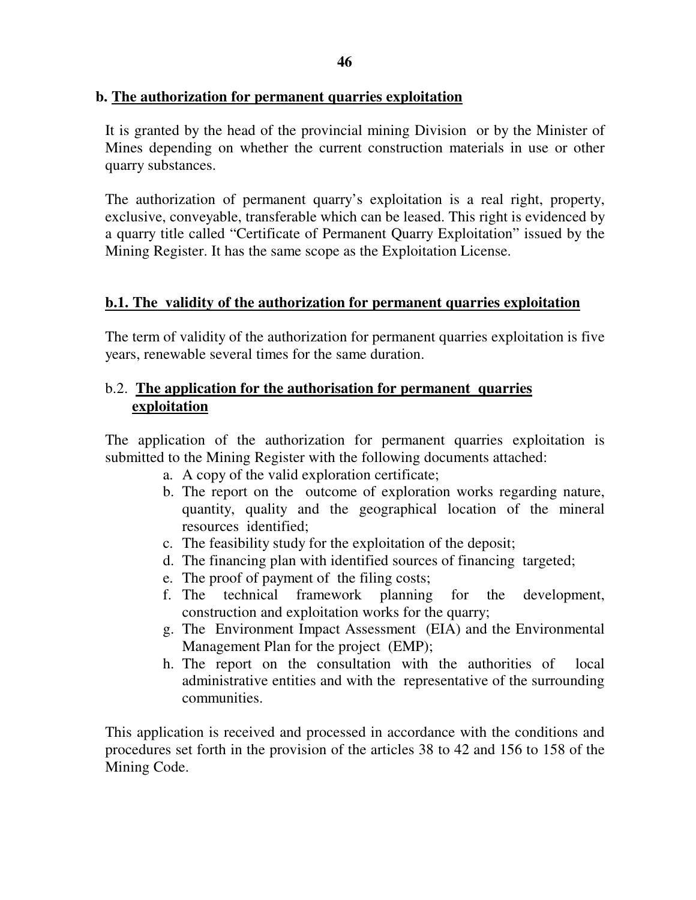# **b. The authorization for permanent quarries exploitation**

It is granted by the head of the provincial mining Division or by the Minister of Mines depending on whether the current construction materials in use or other quarry substances.

The authorization of permanent quarry's exploitation is a real right, property, exclusive, conveyable, transferable which can be leased. This right is evidenced by a quarry title called "Certificate of Permanent Quarry Exploitation" issued by the Mining Register. It has the same scope as the Exploitation License.

# **b.1. The validity of the authorization for permanent quarries exploitation**

The term of validity of the authorization for permanent quarries exploitation is five years, renewable several times for the same duration.

# b.2. **The application for the authorisation for permanent quarries exploitation**

The application of the authorization for permanent quarries exploitation is submitted to the Mining Register with the following documents attached:

- a. A copy of the valid exploration certificate;
- b. The report on the outcome of exploration works regarding nature, quantity, quality and the geographical location of the mineral resources identified;
- c. The feasibility study for the exploitation of the deposit;
- d. The financing plan with identified sources of financing targeted;
- e. The proof of payment of the filing costs;
- f. The technical framework planning for the development, construction and exploitation works for the quarry;
- g. The Environment Impact Assessment (EIA) and the Environmental Management Plan for the project (EMP);
- h. The report on the consultation with the authorities of local administrative entities and with the representative of the surrounding communities.

This application is received and processed in accordance with the conditions and procedures set forth in the provision of the articles 38 to 42 and 156 to 158 of the Mining Code.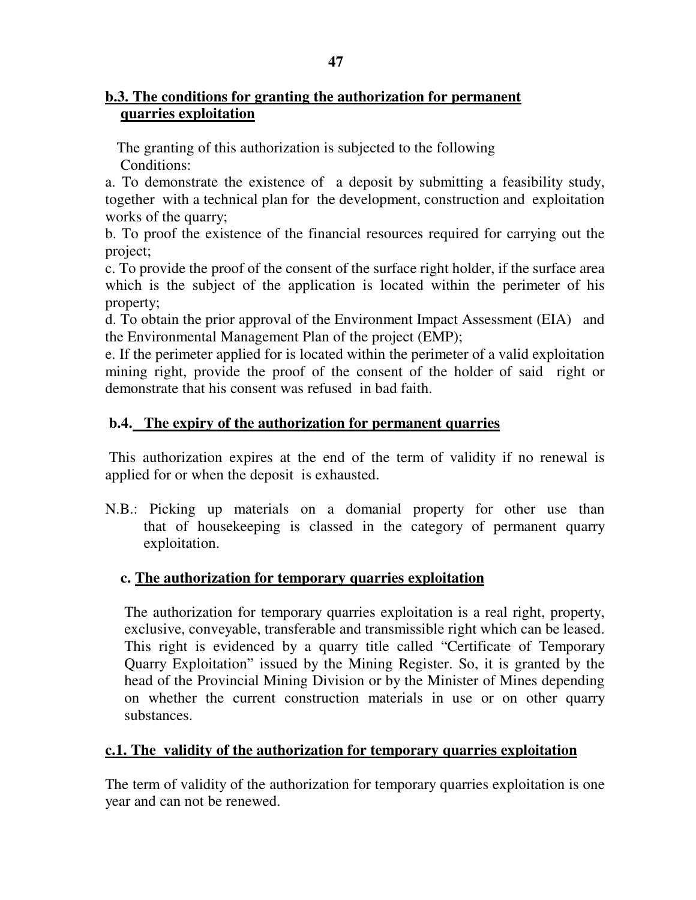# **b.3. The conditions for granting the authorization for permanent quarries exploitation**

 The granting of this authorization is subjected to the following Conditions:

a. To demonstrate the existence of a deposit by submitting a feasibility study, together with a technical plan for the development, construction and exploitation works of the quarry;

b. To proof the existence of the financial resources required for carrying out the project;

c. To provide the proof of the consent of the surface right holder, if the surface area which is the subject of the application is located within the perimeter of his property;

d. To obtain the prior approval of the Environment Impact Assessment (EIA) and the Environmental Management Plan of the project (EMP);

e. If the perimeter applied for is located within the perimeter of a valid exploitation mining right, provide the proof of the consent of the holder of said right or demonstrate that his consent was refused in bad faith.

# **b.4. The expiry of the authorization for permanent quarries**

 This authorization expires at the end of the term of validity if no renewal is applied for or when the deposit is exhausted.

N.B.: Picking up materials on a domanial property for other use than that of housekeeping is classed in the category of permanent quarry exploitation.

# **c. The authorization for temporary quarries exploitation**

The authorization for temporary quarries exploitation is a real right, property, exclusive, conveyable, transferable and transmissible right which can be leased. This right is evidenced by a quarry title called "Certificate of Temporary Quarry Exploitation" issued by the Mining Register. So, it is granted by the head of the Provincial Mining Division or by the Minister of Mines depending on whether the current construction materials in use or on other quarry substances.

# **c.1. The validity of the authorization for temporary quarries exploitation**

The term of validity of the authorization for temporary quarries exploitation is one year and can not be renewed.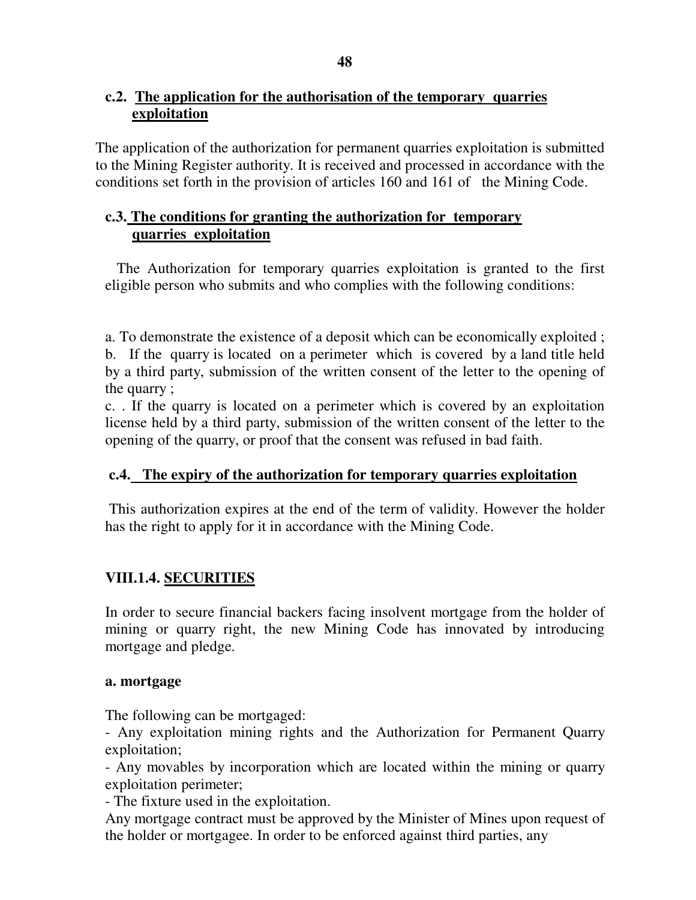# **c.2. The application for the authorisation of the temporary quarries exploitation**

The application of the authorization for permanent quarries exploitation is submitted to the Mining Register authority. It is received and processed in accordance with the conditions set forth in the provision of articles 160 and 161 of the Mining Code.

# **c.3. The conditions for granting the authorization for temporary quarries exploitation**

 The Authorization for temporary quarries exploitation is granted to the first eligible person who submits and who complies with the following conditions:

a. To demonstrate the existence of a deposit which can be economically exploited ; b. If the quarry is located on a perimeter which is covered by a land title held by a third party, submission of the written consent of the letter to the opening of the quarry ;

c. . If the quarry is located on a perimeter which is covered by an exploitation license held by a third party, submission of the written consent of the letter to the opening of the quarry, or proof that the consent was refused in bad faith.

# **c.4. The expiry of the authorization for temporary quarries exploitation**

 This authorization expires at the end of the term of validity. However the holder has the right to apply for it in accordance with the Mining Code.

# **VIII.1.4. SECURITIES**

In order to secure financial backers facing insolvent mortgage from the holder of mining or quarry right, the new Mining Code has innovated by introducing mortgage and pledge.

# **a. mortgage**

The following can be mortgaged:

- Any exploitation mining rights and the Authorization for Permanent Quarry exploitation;

- Any movables by incorporation which are located within the mining or quarry exploitation perimeter;

- The fixture used in the exploitation.

Any mortgage contract must be approved by the Minister of Mines upon request of the holder or mortgagee. In order to be enforced against third parties, any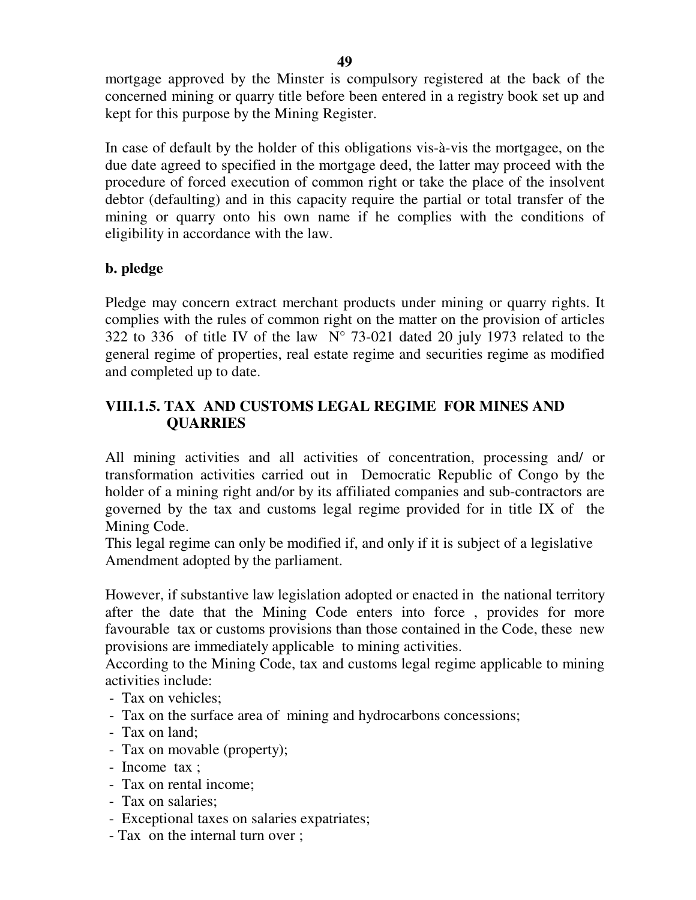mortgage approved by the Minster is compulsory registered at the back of the concerned mining or quarry title before been entered in a registry book set up and kept for this purpose by the Mining Register.

In case of default by the holder of this obligations vis-à-vis the mortgagee, on the due date agreed to specified in the mortgage deed, the latter may proceed with the procedure of forced execution of common right or take the place of the insolvent debtor (defaulting) and in this capacity require the partial or total transfer of the mining or quarry onto his own name if he complies with the conditions of eligibility in accordance with the law.

# **b. pledge**

Pledge may concern extract merchant products under mining or quarry rights. It complies with the rules of common right on the matter on the provision of articles 322 to 336 of title IV of the law  $N^{\circ}$  73-021 dated 20 july 1973 related to the general regime of properties, real estate regime and securities regime as modified and completed up to date.

# **VIII.1.5. TAX AND CUSTOMS LEGAL REGIME FOR MINES AND QUARRIES**

All mining activities and all activities of concentration, processing and/ or transformation activities carried out in Democratic Republic of Congo by the holder of a mining right and/or by its affiliated companies and sub-contractors are governed by the tax and customs legal regime provided for in title IX of the Mining Code.

This legal regime can only be modified if, and only if it is subject of a legislative Amendment adopted by the parliament.

However, if substantive law legislation adopted or enacted in the national territory after the date that the Mining Code enters into force , provides for more favourable tax or customs provisions than those contained in the Code, these new provisions are immediately applicable to mining activities.

According to the Mining Code, tax and customs legal regime applicable to mining activities include:

- Tax on vehicles;
- Tax on the surface area of mining and hydrocarbons concessions;
- Tax on land;
- Tax on movable (property);
- Income tax ;
- Tax on rental income;
- Tax on salaries;
- Exceptional taxes on salaries expatriates;
- Tax on the internal turn over ;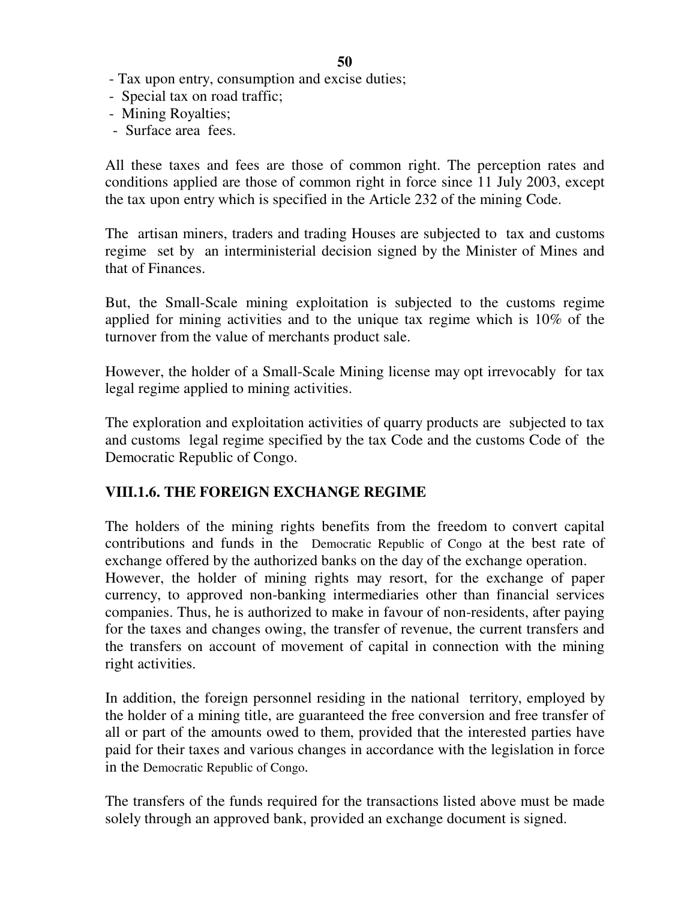- Tax upon entry, consumption and excise duties;
- Special tax on road traffic;
- Mining Royalties;
- Surface area fees.

All these taxes and fees are those of common right. The perception rates and conditions applied are those of common right in force since 11 July 2003, except the tax upon entry which is specified in the Article 232 of the mining Code.

The artisan miners, traders and trading Houses are subjected to tax and customs regime set by an interministerial decision signed by the Minister of Mines and that of Finances.

But, the Small-Scale mining exploitation is subjected to the customs regime applied for mining activities and to the unique tax regime which is 10% of the turnover from the value of merchants product sale.

However, the holder of a Small-Scale Mining license may opt irrevocably for tax legal regime applied to mining activities.

The exploration and exploitation activities of quarry products are subjected to tax and customs legal regime specified by the tax Code and the customs Code of the Democratic Republic of Congo.

# **VIII.1.6. THE FOREIGN EXCHANGE REGIME**

The holders of the mining rights benefits from the freedom to convert capital contributions and funds in the Democratic Republic of Congo at the best rate of exchange offered by the authorized banks on the day of the exchange operation.

However, the holder of mining rights may resort, for the exchange of paper currency, to approved non-banking intermediaries other than financial services companies. Thus, he is authorized to make in favour of non-residents, after paying for the taxes and changes owing, the transfer of revenue, the current transfers and the transfers on account of movement of capital in connection with the mining right activities.

In addition, the foreign personnel residing in the national territory, employed by the holder of a mining title, are guaranteed the free conversion and free transfer of all or part of the amounts owed to them, provided that the interested parties have paid for their taxes and various changes in accordance with the legislation in force in the Democratic Republic of Congo.

The transfers of the funds required for the transactions listed above must be made solely through an approved bank, provided an exchange document is signed.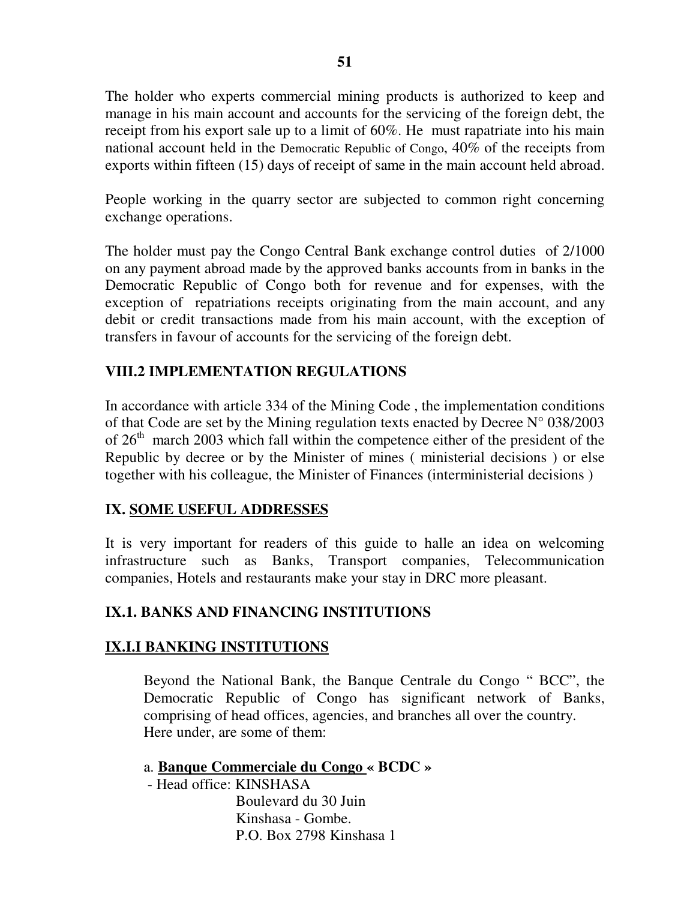The holder who experts commercial mining products is authorized to keep and manage in his main account and accounts for the servicing of the foreign debt, the receipt from his export sale up to a limit of 60%. He must rapatriate into his main national account held in the Democratic Republic of Congo, 40% of the receipts from exports within fifteen (15) days of receipt of same in the main account held abroad.

People working in the quarry sector are subjected to common right concerning exchange operations.

The holder must pay the Congo Central Bank exchange control duties of 2/1000 on any payment abroad made by the approved banks accounts from in banks in the Democratic Republic of Congo both for revenue and for expenses, with the exception of repatriations receipts originating from the main account, and any debit or credit transactions made from his main account, with the exception of transfers in favour of accounts for the servicing of the foreign debt.

# **VIII.2 IMPLEMENTATION REGULATIONS**

In accordance with article 334 of the Mining Code , the implementation conditions of that Code are set by the Mining regulation texts enacted by Decree  $N^{\circ}$  038/2003 of  $26<sup>th</sup>$  march 2003 which fall within the competence either of the president of the Republic by decree or by the Minister of mines ( ministerial decisions ) or else together with his colleague, the Minister of Finances (interministerial decisions )

#### **IX. SOME USEFUL ADDRESSES**

It is very important for readers of this guide to halle an idea on welcoming infrastructure such as Banks, Transport companies, Telecommunication companies, Hotels and restaurants make your stay in DRC more pleasant.

#### **IX.1. BANKS AND FINANCING INSTITUTIONS**

#### **IX.I.I BANKING INSTITUTIONS**

Beyond the National Bank, the Banque Centrale du Congo " BCC", the Democratic Republic of Congo has significant network of Banks, comprising of head offices, agencies, and branches all over the country. Here under, are some of them:

## a. **Banque Commerciale du Congo « BCDC »**

- Head office: KINSHASA

 Boulevard du 30 Juin Kinshasa - Gombe. P.O. Box 2798 Kinshasa 1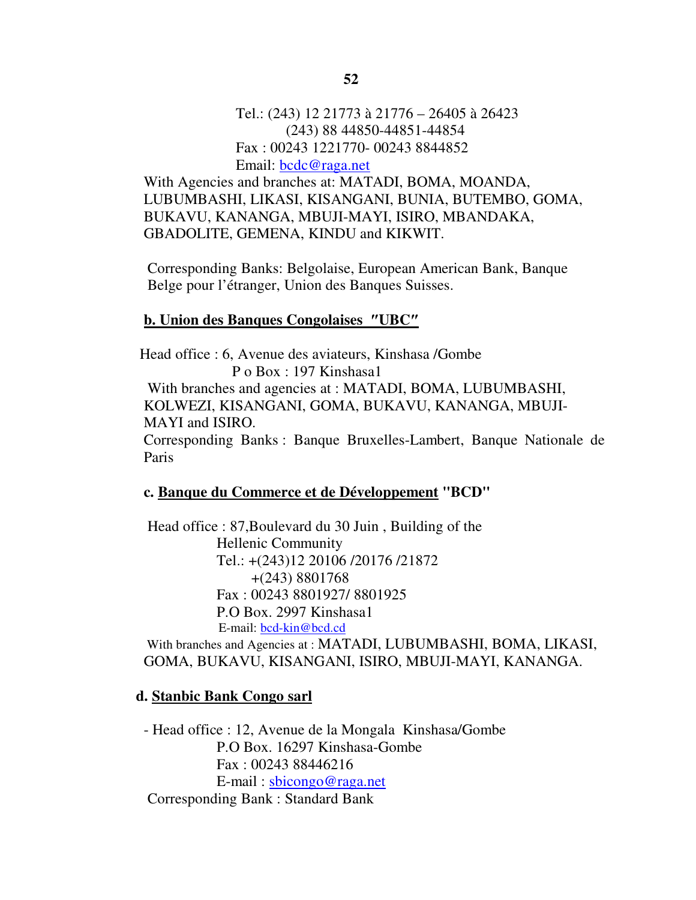With Agencies and branches at: MATADI, BOMA, MOANDA, LUBUMBASHI, LIKASI, KISANGANI, BUNIA, BUTEMBO, GOMA, BUKAVU, KANANGA, MBUJI-MAYI, ISIRO, MBANDAKA, GBADOLITE, GEMENA, KINDU and KIKWIT.

Corresponding Banks: Belgolaise, European American Bank, Banque Belge pour l'étranger, Union des Banques Suisses.

#### **b. Union des Banques Congolaises** ″**UBC**″

 Head office : 6, Avenue des aviateurs, Kinshasa /Gombe P o Box : 197 Kinshasa1

 With branches and agencies at : MATADI, BOMA, LUBUMBASHI, KOLWEZI, KISANGANI, GOMA, BUKAVU, KANANGA, MBUJI-MAYI and ISIRO.

Corresponding Banks : Banque Bruxelles-Lambert, Banque Nationale de Paris

#### **c. Banque du Commerce et de Développement "BCD"**

 Head office : 87,Boulevard du 30 Juin , Building of the Hellenic Community Tel.: +(243)12 20106 /20176 /21872 +(243) 8801768 Fax : 00243 8801927/ 8801925 P.O Box. 2997 Kinshasa1 E-mail: bcd-kin@bcd.cd

 With branches and Agencies at : MATADI, LUBUMBASHI, BOMA, LIKASI, GOMA, BUKAVU, KISANGANI, ISIRO, MBUJI-MAYI, KANANGA.

#### **d. Stanbic Bank Congo sarl**

- Head office : 12, Avenue de la Mongala Kinshasa/Gombe P.O Box. 16297 Kinshasa-Gombe Fax : 00243 88446216 E-mail : sbicongo@raga.net Corresponding Bank : Standard Bank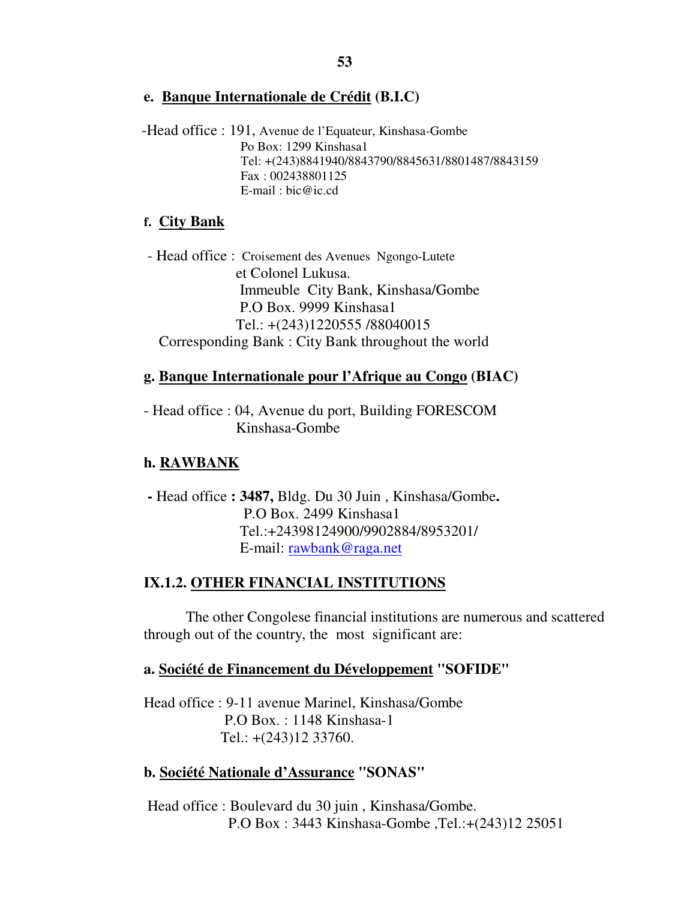**e. Banque Internationale de Crédit (B.I.C)**

 -Head office : 191, Avenue de l'Equateur, Kinshasa-Gombe Po Box: 1299 Kinshasa1 Tel: +(243)8841940/8843790/8845631/8801487/8843159 Fax : 002438801125 E-mail : bic@ic.cd

## **f. City Bank**

 - Head office : Croisement des Avenues Ngongo-Lutete et Colonel Lukusa. Immeuble City Bank, Kinshasa/Gombe P.O Box. 9999 Kinshasa1 Tel.: +(243)1220555 /88040015 Corresponding Bank : City Bank throughout the world

# **g. Banque Internationale pour l'Afrique au Congo (BIAC)**

- Head office : 04, Avenue du port, Building FORESCOM Kinshasa-Gombe

# **h. RAWBANK**

 **-** Head office **: 3487,** Bldg. Du 30 Juin , Kinshasa/Gombe**.**  P.O Box. 2499 Kinshasa1 Tel.:+24398124900/9902884/8953201/ E-mail: rawbank@raga.net

# **IX.1.2. OTHER FINANCIAL INSTITUTIONS**

 The other Congolese financial institutions are numerous and scattered through out of the country, the most significant are:

# **a. Société de Financement du Développement "SOFIDE"**

 Head office : 9-11 avenue Marinel, Kinshasa/Gombe P.O Box. : 1148 Kinshasa-1 Tel.: +(243)12 33760.

# **b. Société Nationale d'Assurance "SONAS"**

 Head office : Boulevard du 30 juin , Kinshasa/Gombe. P.O Box : 3443 Kinshasa-Gombe ,Tel.:+(243)12 25051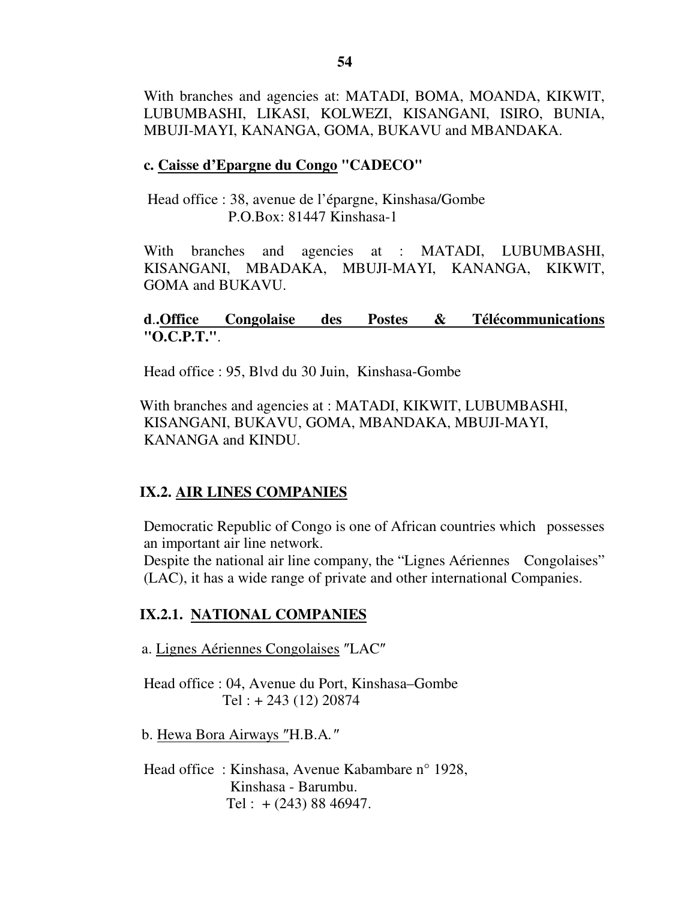With branches and agencies at: MATADI, BOMA, MOANDA, KIKWIT, LUBUMBASHI, LIKASI, KOLWEZI, KISANGANI, ISIRO, BUNIA, MBUJI-MAYI, KANANGA, GOMA, BUKAVU and MBANDAKA.

#### **c. Caisse d'Epargne du Congo "CADECO"**

 Head office : 38, avenue de l'épargne, Kinshasa/Gombe P.O.Box: 81447 Kinshasa-1

With branches and agencies at : MATADI, LUBUMBASHI, KISANGANI, MBADAKA, MBUJI-MAYI, KANANGA, KIKWIT, GOMA and BUKAVU.

### **d**.**.Office Congolaise des Postes & Télécommunications "O.C.P.T."**.

Head office : 95, Blvd du 30 Juin, Kinshasa-Gombe

 With branches and agencies at : MATADI, KIKWIT, LUBUMBASHI, KISANGANI, BUKAVU, GOMA, MBANDAKA, MBUJI-MAYI, KANANGA and KINDU.

#### **IX.2. AIR LINES COMPANIES**

Democratic Republic of Congo is one of African countries which possesses an important air line network.

Despite the national air line company, the "Lignes Aériennes Congolaises" (LAC), it has a wide range of private and other international Companies.

#### **IX.2.1. NATIONAL COMPANIES**

a. Lignes Aériennes Congolaises ″LAC″

Head office : 04, Avenue du Port, Kinshasa–Gombe Tel : + 243 (12) 20874

b. Hewa Bora Airways ″H.B.A*.*″

Head office : Kinshasa, Avenue Kabambare n° 1928, Kinshasa - Barumbu. Tel :  $+(243)$  88 46947.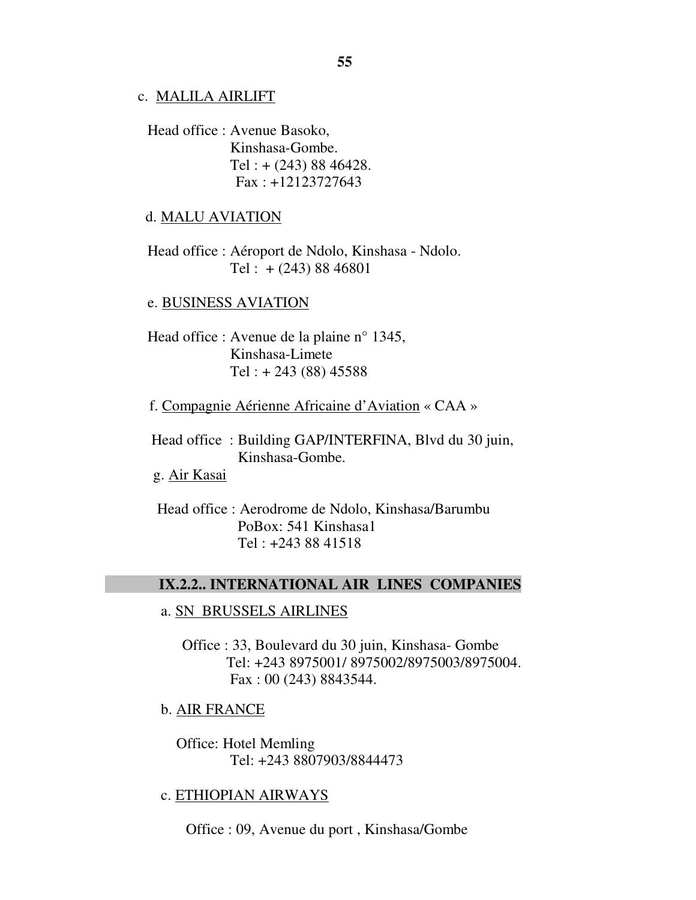#### c. MALILA AIRLIFT

 Head office : Avenue Basoko, Kinshasa-Gombe. Tel : + (243) 88 46428. Fax : +12123727643

#### d. MALU AVIATION

 Head office : Aéroport de Ndolo, Kinshasa - Ndolo. Tel :  $+(243) 88 46801$ 

#### e. BUSINESS AVIATION

 Head office : Avenue de la plaine n° 1345, Kinshasa-Limete Tel :  $+ 243$  (88) 45588

f. Compagnie Aérienne Africaine d'Aviation « CAA »

 Head office : Building GAP/INTERFINA, Blvd du 30 juin, Kinshasa-Gombe.

g. Air Kasai

 $\overline{a}$ 

 Head office : Aerodrome de Ndolo, Kinshasa/Barumbu PoBox: 541 Kinshasa1 Tel : +243 88 41518

#### **IX.2.2.. INTERNATIONAL AIR LINES COMPANIES**

#### a. SN BRUSSELS AIRLINES

Office : 33, Boulevard du 30 juin, Kinshasa- Gombe Tel: +243 8975001/ 8975002/8975003/8975004. Fax : 00 (243) 8843544.

b. AIR FRANCE

 Office: Hotel Memling Tel: +243 8807903/8844473

#### c. ETHIOPIAN AIRWAYS

Office : 09, Avenue du port , Kinshasa/Gombe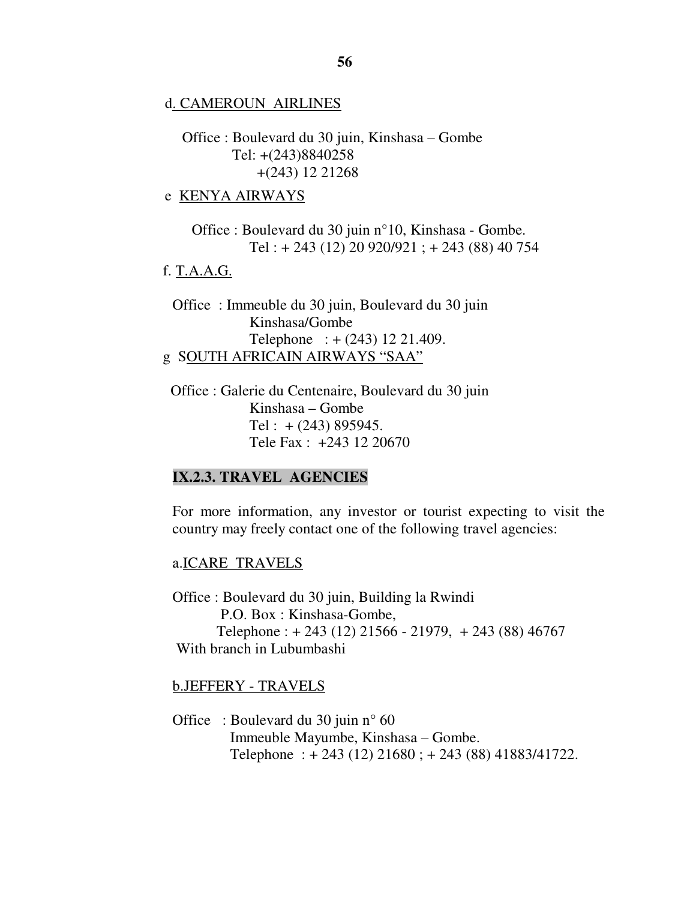d. CAMEROUN AIRLINES

Office : Boulevard du 30 juin, Kinshasa – Gombe Tel: +(243)8840258 +(243) 12 21268

e KENYA AIRWAYS

Office : Boulevard du 30 juin n°10, Kinshasa - Gombe. Tel : + 243 (12) 20 920/921 ; + 243 (88) 40 754

#### f. T.A.A.G.

Office : Immeuble du 30 juin, Boulevard du 30 juin Kinshasa/Gombe Telephone : + (243) 12 21.409. g SOUTH AFRICAIN AIRWAYS "SAA"

 Office : Galerie du Centenaire, Boulevard du 30 juin Kinshasa – Gombe Tel :  $+(243)$  895945. Tele Fax : +243 12 20670

#### **IX.2.3. TRAVEL AGENCIES**

For more information, any investor or tourist expecting to visit the country may freely contact one of the following travel agencies:

#### a.ICARE TRAVELS

Office : Boulevard du 30 juin, Building la Rwindi P.O. Box : Kinshasa-Gombe, Telephone :  $+ 243 (12) 21566 - 21979$ ,  $+ 243 (88) 46767$ With branch in Lubumbashi

b.JEFFERY - TRAVELS

Office : Boulevard du 30 juin n° 60 Immeuble Mayumbe, Kinshasa – Gombe. Telephone : + 243 (12) 21680 ; + 243 (88) 41883/41722.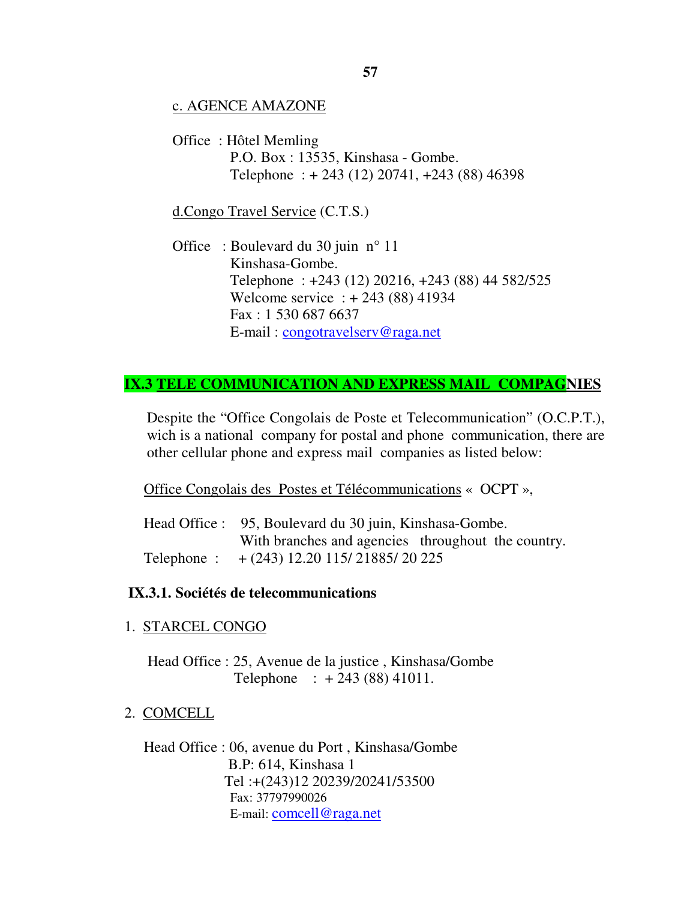#### c. AGENCE AMAZONE

Office : Hôtel Memling P.O. Box : 13535, Kinshasa - Gombe. Telephone : + 243 (12) 20741, +243 (88) 46398

#### d.Congo Travel Service (C.T.S.)

Office : Boulevard du 30 juin n° 11 Kinshasa-Gombe. Telephone : +243 (12) 20216, +243 (88) 44 582/525 Welcome service : + 243 (88) 41934 Fax : 1 530 687 6637 E-mail : congotravelserv@raga.net

## **IX.3 TELE COMMUNICATION AND EXPRESS MAIL COMPAGNIES**

Despite the "Office Congolais de Poste et Telecommunication" (O.C.P.T.), wich is a national company for postal and phone communication, there are other cellular phone and express mail companies as listed below:

Office Congolais des Postes et Télécommunications « OCPT »,

Head Office : 95, Boulevard du 30 juin, Kinshasa-Gombe. With branches and agencies throughout the country. Telephone : + (243) 12.20 115/ 21885/ 20 225

#### **IX.3.1. Sociétés de telecommunications**

1. STARCEL CONGO

 Head Office : 25, Avenue de la justice , Kinshasa/Gombe Telephone : + 243 (88) 41011.

2. COMCELL

Head Office : 06, avenue du Port , Kinshasa/Gombe B.P: 614, Kinshasa 1 Tel :+(243)12 20239/20241/53500 Fax: 37797990026 E-mail: comcell@raga.net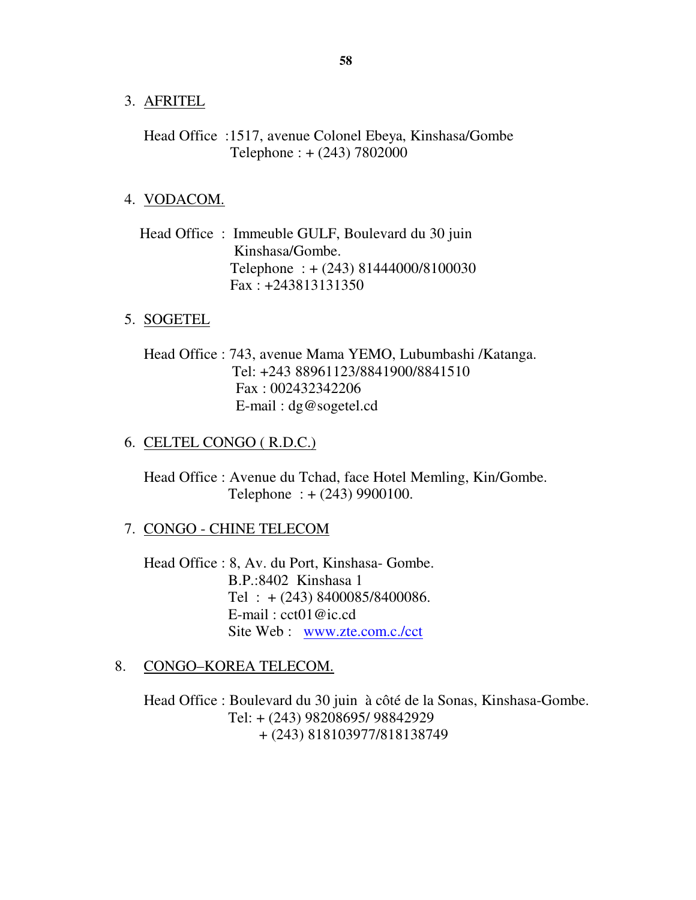- 3. AFRITEL
	- Head Office :1517, avenue Colonel Ebeya, Kinshasa/Gombe Telephone : + (243) 7802000

#### 4. VODACOM.

 Head Office : Immeuble GULF, Boulevard du 30 juin Kinshasa/Gombe. Telephone : + (243) 81444000/8100030 Fax : +243813131350

#### 5. SOGETEL

Head Office : 743, avenue Mama YEMO, Lubumbashi /Katanga. Tel: +243 88961123/8841900/8841510 Fax : 002432342206 E-mail : dg@sogetel.cd

#### 6. CELTEL CONGO ( R.D.C.)

Head Office : Avenue du Tchad, face Hotel Memling, Kin/Gombe. Telephone : + (243) 9900100.

#### 7. CONGO - CHINE TELECOM

Head Office : 8, Av. du Port, Kinshasa- Gombe. B.P.:8402 Kinshasa 1 Tel :  $+(243)$  8400085/8400086. E-mail : cct01@ic.cd Site Web : www.zte.com.c./cct

#### 8. CONGO–KOREA TELECOM.

Head Office : Boulevard du 30 juin à côté de la Sonas, Kinshasa-Gombe. Tel: + (243) 98208695/ 98842929 + (243) 818103977/818138749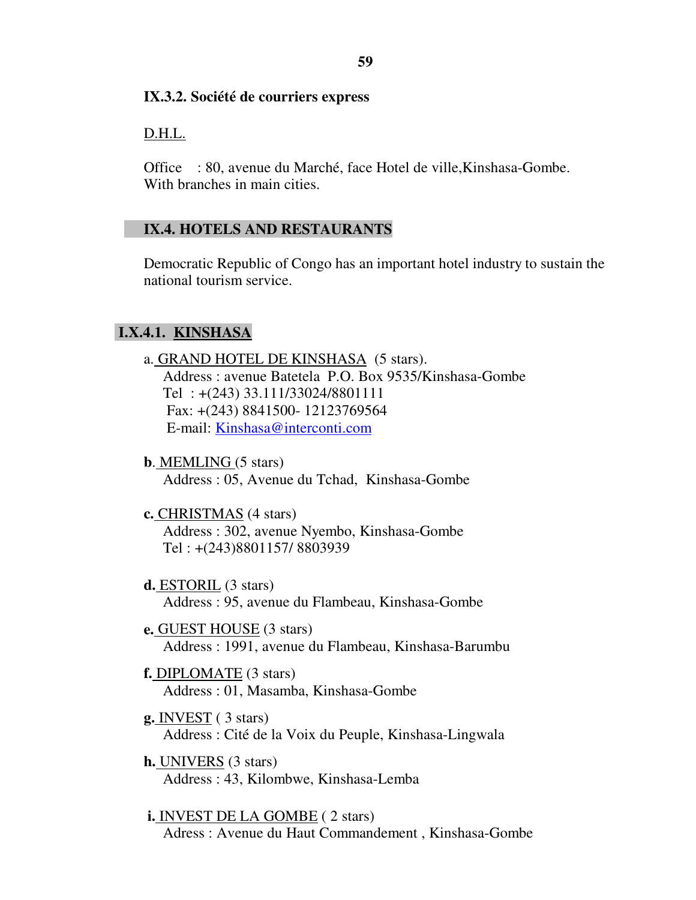#### **IX.3.2. Société de courriers express**  Í

# D.H.L.

Office : 80, avenue du Marché, face Hotel de ville,Kinshasa-Gombe. With branches in main cities.

# **IX.4. HOTELS AND RESTAURANTS**

Democratic Republic of Congo has an important hotel industry to sustain the national tourism service.

# **I.X.4.1. KINSHASA**

- a. GRAND HOTEL DE KINSHASA (5 stars). Address : avenue Batetela P.O. Box 9535/Kinshasa-Gombe Tel : +(243) 33.111/33024/8801111 Fax: +(243) 8841500- 12123769564 E-mail: Kinshasa@interconti.com
- **b**. MEMLING (5 stars) Address : 05, Avenue du Tchad, Kinshasa-Gombe
- **c.** CHRISTMAS (4 stars) Address : 302, avenue Nyembo, Kinshasa-Gombe Tel : +(243)8801157/ 8803939
- **d.** ESTORIL (3 stars) Address : 95, avenue du Flambeau, Kinshasa-Gombe
- **e.** GUEST HOUSE (3 stars) Address : 1991, avenue du Flambeau, Kinshasa-Barumbu
- **f.** DIPLOMATE (3 stars) Address : 01, Masamba, Kinshasa-Gombe
- **g.** INVEST ( 3 stars) Address : Cité de la Voix du Peuple, Kinshasa-Lingwala
- **h.** UNIVERS (3 stars) Address : 43, Kilombwe, Kinshasa-Lemba

 **i.** INVEST DE LA GOMBE ( 2 stars) Adress : Avenue du Haut Commandement , Kinshasa-Gombe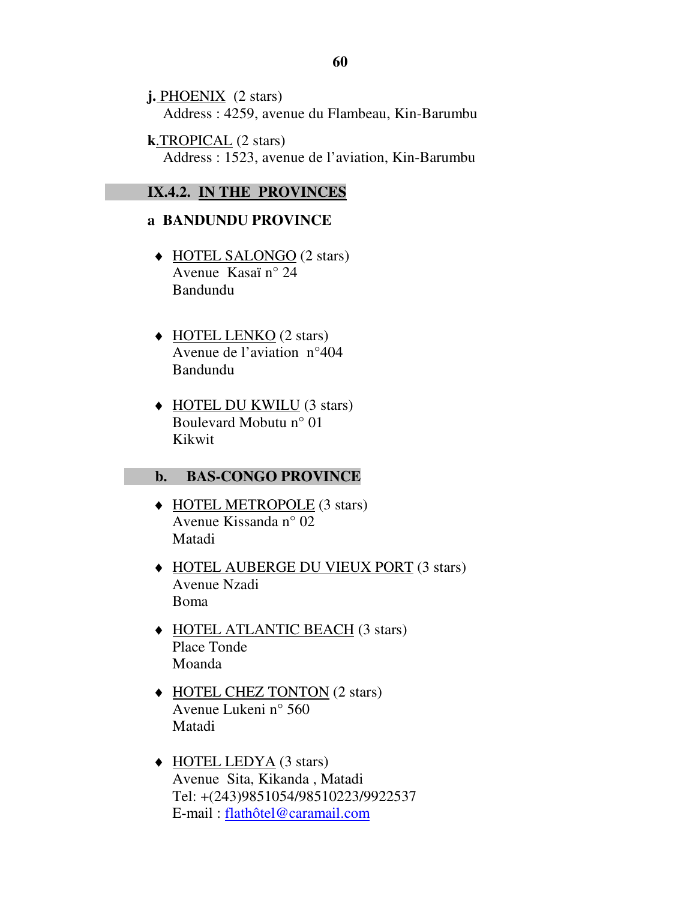**j.** PHOENIX (2 stars) Address : 4259, avenue du Flambeau, Kin-Barumbu

 **k**.TROPICAL (2 stars) Address : 1523, avenue de l'aviation, Kin-Barumbu

### **IX.4.2. IN THE PROVINCES**

# **a BANDUNDU PROVINCE**

- ♦ HOTEL SALONGO (2 stars) Avenue Kasaï n° 24 Bandundu
- ◆ HOTEL LENKO (2 stars) Avenue de l'aviation n°404 Bandundu
- ♦ HOTEL DU KWILU (3 stars) Boulevard Mobutu n° 01 Kikwit

#### **b. BAS-CONGO PROVINCE**

- ♦ HOTEL METROPOLE (3 stars) Avenue Kissanda n° 02 Matadi
- ♦ HOTEL AUBERGE DU VIEUX PORT (3 stars) Avenue Nzadi Boma
- ♦ HOTEL ATLANTIC BEACH (3 stars) Place Tonde Moanda
- ♦ HOTEL CHEZ TONTON (2 stars) Avenue Lukeni n° 560 Matadi
- ♦ HOTEL LEDYA (3 stars) Avenue Sita, Kikanda , Matadi Tel: +(243)9851054/98510223/9922537 E-mail : flathôtel@caramail.com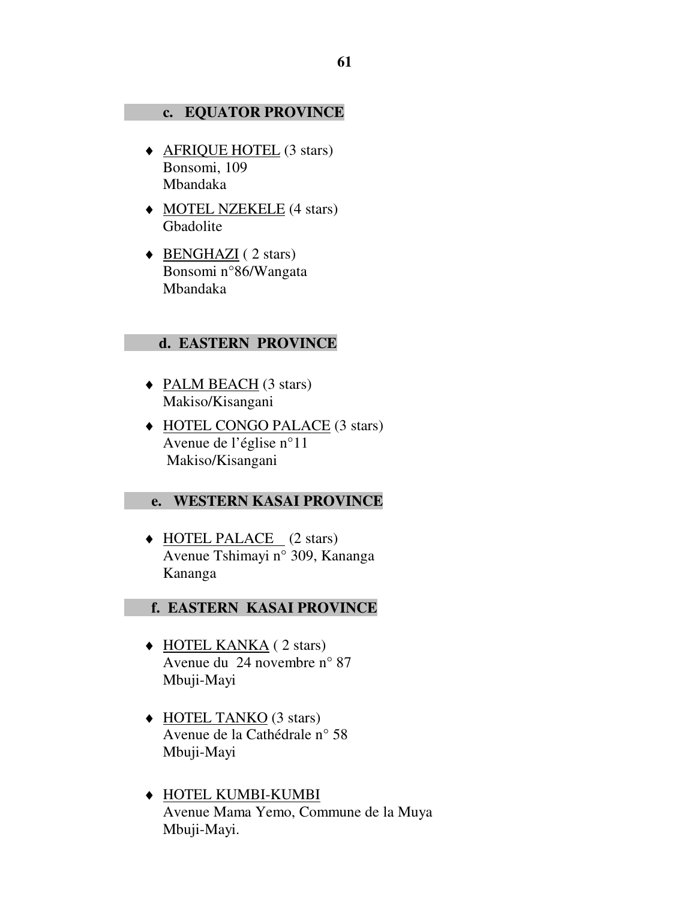#### **c. EQUATOR PROVINCE**

- ♦ AFRIQUE HOTEL (3 stars) Bonsomi, 109 Mbandaka
- ♦ MOTEL NZEKELE (4 stars) Gbadolite
- ◆ <u>BENGHAZI</u> ( 2 stars) Bonsomi n°86/Wangata Mbandaka

#### **d. EASTERN PROVINCE**

- ♦ PALM BEACH (3 stars) Makiso/Kisangani
- ♦ HOTEL CONGO PALACE (3 stars) Avenue de l'église n°11 Makiso/Kisangani

#### **e. WESTERN KASAI PROVINCE**

♦ HOTEL PALACE (2 stars) Avenue Tshimayi n° 309, Kananga Kananga

#### **f. EASTERN KASAI PROVINCE**

- ♦ HOTEL KANKA ( 2 stars) Avenue du 24 novembre n° 87 Mbuji-Mayi
- ◆ HOTEL TANKO (3 stars) Avenue de la Cathédrale n° 58 Mbuji-Mayi
- ♦ HOTEL KUMBI-KUMBI Avenue Mama Yemo, Commune de la Muya Mbuji-Mayi.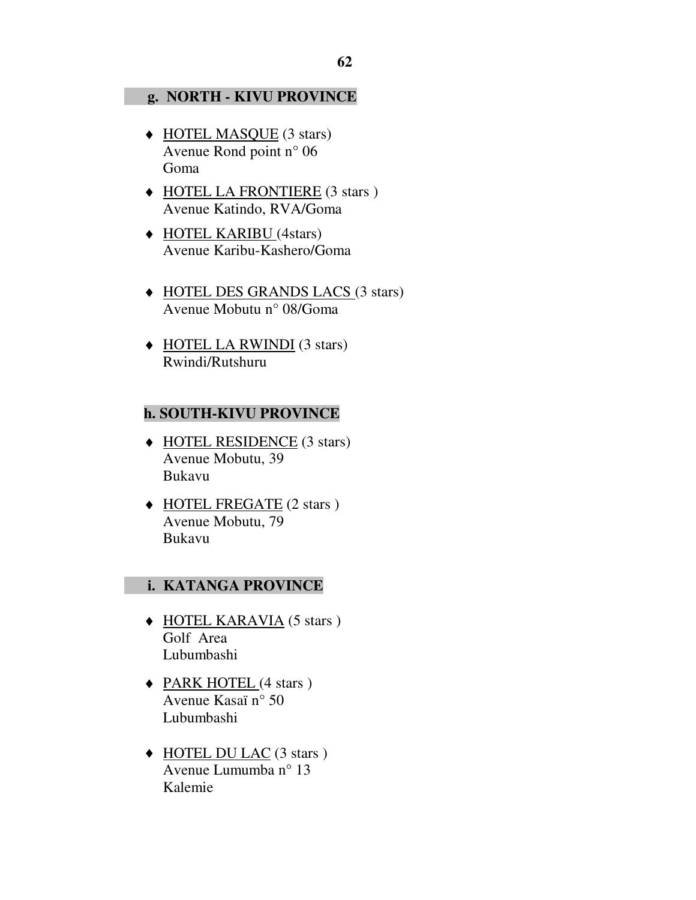#### **g. NORTH - KIVU PROVINCE**

- ♦ HOTEL MASQUE (3 stars) Avenue Rond point n° 06 Goma
- ♦ HOTEL LA FRONTIERE (3 stars ) Avenue Katindo, RVA/Goma
- ♦ HOTEL KARIBU (4stars) Avenue Karibu-Kashero/Goma
- ♦ HOTEL DES GRANDS LACS (3 stars) Avenue Mobutu n° 08/Goma
- ♦ HOTEL LA RWINDI (3 stars) Rwindi/Rutshuru

#### **h. SOUTH-KIVU PROVINCE**

- ♦ HOTEL RESIDENCE (3 stars) Avenue Mobutu, 39 Bukavu
- ♦ HOTEL FREGATE (2 stars ) Avenue Mobutu, 79 Bukavu

#### **i. KATANGA PROVINCE**

- ♦ HOTEL KARAVIA (5 stars ) Golf Area Lubumbashi
- ◆ PARK HOTEL (4 stars ) Avenue Kasaï n° 50 Lubumbashi
- ♦ HOTEL DU LAC (3 stars ) Avenue Lumumba n° 13 Kalemie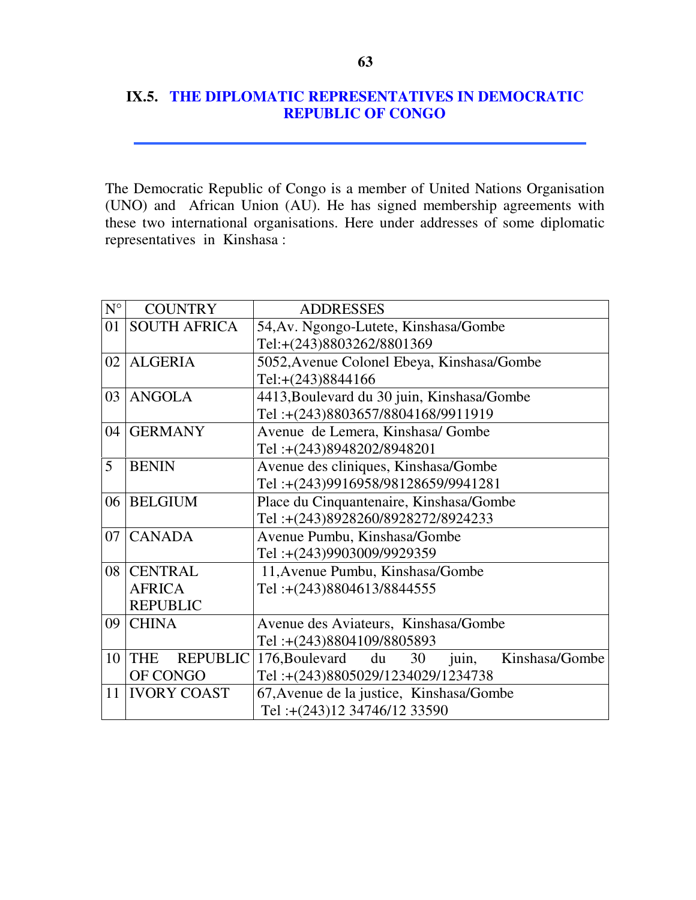# **IX.5. THE DIPLOMATIC REPRESENTATIVES IN DEMOCRATIC REPUBLIC OF CONGO**

The Democratic Republic of Congo is a member of United Nations Organisation (UNO) and African Union (AU). He has signed membership agreements with these two international organisations. Here under addresses of some diplomatic representatives in Kinshasa :

| $N^{\circ}$ | <b>COUNTRY</b>                                            | <b>ADDRESSES</b>                                   |
|-------------|-----------------------------------------------------------|----------------------------------------------------|
| 01          | <b>SOUTH AFRICA</b>                                       | 54, Av. Ngongo-Lutete, Kinshasa/Gombe              |
|             |                                                           | Tel:+(243)8803262/8801369                          |
| 02          | <b>ALGERIA</b>                                            | 5052, Avenue Colonel Ebeya, Kinshasa/Gombe         |
|             |                                                           | Tel:+(243)8844166                                  |
| 03          | <b>ANGOLA</b>                                             | 4413, Boulevard du 30 juin, Kinshasa/Gombe         |
|             |                                                           | Tel:+(243)8803657/8804168/9911919                  |
| 04          | <b>GERMANY</b>                                            | Avenue de Lemera, Kinshasa/Gombe                   |
|             |                                                           | Tel:+(243)8948202/8948201                          |
| 5           | <b>BENIN</b>                                              | Avenue des cliniques, Kinshasa/Gombe               |
|             |                                                           | Tel:+(243)9916958/98128659/9941281                 |
| 06          | Place du Cinquantenaire, Kinshasa/Gombe<br><b>BELGIUM</b> |                                                    |
|             |                                                           | Tel:+(243)8928260/8928272/8924233                  |
| 07          | <b>CANADA</b>                                             | Avenue Pumbu, Kinshasa/Gombe                       |
|             |                                                           | Tel:+(243)9903009/9929359                          |
| 08          | <b>CENTRAL</b>                                            | 11, Avenue Pumbu, Kinshasa/Gombe                   |
|             | <b>AFRICA</b>                                             | Tel:+(243)8804613/8844555                          |
|             | <b>REPUBLIC</b>                                           |                                                    |
| 09          | <b>CHINA</b>                                              | Avenue des Aviateurs, Kinshasa/Gombe               |
|             |                                                           | Tel:+(243)8804109/8805893                          |
| 10          | <b>REPUBLIC</b><br><b>THE</b>                             | 176, Boulevard du<br>Kinshasa/Gombe<br>30<br>juin, |
|             | OF CONGO                                                  | Tel:+(243)8805029/1234029/1234738                  |
| 11          | <b>IVORY COAST</b>                                        | 67, Avenue de la justice, Kinshasa/Gombe           |
|             |                                                           | Tel:+(243)12 34746/12 33590                        |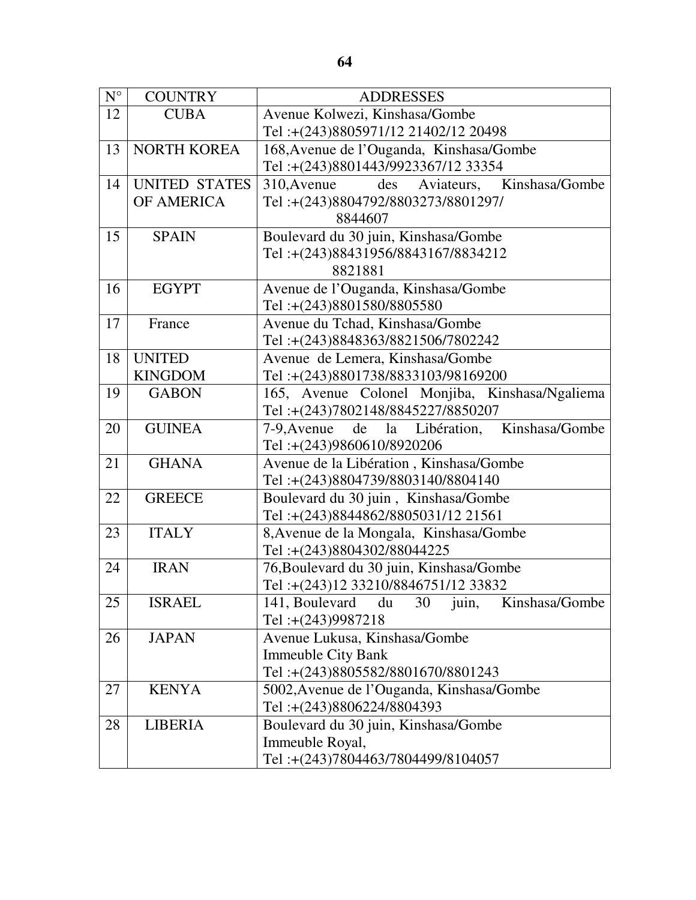| $N^{\circ}$ | <b>COUNTRY</b>       | <b>ADDRESSES</b>                                      |
|-------------|----------------------|-------------------------------------------------------|
| 12          | <b>CUBA</b>          | Avenue Kolwezi, Kinshasa/Gombe                        |
|             |                      | Tel:+(243)8805971/12 21402/12 20498                   |
| 13          | <b>NORTH KOREA</b>   | 168, Avenue de l'Ouganda, Kinshasa/Gombe              |
|             |                      | Tel:+(243)8801443/9923367/12 33354                    |
| 14          | <b>UNITED STATES</b> | des<br>Aviateurs, Kinshasa/Gombe<br>310, Avenue       |
|             | OF AMERICA           | Tel:+(243)8804792/8803273/8801297/                    |
|             |                      | 8844607                                               |
| 15          | <b>SPAIN</b>         | Boulevard du 30 juin, Kinshasa/Gombe                  |
|             |                      | Tel:+(243)88431956/8843167/8834212                    |
|             |                      | 8821881                                               |
| 16          | <b>EGYPT</b>         | Avenue de l'Ouganda, Kinshasa/Gombe                   |
|             |                      | Tel:+(243)8801580/8805580                             |
| 17          | France               | Avenue du Tchad, Kinshasa/Gombe                       |
|             |                      | Tel:+(243)8848363/8821506/7802242                     |
| 18          | <b>UNITED</b>        | Avenue de Lemera, Kinshasa/Gombe                      |
|             | <b>KINGDOM</b>       | Tel:+(243)8801738/8833103/98169200                    |
| 19          | <b>GABON</b>         | 165, Avenue Colonel Monjiba, Kinshasa/Ngaliema        |
|             |                      | Tel:+(243)7802148/8845227/8850207                     |
| 20          | <b>GUINEA</b>        | Kinshasa/Gombe<br>7-9, Avenue de<br>la Libération,    |
|             |                      | Tel:+(243)9860610/8920206                             |
| 21          | <b>GHANA</b>         | Avenue de la Libération, Kinshasa/Gombe               |
|             |                      | Tel:+(243)8804739/8803140/8804140                     |
| 22          | <b>GREECE</b>        | Boulevard du 30 juin, Kinshasa/Gombe                  |
|             |                      | Tel:+(243)8844862/8805031/12 21561                    |
| 23          | <b>ITALY</b>         | 8, Avenue de la Mongala, Kinshasa/Gombe               |
|             |                      | Tel:+(243)8804302/88044225                            |
| 24          | <b>IRAN</b>          | 76, Boulevard du 30 juin, Kinshasa/Gombe              |
|             |                      | Tel:+(243)12 33210/8846751/12 33832                   |
| 25          | <b>ISRAEL</b>        | 141, Boulevard<br>du<br>30<br>Kinshasa/Gombe<br>juin, |
|             |                      | Tel: $+(243)9987218$                                  |
| 26          | <b>JAPAN</b>         | Avenue Lukusa, Kinshasa/Gombe                         |
|             |                      | <b>Immeuble City Bank</b>                             |
|             |                      | Tel:+(243)8805582/8801670/8801243                     |
| 27          | <b>KENYA</b>         | 5002, Avenue de l'Ouganda, Kinshasa/Gombe             |
|             |                      | Tel:+(243)8806224/8804393                             |
| 28          | <b>LIBERIA</b>       | Boulevard du 30 juin, Kinshasa/Gombe                  |
|             |                      | Immeuble Royal,                                       |
|             |                      | Tel:+(243)7804463/7804499/8104057                     |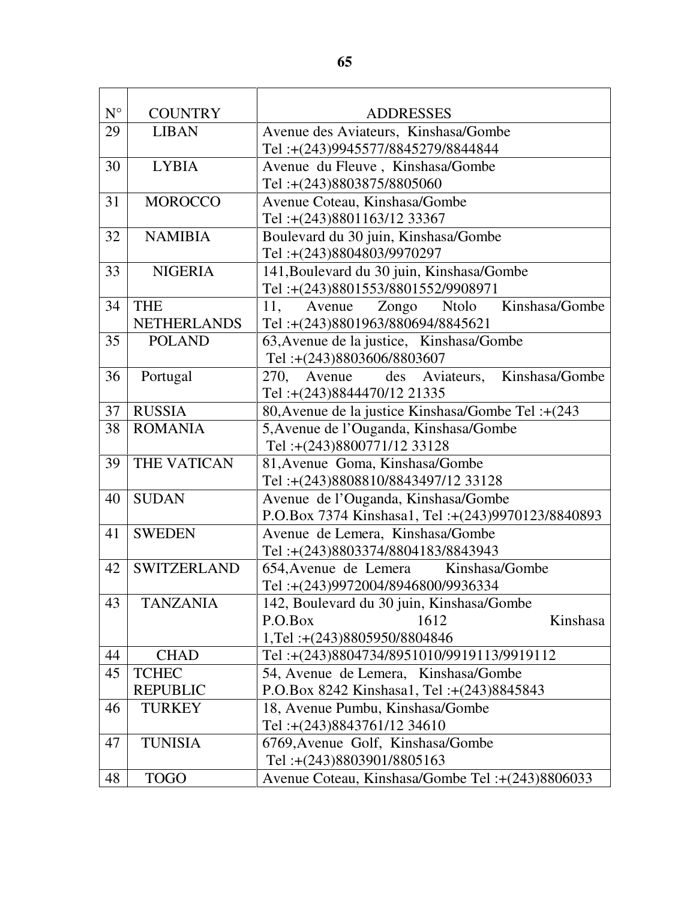| $\mathbf{N}^{\circ}$ | <b>COUNTRY</b>     | <b>ADDRESSES</b>                                   |  |  |
|----------------------|--------------------|----------------------------------------------------|--|--|
| 29                   | <b>LIBAN</b>       | Avenue des Aviateurs, Kinshasa/Gombe               |  |  |
|                      |                    | Tel:+(243)9945577/8845279/8844844                  |  |  |
| 30                   | <b>LYBIA</b>       | Avenue du Fleuve, Kinshasa/Gombe                   |  |  |
|                      |                    | Tel:+(243)8803875/8805060                          |  |  |
| 31                   | <b>MOROCCO</b>     | Avenue Coteau, Kinshasa/Gombe                      |  |  |
|                      |                    | Tel:+(243)8801163/12 33367                         |  |  |
| 32                   | <b>NAMIBIA</b>     | Boulevard du 30 juin, Kinshasa/Gombe               |  |  |
|                      |                    | Tel:+(243)8804803/9970297                          |  |  |
| 33                   | <b>NIGERIA</b>     | 141, Boulevard du 30 juin, Kinshasa/Gombe          |  |  |
|                      |                    | Tel:+(243)8801553/8801552/9908971                  |  |  |
| 34                   | <b>THE</b>         | Kinshasa/Gombe<br>11,<br>Zongo<br>Avenue<br>Ntolo  |  |  |
|                      | <b>NETHERLANDS</b> | Tel:+(243)8801963/880694/8845621                   |  |  |
| 35                   | <b>POLAND</b>      | 63, Avenue de la justice, Kinshasa/Gombe           |  |  |
|                      |                    | Tel:+(243)8803606/8803607                          |  |  |
| 36                   | Portugal           | Kinshasa/Gombe<br>des Aviateurs,<br>270.<br>Avenue |  |  |
|                      |                    | Tel:+(243)8844470/12 21335                         |  |  |
| 37                   | <b>RUSSIA</b>      | 80, Avenue de la justice Kinshasa/Gombe Tel :+(243 |  |  |
| 38                   | <b>ROMANIA</b>     | 5, Avenue de l'Ouganda, Kinshasa/Gombe             |  |  |
|                      |                    | Tel:+(243)8800771/12 33128                         |  |  |
| 39                   | THE VATICAN        | 81, Avenue Goma, Kinshasa/Gombe                    |  |  |
|                      |                    | Tel:+(243)8808810/8843497/12 33128                 |  |  |
| 40                   | <b>SUDAN</b>       | Avenue de l'Ouganda, Kinshasa/Gombe                |  |  |
|                      |                    | P.O.Box 7374 Kinshasa1, Tel: +(243)9970123/8840893 |  |  |
| 41                   | <b>SWEDEN</b>      | Avenue de Lemera, Kinshasa/Gombe                   |  |  |
|                      |                    | Tel:+(243)8803374/8804183/8843943                  |  |  |
| 42                   | <b>SWITZERLAND</b> | 654, Avenue de Lemera Kinshasa/Gombe               |  |  |
|                      |                    | Tel:+(243)9972004/8946800/9936334                  |  |  |
| 43                   | <b>TANZANIA</b>    | 142, Boulevard du 30 juin, Kinshasa/Gombe          |  |  |
|                      |                    | P.O.Box<br>1612<br>Kinshasa                        |  |  |
|                      |                    | 1,Tel:+(243)8805950/8804846                        |  |  |
| 44                   | <b>CHAD</b>        | Tel:+(243)8804734/8951010/9919113/9919112          |  |  |
| 45                   | <b>TCHEC</b>       | 54, Avenue de Lemera, Kinshasa/Gombe               |  |  |
|                      | <b>REPUBLIC</b>    | P.O.Box 8242 Kinshasa1, Tel: +(243)8845843         |  |  |
| 46                   | <b>TURKEY</b>      | 18, Avenue Pumbu, Kinshasa/Gombe                   |  |  |
|                      |                    | Tel:+(243)8843761/12 34610                         |  |  |
| 47                   | <b>TUNISIA</b>     | 6769, Avenue Golf, Kinshasa/Gombe                  |  |  |
|                      |                    | Tel:+(243)8803901/8805163                          |  |  |
| 48                   | <b>TOGO</b>        | Avenue Coteau, Kinshasa/Gombe Tel:+(243)8806033    |  |  |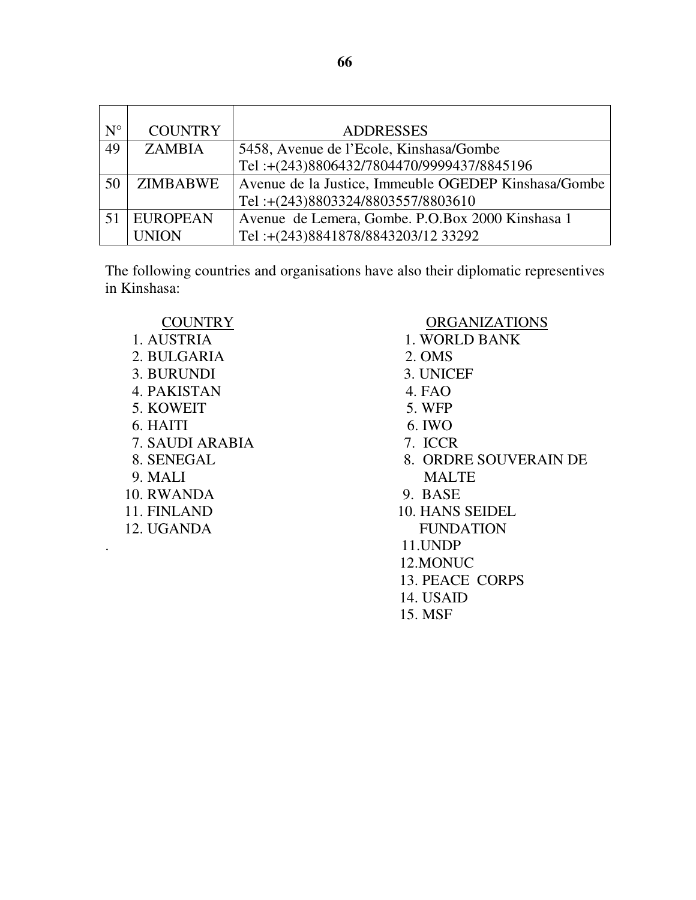| $N^{\circ}$ | <b>COUNTRY</b>  | <b>ADDRESSES</b>                                     |
|-------------|-----------------|------------------------------------------------------|
| 49          | <b>ZAMBIA</b>   | 5458, Avenue de l'Ecole, Kinshasa/Gombe              |
|             |                 | Tel:+(243)8806432/7804470/9999437/8845196            |
| 50          | ZIMBABWE        | Avenue de la Justice, Immeuble OGEDEP Kinshasa/Gombe |
|             |                 | Tel:+(243)8803324/8803557/8803610                    |
|             | <b>EUROPEAN</b> | Avenue de Lemera, Gombe. P.O.Box 2000 Kinshasa 1     |
|             | <b>UNION</b>    | Tel:+(243)8841878/8843203/12 33292                   |

The following countries and organisations have also their diplomatic representives in Kinshasa:

- 2. BULGARIA 2. OMS 3. BURUNDI 3. UNICEF 4. PAKISTAN 4. FAO 5. KOWEIT 5. WFP 6. HAITI 6. IWO 7. SAUDI ARABIA 7. ICCR 9. MALI MALTE 10. RWANDA 9. BASE
- 

# COUNTRY ORGANIZATIONS

- 1. AUSTRIA 1. WORLD BANK
	-
	-
	-
	-
	-
	-
- 8. SENEGAL 8. ORDRE SOUVERAIN DE
	-
- 11. FINLAND 10. HANS SEIDEL 12. UGANDA FUNDATION
	- . 11.UNDP
	- 12.MONUC
	- 13. PEACE CORPS
	- 14. USAID
	- 15. MSF